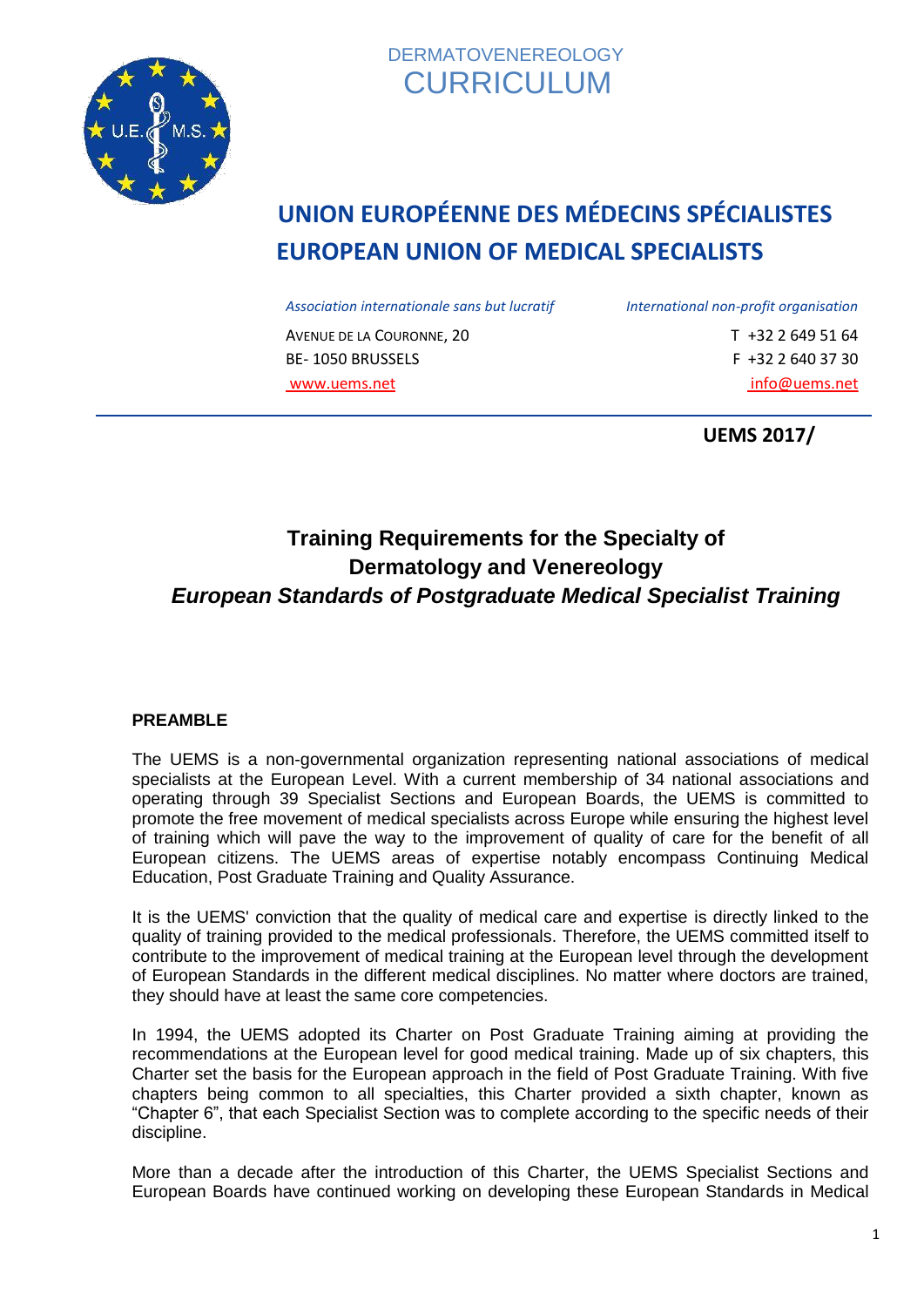

# **UNION EUROPÉENNE DES MÉDECINS SPÉCIALISTES EUROPEAN UNION OF MEDICAL SPECIALISTS**

*Association internationale sans but lucratif International non-profit organisation*

AVENUE DE LA COURONNE, 20 T +32 2 649 51 64 BE- 1050 BRUSSELS F +32 2 640 37 30 [www.uems.net](http://www.uems.net/) [info@uems.net](mailto:info@uems.net)

**UEMS 2017/**

## **Training Requirements for the Specialty of Dermatology and Venereology** *European Standards of Postgraduate Medical Specialist Training*

### **PREAMBLE**

The UEMS is a non-governmental organization representing national associations of medical specialists at the European Level. With a current membership of 34 national associations and operating through 39 Specialist Sections and European Boards, the UEMS is committed to promote the free movement of medical specialists across Europe while ensuring the highest level of training which will pave the way to the improvement of quality of care for the benefit of all European citizens. The UEMS areas of expertise notably encompass Continuing Medical Education, Post Graduate Training and Quality Assurance.

It is the UEMS' conviction that the quality of medical care and expertise is directly linked to the quality of training provided to the medical professionals. Therefore, the UEMS committed itself to contribute to the improvement of medical training at the European level through the development of European Standards in the different medical disciplines. No matter where doctors are trained, they should have at least the same core competencies.

In 1994, the UEMS adopted its Charter on Post Graduate Training aiming at providing the recommendations at the European level for good medical training. Made up of six chapters, this Charter set the basis for the European approach in the field of Post Graduate Training. With five chapters being common to all specialties, this Charter provided a sixth chapter, known as "Chapter 6", that each Specialist Section was to complete according to the specific needs of their discipline.

More than a decade after the introduction of this Charter, the UEMS Specialist Sections and European Boards have continued working on developing these European Standards in Medical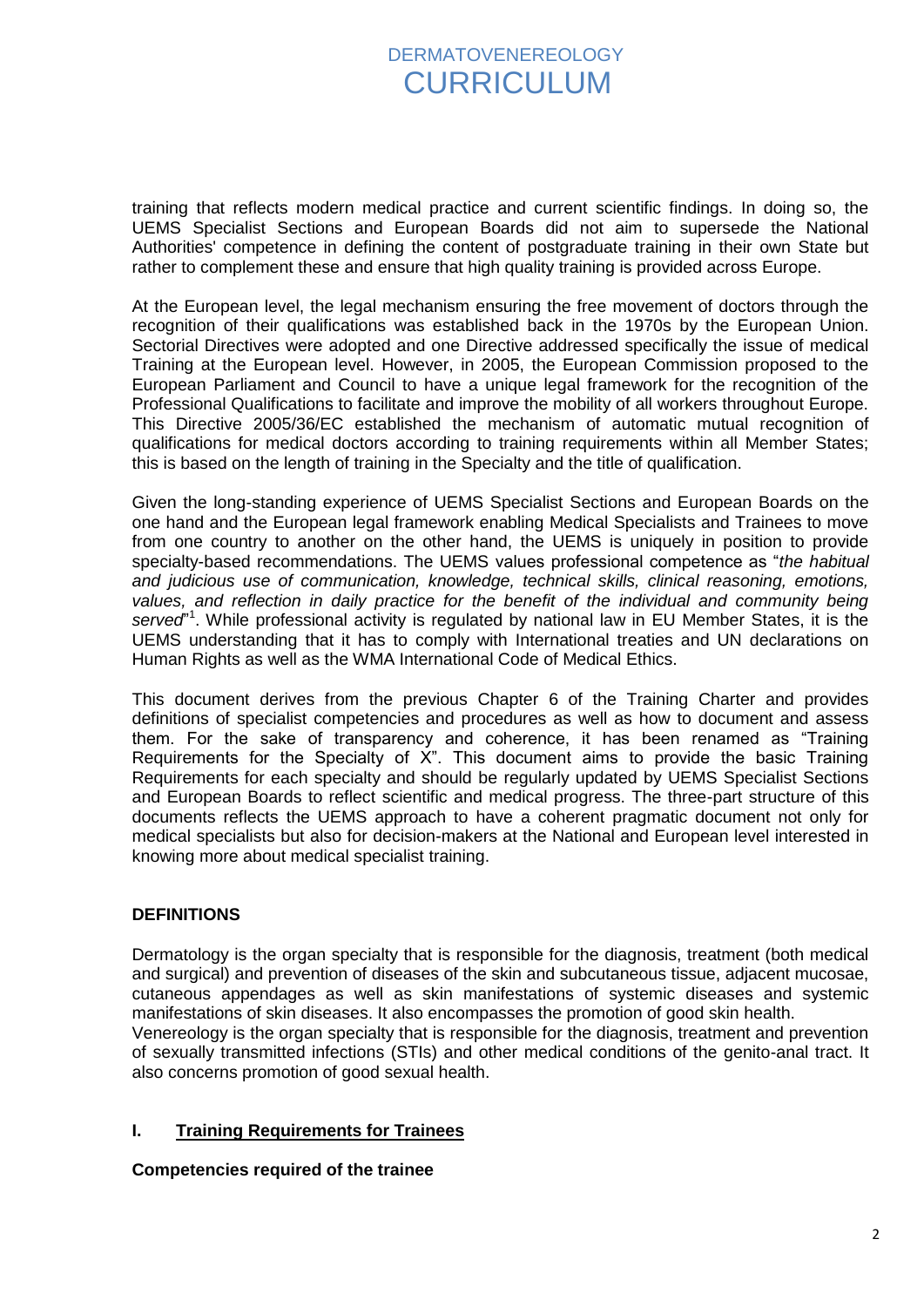training that reflects modern medical practice and current scientific findings. In doing so, the UEMS Specialist Sections and European Boards did not aim to supersede the National Authorities' competence in defining the content of postgraduate training in their own State but rather to complement these and ensure that high quality training is provided across Europe.

At the European level, the legal mechanism ensuring the free movement of doctors through the recognition of their qualifications was established back in the 1970s by the European Union. Sectorial Directives were adopted and one Directive addressed specifically the issue of medical Training at the European level. However, in 2005, the European Commission proposed to the European Parliament and Council to have a unique legal framework for the recognition of the Professional Qualifications to facilitate and improve the mobility of all workers throughout Europe. This Directive 2005/36/EC established the mechanism of automatic mutual recognition of qualifications for medical doctors according to training requirements within all Member States; this is based on the length of training in the Specialty and the title of qualification.

Given the long-standing experience of UEMS Specialist Sections and European Boards on the one hand and the European legal framework enabling Medical Specialists and Trainees to move from one country to another on the other hand, the UEMS is uniquely in position to provide specialty-based recommendations. The UEMS values professional competence as "*the habitual and judicious use of communication, knowledge, technical skills, clinical reasoning, emotions,*  values, and reflection in daily practice for the benefit of the individual and community being served<sup>"1</sup>. While professional activity is regulated by national law in EU Member States, it is the UEMS understanding that it has to comply with International treaties and UN declarations on Human Rights as well as the WMA International Code of Medical Ethics.

This document derives from the previous Chapter 6 of the Training Charter and provides definitions of specialist competencies and procedures as well as how to document and assess them. For the sake of transparency and coherence, it has been renamed as "Training Requirements for the Specialty of X". This document aims to provide the basic Training Requirements for each specialty and should be regularly updated by UEMS Specialist Sections and European Boards to reflect scientific and medical progress. The three-part structure of this documents reflects the UEMS approach to have a coherent pragmatic document not only for medical specialists but also for decision-makers at the National and European level interested in knowing more about medical specialist training.

### **DEFINITIONS**

Dermatology is the organ specialty that is responsible for the diagnosis, treatment (both medical and surgical) and prevention of diseases of the skin and subcutaneous tissue, adjacent mucosae, cutaneous appendages as well as skin manifestations of systemic diseases and systemic manifestations of skin diseases. It also encompasses the promotion of good skin health.

Venereology is the organ specialty that is responsible for the diagnosis, treatment and prevention of sexually transmitted infections (STIs) and other medical conditions of the genito-anal tract. It also concerns promotion of good sexual health.

#### **I. Training Requirements for Trainees**

#### **Competencies required of the trainee**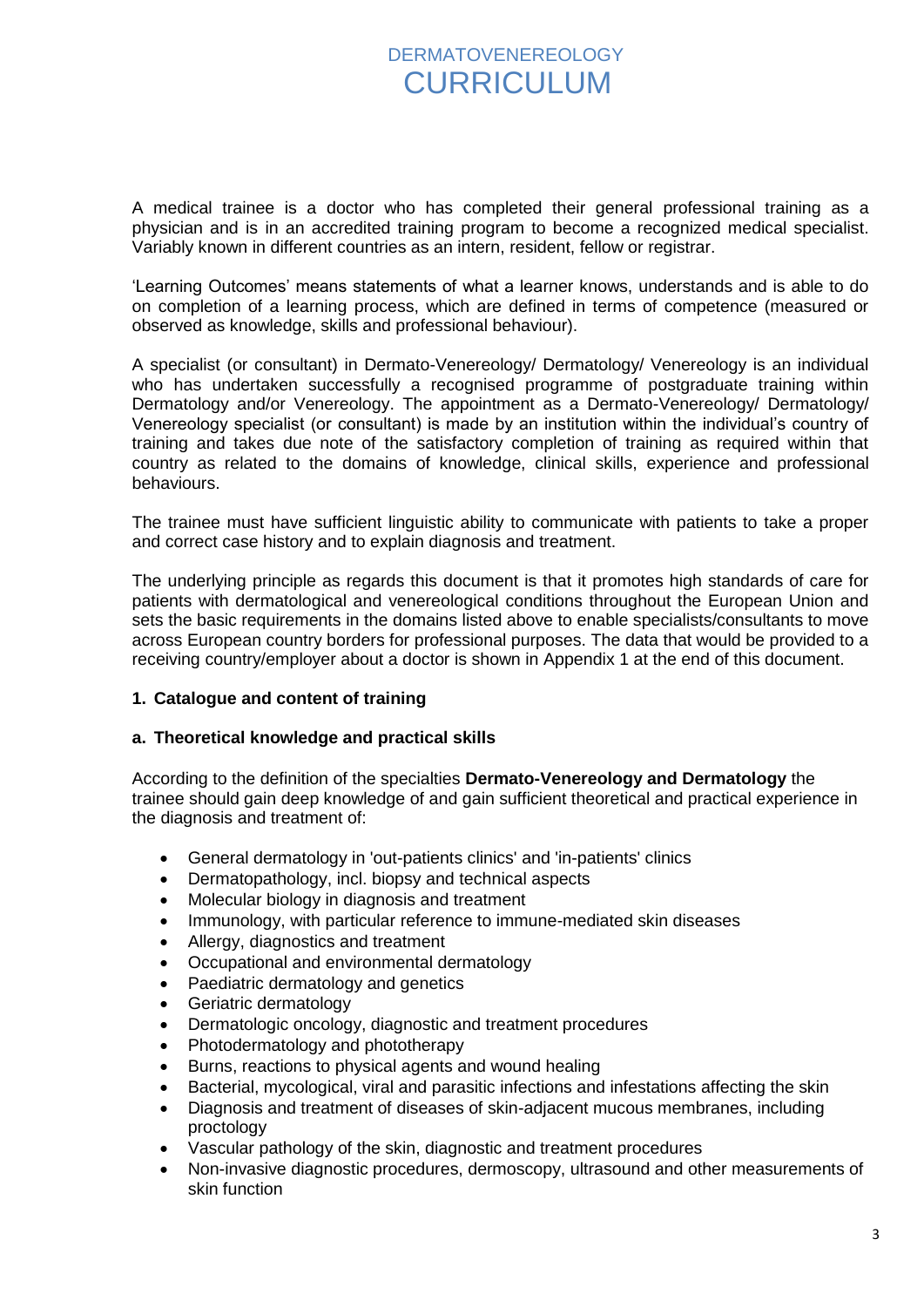A medical trainee is a doctor who has completed their general professional training as a physician and is in an accredited training program to become a recognized medical specialist. Variably known in different countries as an intern, resident, fellow or registrar.

'Learning Outcomes' means statements of what a learner knows, understands and is able to do on completion of a learning process, which are defined in terms of competence (measured or observed as knowledge, skills and professional behaviour).

A specialist (or consultant) in Dermato-Venereology/ Dermatology/ Venereology is an individual who has undertaken successfully a recognised programme of postgraduate training within Dermatology and/or Venereology. The appointment as a Dermato-Venereology/ Dermatology/ Venereology specialist (or consultant) is made by an institution within the individual's country of training and takes due note of the satisfactory completion of training as required within that country as related to the domains of knowledge, clinical skills, experience and professional behaviours.

The trainee must have sufficient linguistic ability to communicate with patients to take a proper and correct case history and to explain diagnosis and treatment.

The underlying principle as regards this document is that it promotes high standards of care for patients with dermatological and venereological conditions throughout the European Union and sets the basic requirements in the domains listed above to enable specialists/consultants to move across European country borders for professional purposes. The data that would be provided to a receiving country/employer about a doctor is shown in Appendix 1 at the end of this document.

#### **1. Catalogue and content of training**

#### **a. Theoretical knowledge and practical skills**

According to the definition of the specialties **Dermato-Venereology and Dermatology** the trainee should gain deep knowledge of and gain sufficient theoretical and practical experience in the diagnosis and treatment of:

- General dermatology in 'out-patients clinics' and 'in-patients' clinics
- Dermatopathology, incl. biopsy and technical aspects
- Molecular biology in diagnosis and treatment
- Immunology, with particular reference to immune-mediated skin diseases
- Allergy, diagnostics and treatment
- Occupational and environmental dermatology
- Paediatric dermatology and genetics
- Geriatric dermatology
- Dermatologic oncology, diagnostic and treatment procedures
- Photodermatology and phototherapy
- Burns, reactions to physical agents and wound healing
- Bacterial, mycological, viral and parasitic infections and infestations affecting the skin
- Diagnosis and treatment of diseases of skin-adjacent mucous membranes, including proctology
- Vascular pathology of the skin, diagnostic and treatment procedures
- Non-invasive diagnostic procedures, dermoscopy, ultrasound and other measurements of skin function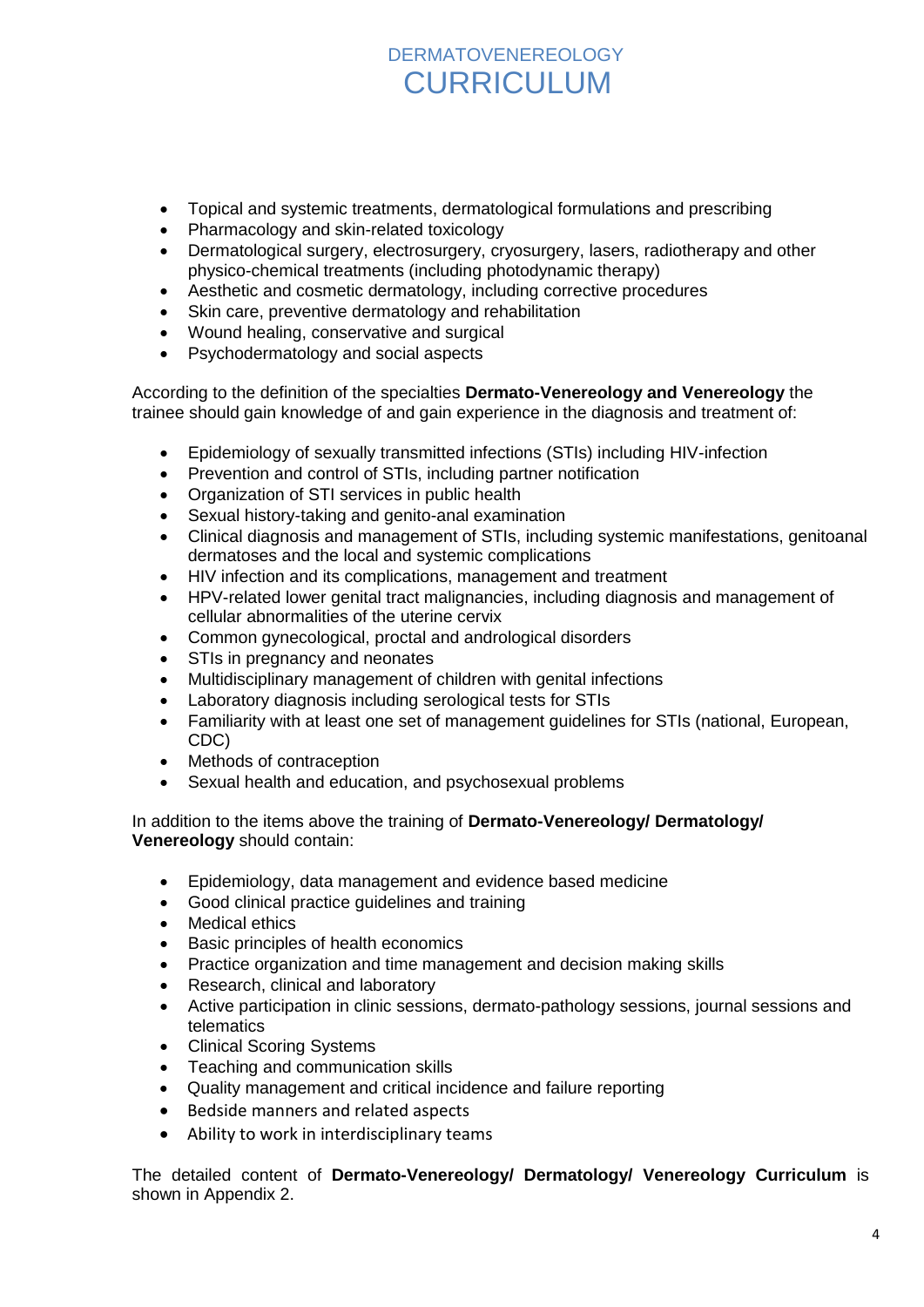- Topical and systemic treatments, dermatological formulations and prescribing
- Pharmacology and skin-related toxicology
- Dermatological surgery, electrosurgery, cryosurgery, lasers, radiotherapy and other physico-chemical treatments (including photodynamic therapy)
- Aesthetic and cosmetic dermatology, including corrective procedures
- Skin care, preventive dermatology and rehabilitation
- Wound healing, conservative and surgical
- Psychodermatology and social aspects

According to the definition of the specialties **Dermato-Venereology and Venereology** the trainee should gain knowledge of and gain experience in the diagnosis and treatment of:

- Epidemiology of sexually transmitted infections (STIs) including HIV-infection
- Prevention and control of STIs, including partner notification
- Organization of STI services in public health
- Sexual history-taking and genito-anal examination
- Clinical diagnosis and management of STIs, including systemic manifestations, genitoanal dermatoses and the local and systemic complications
- HIV infection and its complications, management and treatment
- HPV-related lower genital tract malignancies, including diagnosis and management of cellular abnormalities of the uterine cervix
- Common gynecological, proctal and andrological disorders
- STIs in pregnancy and neonates
- Multidisciplinary management of children with genital infections
- Laboratory diagnosis including serological tests for STIs
- Familiarity with at least one set of management guidelines for STIs (national, European, CDC)
- Methods of contraception
- Sexual health and education, and psychosexual problems

In addition to the items above the training of **Dermato-Venereology/ Dermatology/ Venereology** should contain:

- Epidemiology, data management and evidence based medicine
- Good clinical practice guidelines and training
- Medical ethics
- Basic principles of health economics
- Practice organization and time management and decision making skills
- Research, clinical and laboratory
- Active participation in clinic sessions, dermato-pathology sessions, journal sessions and telematics
- Clinical Scoring Systems
- Teaching and communication skills
- Quality management and critical incidence and failure reporting
- Bedside manners and related aspects
- Ability to work in interdisciplinary teams

The detailed content of **Dermato-Venereology/ Dermatology/ Venereology Curriculum** is shown in Appendix 2.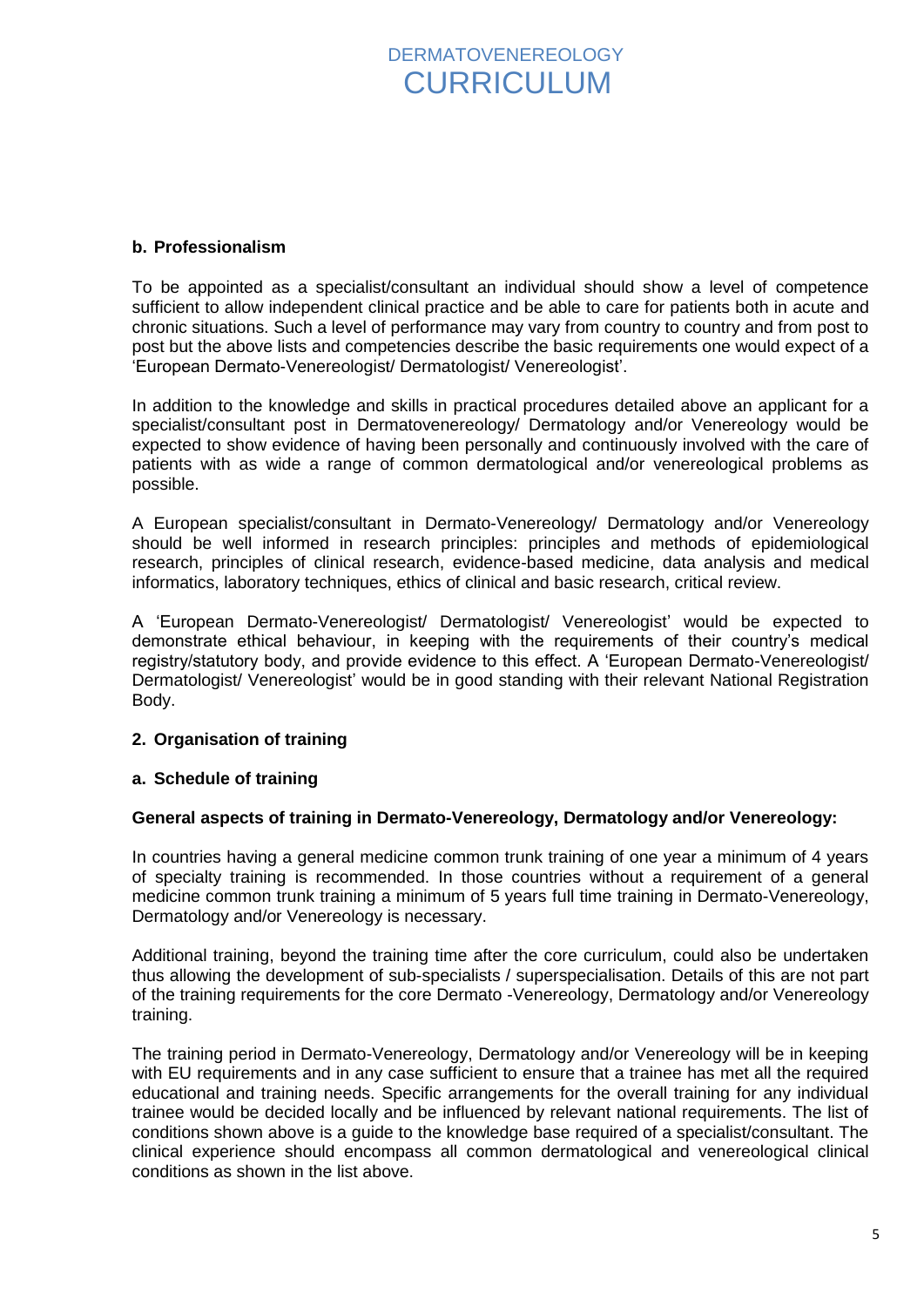#### **b. Professionalism**

To be appointed as a specialist/consultant an individual should show a level of competence sufficient to allow independent clinical practice and be able to care for patients both in acute and chronic situations. Such a level of performance may vary from country to country and from post to post but the above lists and competencies describe the basic requirements one would expect of a 'European Dermato-Venereologist/ Dermatologist/ Venereologist'.

In addition to the knowledge and skills in practical procedures detailed above an applicant for a specialist/consultant post in Dermatovenereology/ Dermatology and/or Venereology would be expected to show evidence of having been personally and continuously involved with the care of patients with as wide a range of common dermatological and/or venereological problems as possible.

A European specialist/consultant in Dermato-Venereology/ Dermatology and/or Venereology should be well informed in research principles: principles and methods of epidemiological research, principles of clinical research, evidence-based medicine, data analysis and medical informatics, laboratory techniques, ethics of clinical and basic research, critical review.

A 'European Dermato-Venereologist/ Dermatologist/ Venereologist' would be expected to demonstrate ethical behaviour, in keeping with the requirements of their country's medical registry/statutory body, and provide evidence to this effect. A 'European Dermato-Venereologist/ Dermatologist/ Venereologist' would be in good standing with their relevant National Registration Body.

### **2. Organisation of training**

### **a. Schedule of training**

#### **General aspects of training in Dermato-Venereology, Dermatology and/or Venereology:**

In countries having a general medicine common trunk training of one year a minimum of 4 years of specialty training is recommended. In those countries without a requirement of a general medicine common trunk training a minimum of 5 years full time training in Dermato-Venereology, Dermatology and/or Venereology is necessary.

Additional training, beyond the training time after the core curriculum, could also be undertaken thus allowing the development of sub-specialists / superspecialisation. Details of this are not part of the training requirements for the core Dermato -Venereology, Dermatology and/or Venereology training.

The training period in Dermato-Venereology, Dermatology and/or Venereology will be in keeping with EU requirements and in any case sufficient to ensure that a trainee has met all the required educational and training needs. Specific arrangements for the overall training for any individual trainee would be decided locally and be influenced by relevant national requirements. The list of conditions shown above is a guide to the knowledge base required of a specialist/consultant. The clinical experience should encompass all common dermatological and venereological clinical conditions as shown in the list above.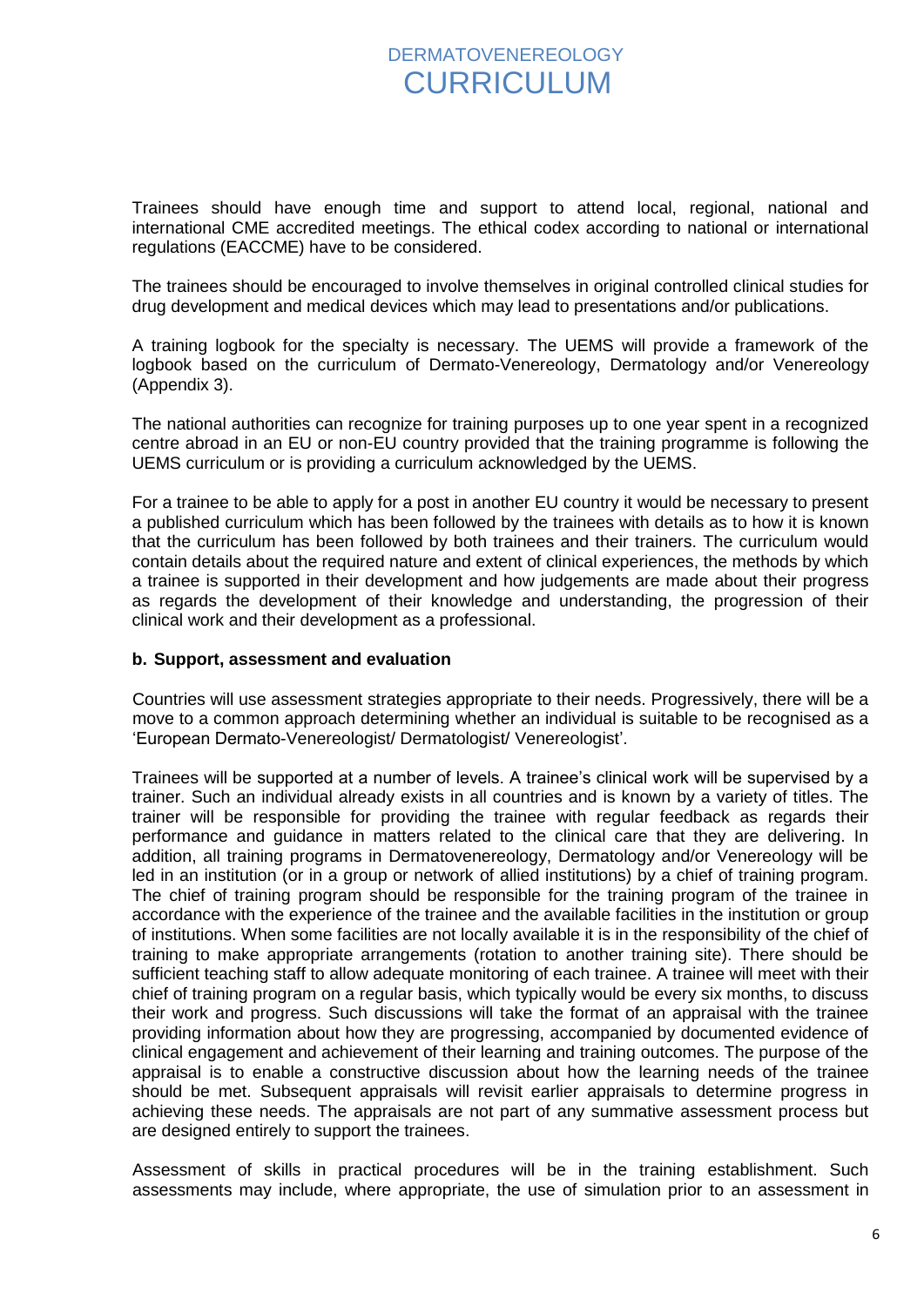Trainees should have enough time and support to attend local, regional, national and international CME accredited meetings. The ethical codex according to national or international regulations (EACCME) have to be considered.

The trainees should be encouraged to involve themselves in original controlled clinical studies for drug development and medical devices which may lead to presentations and/or publications.

A training logbook for the specialty is necessary. The UEMS will provide a framework of the logbook based on the curriculum of Dermato-Venereology, Dermatology and/or Venereology (Appendix 3).

The national authorities can recognize for training purposes up to one year spent in a recognized centre abroad in an EU or non-EU country provided that the training programme is following the UEMS curriculum or is providing a curriculum acknowledged by the UEMS.

For a trainee to be able to apply for a post in another EU country it would be necessary to present a published curriculum which has been followed by the trainees with details as to how it is known that the curriculum has been followed by both trainees and their trainers. The curriculum would contain details about the required nature and extent of clinical experiences, the methods by which a trainee is supported in their development and how judgements are made about their progress as regards the development of their knowledge and understanding, the progression of their clinical work and their development as a professional.

#### **b. Support, assessment and evaluation**

Countries will use assessment strategies appropriate to their needs. Progressively, there will be a move to a common approach determining whether an individual is suitable to be recognised as a 'European Dermato-Venereologist/ Dermatologist/ Venereologist'.

Trainees will be supported at a number of levels. A trainee's clinical work will be supervised by a trainer. Such an individual already exists in all countries and is known by a variety of titles. The trainer will be responsible for providing the trainee with regular feedback as regards their performance and guidance in matters related to the clinical care that they are delivering. In addition, all training programs in Dermatovenereology, Dermatology and/or Venereology will be led in an institution (or in a group or network of allied institutions) by a chief of training program. The chief of training program should be responsible for the training program of the trainee in accordance with the experience of the trainee and the available facilities in the institution or group of institutions. When some facilities are not locally available it is in the responsibility of the chief of training to make appropriate arrangements (rotation to another training site). There should be sufficient teaching staff to allow adequate monitoring of each trainee. A trainee will meet with their chief of training program on a regular basis, which typically would be every six months, to discuss their work and progress. Such discussions will take the format of an appraisal with the trainee providing information about how they are progressing, accompanied by documented evidence of clinical engagement and achievement of their learning and training outcomes. The purpose of the appraisal is to enable a constructive discussion about how the learning needs of the trainee should be met. Subsequent appraisals will revisit earlier appraisals to determine progress in achieving these needs. The appraisals are not part of any summative assessment process but are designed entirely to support the trainees.

Assessment of skills in practical procedures will be in the training establishment. Such assessments may include, where appropriate, the use of simulation prior to an assessment in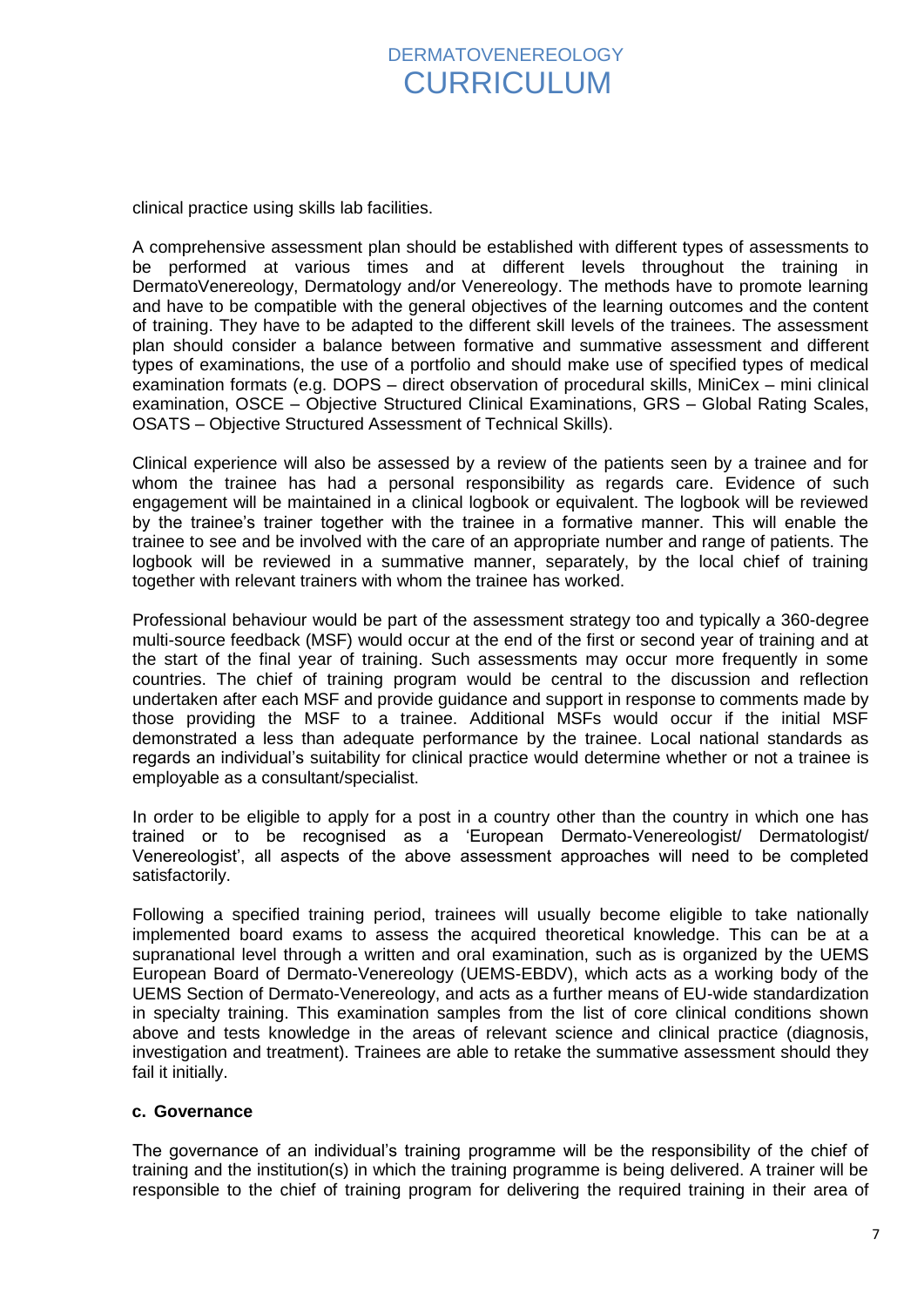clinical practice using skills lab facilities.

A comprehensive assessment plan should be established with different types of assessments to be performed at various times and at different levels throughout the training in DermatoVenereology, Dermatology and/or Venereology. The methods have to promote learning and have to be compatible with the general objectives of the learning outcomes and the content of training. They have to be adapted to the different skill levels of the trainees. The assessment plan should consider a balance between formative and summative assessment and different types of examinations, the use of a portfolio and should make use of specified types of medical examination formats (e.g. DOPS – direct observation of procedural skills, MiniCex – mini clinical examination, OSCE – Objective Structured Clinical Examinations, GRS – Global Rating Scales, OSATS – Objective Structured Assessment of Technical Skills).

Clinical experience will also be assessed by a review of the patients seen by a trainee and for whom the trainee has had a personal responsibility as regards care. Evidence of such engagement will be maintained in a clinical logbook or equivalent. The logbook will be reviewed by the trainee's trainer together with the trainee in a formative manner. This will enable the trainee to see and be involved with the care of an appropriate number and range of patients. The logbook will be reviewed in a summative manner, separately, by the local chief of training together with relevant trainers with whom the trainee has worked.

Professional behaviour would be part of the assessment strategy too and typically a 360-degree multi-source feedback (MSF) would occur at the end of the first or second year of training and at the start of the final year of training. Such assessments may occur more frequently in some countries. The chief of training program would be central to the discussion and reflection undertaken after each MSF and provide guidance and support in response to comments made by those providing the MSF to a trainee. Additional MSFs would occur if the initial MSF demonstrated a less than adequate performance by the trainee. Local national standards as regards an individual's suitability for clinical practice would determine whether or not a trainee is employable as a consultant/specialist.

In order to be eligible to apply for a post in a country other than the country in which one has trained or to be recognised as a 'European Dermato-Venereologist/ Dermatologist/ Venereologist', all aspects of the above assessment approaches will need to be completed satisfactorily.

Following a specified training period, trainees will usually become eligible to take nationally implemented board exams to assess the acquired theoretical knowledge. This can be at a supranational level through a written and oral examination, such as is organized by the UEMS European Board of Dermato-Venereology (UEMS-EBDV), which acts as a working body of the UEMS Section of Dermato-Venereology, and acts as a further means of EU-wide standardization in specialty training. This examination samples from the list of core clinical conditions shown above and tests knowledge in the areas of relevant science and clinical practice (diagnosis, investigation and treatment). Trainees are able to retake the summative assessment should they fail it initially.

#### **c. Governance**

The governance of an individual's training programme will be the responsibility of the chief of training and the institution(s) in which the training programme is being delivered. A trainer will be responsible to the chief of training program for delivering the required training in their area of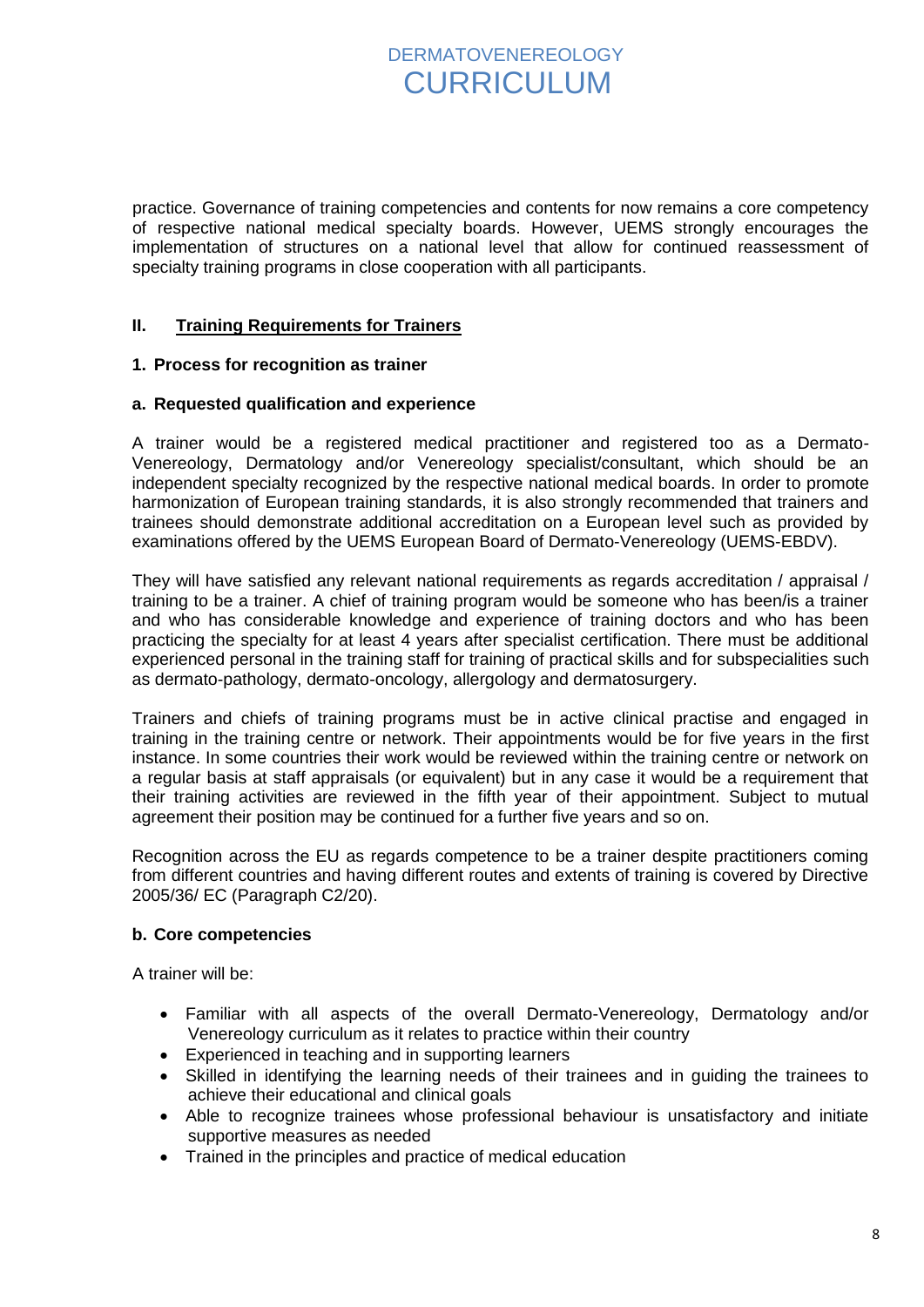practice. Governance of training competencies and contents for now remains a core competency of respective national medical specialty boards. However, UEMS strongly encourages the implementation of structures on a national level that allow for continued reassessment of specialty training programs in close cooperation with all participants.

### **II. Training Requirements for Trainers**

#### **1. Process for recognition as trainer**

#### **a. Requested qualification and experience**

A trainer would be a registered medical practitioner and registered too as a Dermato-Venereology, Dermatology and/or Venereology specialist/consultant, which should be an independent specialty recognized by the respective national medical boards. In order to promote harmonization of European training standards, it is also strongly recommended that trainers and trainees should demonstrate additional accreditation on a European level such as provided by examinations offered by the UEMS European Board of Dermato-Venereology (UEMS-EBDV).

They will have satisfied any relevant national requirements as regards accreditation / appraisal / training to be a trainer. A chief of training program would be someone who has been/is a trainer and who has considerable knowledge and experience of training doctors and who has been practicing the specialty for at least 4 years after specialist certification. There must be additional experienced personal in the training staff for training of practical skills and for subspecialities such as dermato-pathology, dermato-oncology, allergology and dermatosurgery.

Trainers and chiefs of training programs must be in active clinical practise and engaged in training in the training centre or network. Their appointments would be for five years in the first instance. In some countries their work would be reviewed within the training centre or network on a regular basis at staff appraisals (or equivalent) but in any case it would be a requirement that their training activities are reviewed in the fifth year of their appointment. Subject to mutual agreement their position may be continued for a further five years and so on.

Recognition across the EU as regards competence to be a trainer despite practitioners coming from different countries and having different routes and extents of training is covered by Directive 2005/36/ EC (Paragraph C2/20).

#### **b. Core competencies**

A trainer will be:

- Familiar with all aspects of the overall Dermato-Venereology, Dermatology and/or Venereology curriculum as it relates to practice within their country
- Experienced in teaching and in supporting learners
- Skilled in identifying the learning needs of their trainees and in guiding the trainees to achieve their educational and clinical goals
- Able to recognize trainees whose professional behaviour is unsatisfactory and initiate supportive measures as needed
- Trained in the principles and practice of medical education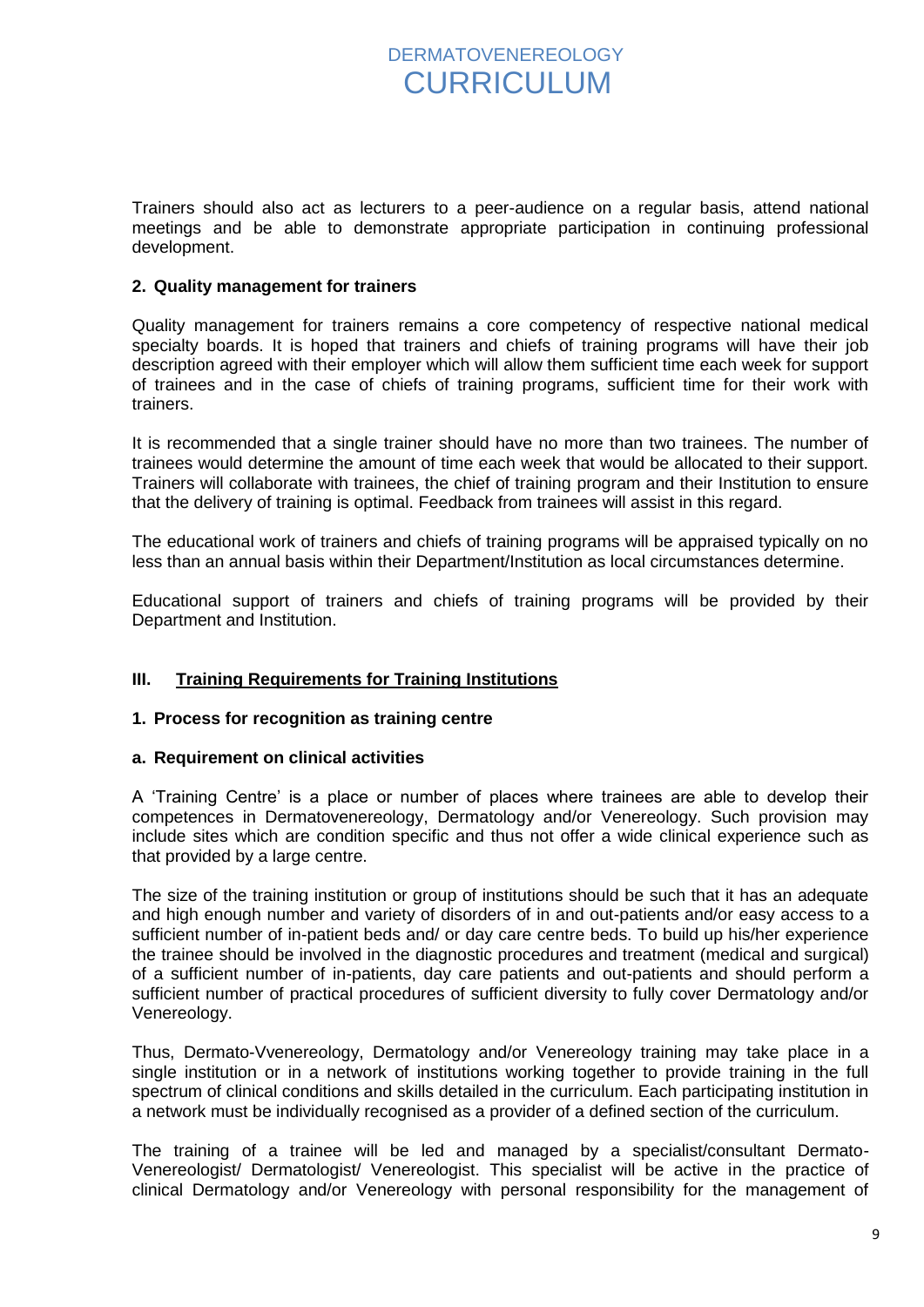Trainers should also act as lecturers to a peer-audience on a regular basis, attend national meetings and be able to demonstrate appropriate participation in continuing professional development.

#### **2. Quality management for trainers**

Quality management for trainers remains a core competency of respective national medical specialty boards. It is hoped that trainers and chiefs of training programs will have their job description agreed with their employer which will allow them sufficient time each week for support of trainees and in the case of chiefs of training programs, sufficient time for their work with trainers.

It is recommended that a single trainer should have no more than two trainees. The number of trainees would determine the amount of time each week that would be allocated to their support. Trainers will collaborate with trainees, the chief of training program and their Institution to ensure that the delivery of training is optimal. Feedback from trainees will assist in this regard.

The educational work of trainers and chiefs of training programs will be appraised typically on no less than an annual basis within their Department/Institution as local circumstances determine.

Educational support of trainers and chiefs of training programs will be provided by their Department and Institution.

### **III. Training Requirements for Training Institutions**

#### **1. Process for recognition as training centre**

#### **a. Requirement on clinical activities**

A 'Training Centre' is a place or number of places where trainees are able to develop their competences in Dermatovenereology, Dermatology and/or Venereology. Such provision may include sites which are condition specific and thus not offer a wide clinical experience such as that provided by a large centre.

The size of the training institution or group of institutions should be such that it has an adequate and high enough number and variety of disorders of in and out-patients and/or easy access to a sufficient number of in-patient beds and/ or day care centre beds. To build up his/her experience the trainee should be involved in the diagnostic procedures and treatment (medical and surgical) of a sufficient number of in-patients, day care patients and out-patients and should perform a sufficient number of practical procedures of sufficient diversity to fully cover Dermatology and/or Venereology.

Thus, Dermato-Vvenereology, Dermatology and/or Venereology training may take place in a single institution or in a network of institutions working together to provide training in the full spectrum of clinical conditions and skills detailed in the curriculum. Each participating institution in a network must be individually recognised as a provider of a defined section of the curriculum.

The training of a trainee will be led and managed by a specialist/consultant Dermato-Venereologist/ Dermatologist/ Venereologist. This specialist will be active in the practice of clinical Dermatology and/or Venereology with personal responsibility for the management of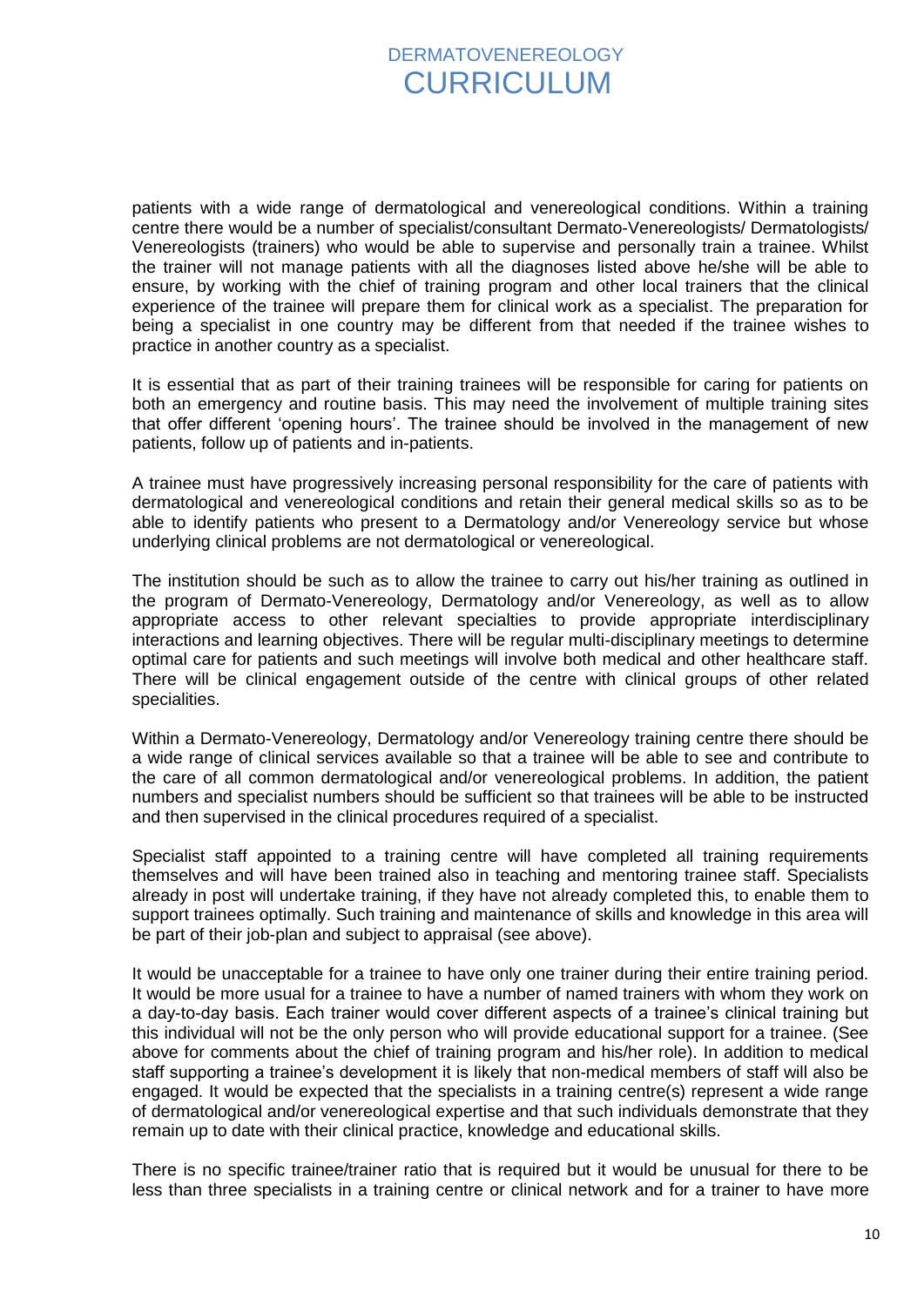patients with a wide range of dermatological and venereological conditions. Within a training centre there would be a number of specialist/consultant Dermato-Venereologists/ Dermatologists/ Venereologists (trainers) who would be able to supervise and personally train a trainee. Whilst the trainer will not manage patients with all the diagnoses listed above he/she will be able to ensure, by working with the chief of training program and other local trainers that the clinical experience of the trainee will prepare them for clinical work as a specialist. The preparation for being a specialist in one country may be different from that needed if the trainee wishes to practice in another country as a specialist.

It is essential that as part of their training trainees will be responsible for caring for patients on both an emergency and routine basis. This may need the involvement of multiple training sites that offer different 'opening hours'. The trainee should be involved in the management of new patients, follow up of patients and in-patients.

A trainee must have progressively increasing personal responsibility for the care of patients with dermatological and venereological conditions and retain their general medical skills so as to be able to identify patients who present to a Dermatology and/or Venereology service but whose underlying clinical problems are not dermatological or venereological.

The institution should be such as to allow the trainee to carry out his/her training as outlined in the program of Dermato-Venereology, Dermatology and/or Venereology, as well as to allow appropriate access to other relevant specialties to provide appropriate interdisciplinary interactions and learning objectives. There will be regular multi-disciplinary meetings to determine optimal care for patients and such meetings will involve both medical and other healthcare staff. There will be clinical engagement outside of the centre with clinical groups of other related specialities.

Within a Dermato-Venereology, Dermatology and/or Venereology training centre there should be a wide range of clinical services available so that a trainee will be able to see and contribute to the care of all common dermatological and/or venereological problems. In addition, the patient numbers and specialist numbers should be sufficient so that trainees will be able to be instructed and then supervised in the clinical procedures required of a specialist.

Specialist staff appointed to a training centre will have completed all training requirements themselves and will have been trained also in teaching and mentoring trainee staff. Specialists already in post will undertake training, if they have not already completed this, to enable them to support trainees optimally. Such training and maintenance of skills and knowledge in this area will be part of their job-plan and subject to appraisal (see above).

It would be unacceptable for a trainee to have only one trainer during their entire training period. It would be more usual for a trainee to have a number of named trainers with whom they work on a day-to-day basis. Each trainer would cover different aspects of a trainee's clinical training but this individual will not be the only person who will provide educational support for a trainee. (See above for comments about the chief of training program and his/her role). In addition to medical staff supporting a trainee's development it is likely that non-medical members of staff will also be engaged. It would be expected that the specialists in a training centre(s) represent a wide range of dermatological and/or venereological expertise and that such individuals demonstrate that they remain up to date with their clinical practice, knowledge and educational skills.

There is no specific trainee/trainer ratio that is required but it would be unusual for there to be less than three specialists in a training centre or clinical network and for a trainer to have more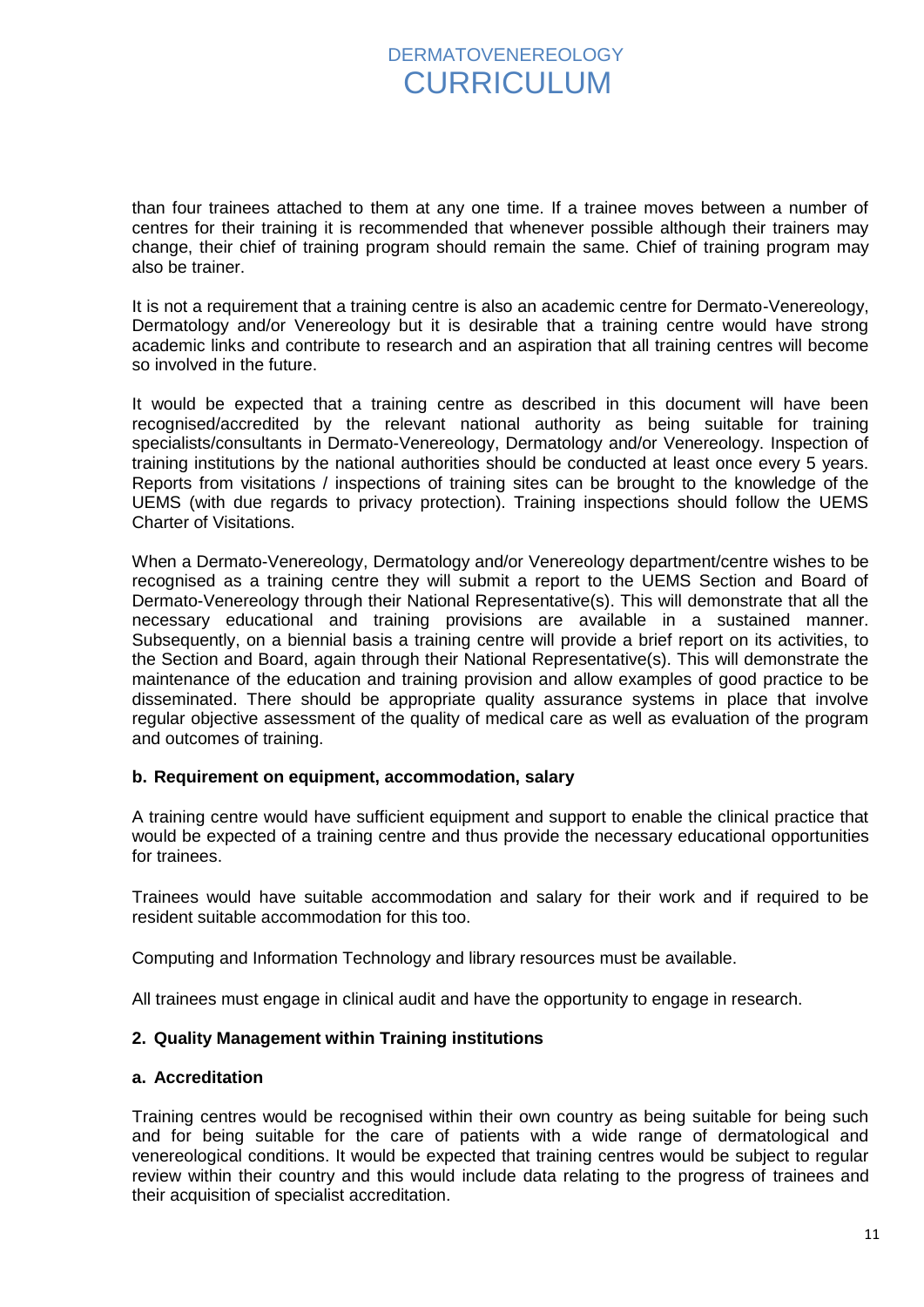than four trainees attached to them at any one time. If a trainee moves between a number of centres for their training it is recommended that whenever possible although their trainers may change, their chief of training program should remain the same. Chief of training program may also be trainer.

It is not a requirement that a training centre is also an academic centre for Dermato-Venereology, Dermatology and/or Venereology but it is desirable that a training centre would have strong academic links and contribute to research and an aspiration that all training centres will become so involved in the future.

It would be expected that a training centre as described in this document will have been recognised/accredited by the relevant national authority as being suitable for training specialists/consultants in Dermato-Venereology, Dermatology and/or Venereology. Inspection of training institutions by the national authorities should be conducted at least once every 5 years. Reports from visitations / inspections of training sites can be brought to the knowledge of the UEMS (with due regards to privacy protection). Training inspections should follow the UEMS Charter of Visitations.

When a Dermato-Venereology, Dermatology and/or Venereology department/centre wishes to be recognised as a training centre they will submit a report to the UEMS Section and Board of Dermato-Venereology through their National Representative(s). This will demonstrate that all the necessary educational and training provisions are available in a sustained manner. Subsequently, on a biennial basis a training centre will provide a brief report on its activities, to the Section and Board, again through their National Representative(s). This will demonstrate the maintenance of the education and training provision and allow examples of good practice to be disseminated. There should be appropriate quality assurance systems in place that involve regular objective assessment of the quality of medical care as well as evaluation of the program and outcomes of training.

#### **b. Requirement on equipment, accommodation, salary**

A training centre would have sufficient equipment and support to enable the clinical practice that would be expected of a training centre and thus provide the necessary educational opportunities for trainees.

Trainees would have suitable accommodation and salary for their work and if required to be resident suitable accommodation for this too.

Computing and Information Technology and library resources must be available.

All trainees must engage in clinical audit and have the opportunity to engage in research.

#### **2. Quality Management within Training institutions**

### **a. Accreditation**

Training centres would be recognised within their own country as being suitable for being such and for being suitable for the care of patients with a wide range of dermatological and venereological conditions. It would be expected that training centres would be subject to regular review within their country and this would include data relating to the progress of trainees and their acquisition of specialist accreditation.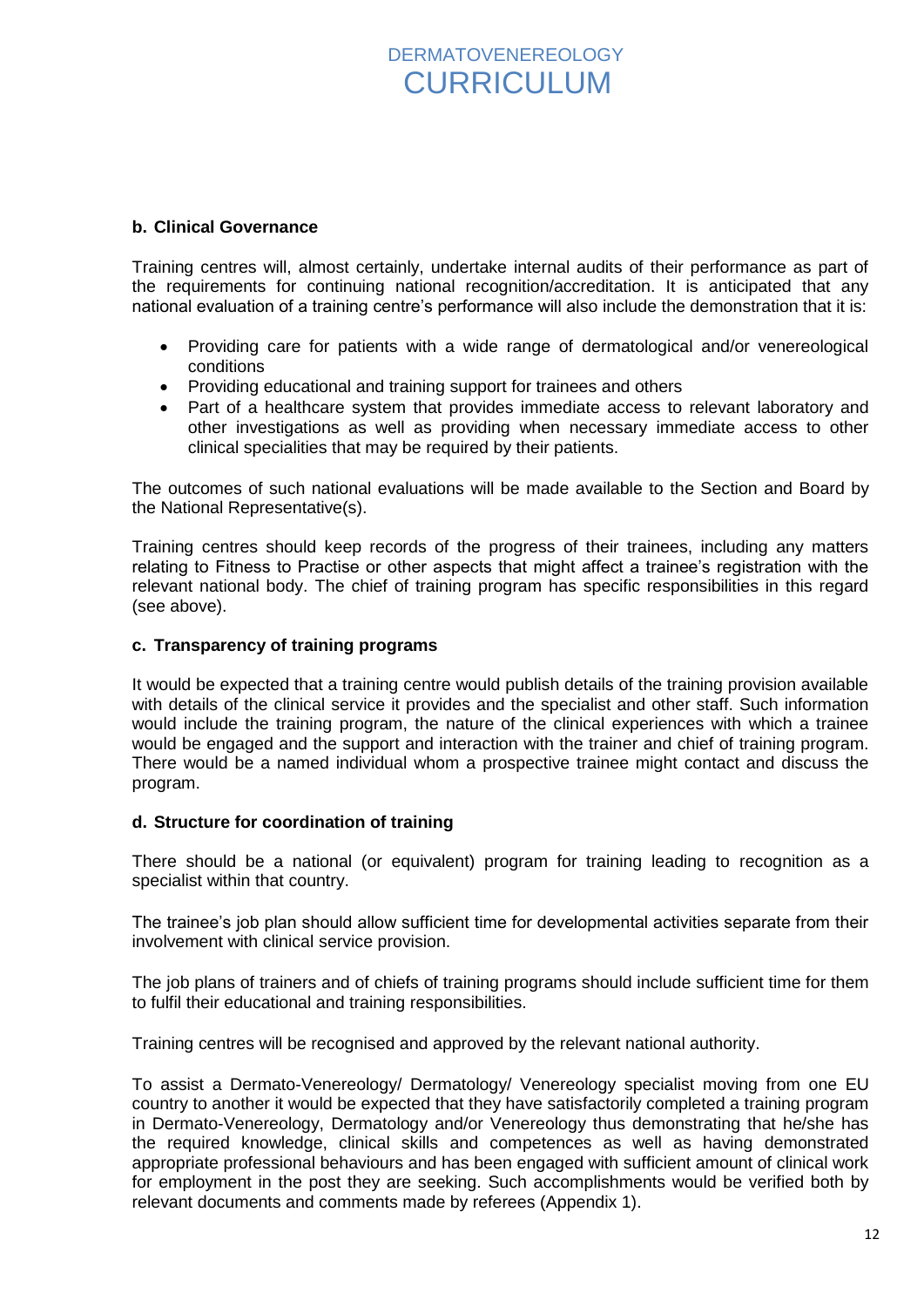#### **b. Clinical Governance**

Training centres will, almost certainly, undertake internal audits of their performance as part of the requirements for continuing national recognition/accreditation. It is anticipated that any national evaluation of a training centre's performance will also include the demonstration that it is:

- Providing care for patients with a wide range of dermatological and/or venereological conditions
- Providing educational and training support for trainees and others
- Part of a healthcare system that provides immediate access to relevant laboratory and other investigations as well as providing when necessary immediate access to other clinical specialities that may be required by their patients.

The outcomes of such national evaluations will be made available to the Section and Board by the National Representative(s).

Training centres should keep records of the progress of their trainees, including any matters relating to Fitness to Practise or other aspects that might affect a trainee's registration with the relevant national body. The chief of training program has specific responsibilities in this regard (see above).

#### **c. Transparency of training programs**

It would be expected that a training centre would publish details of the training provision available with details of the clinical service it provides and the specialist and other staff. Such information would include the training program, the nature of the clinical experiences with which a trainee would be engaged and the support and interaction with the trainer and chief of training program. There would be a named individual whom a prospective trainee might contact and discuss the program.

#### **d. Structure for coordination of training**

There should be a national (or equivalent) program for training leading to recognition as a specialist within that country.

The trainee's job plan should allow sufficient time for developmental activities separate from their involvement with clinical service provision.

The job plans of trainers and of chiefs of training programs should include sufficient time for them to fulfil their educational and training responsibilities.

Training centres will be recognised and approved by the relevant national authority.

To assist a Dermato-Venereology/ Dermatology/ Venereology specialist moving from one EU country to another it would be expected that they have satisfactorily completed a training program in Dermato-Venereology, Dermatology and/or Venereology thus demonstrating that he/she has the required knowledge, clinical skills and competences as well as having demonstrated appropriate professional behaviours and has been engaged with sufficient amount of clinical work for employment in the post they are seeking. Such accomplishments would be verified both by relevant documents and comments made by referees (Appendix 1).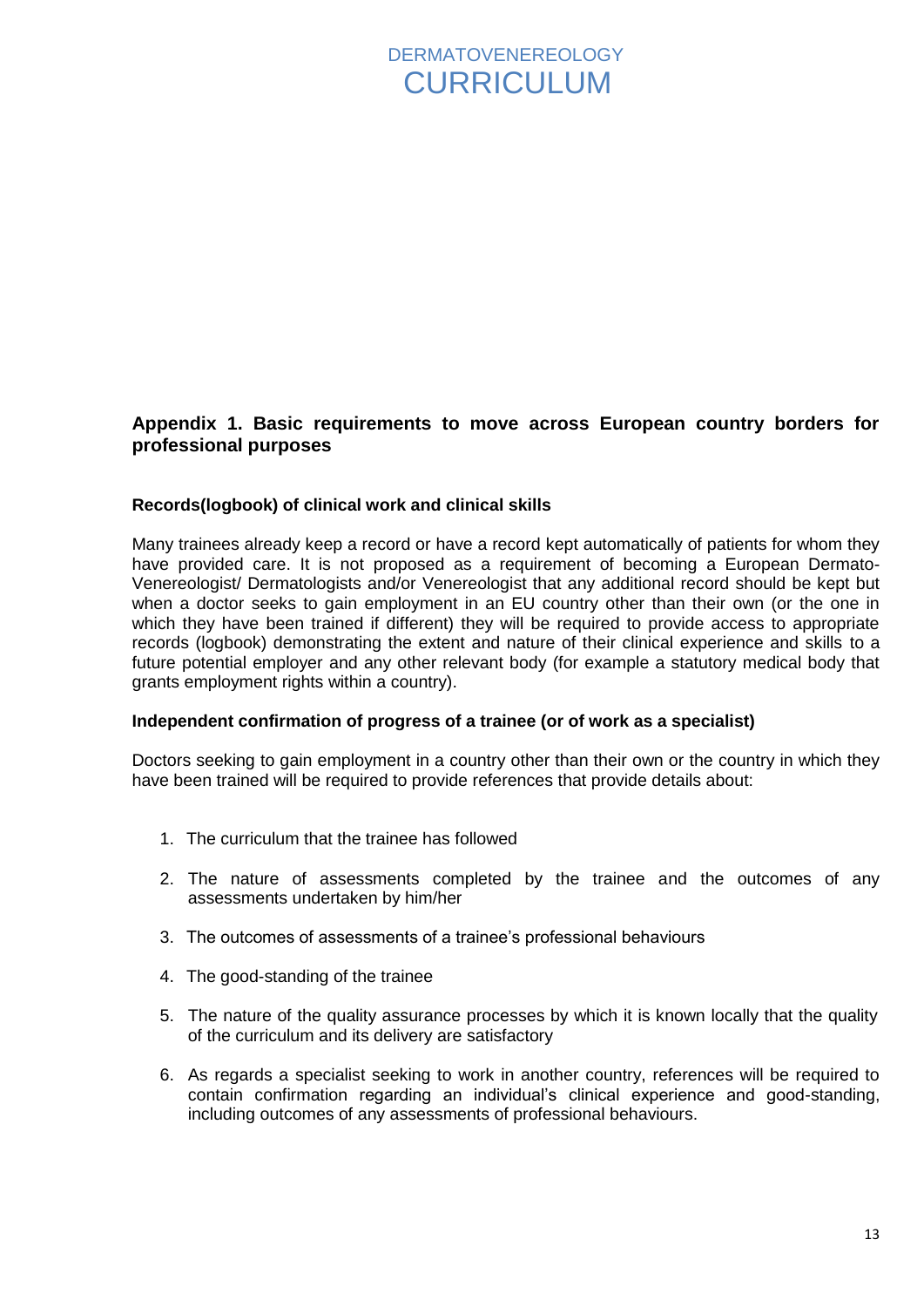### **Appendix 1. Basic requirements to move across European country borders for professional purposes**

#### **Records(logbook) of clinical work and clinical skills**

Many trainees already keep a record or have a record kept automatically of patients for whom they have provided care. It is not proposed as a requirement of becoming a European Dermato-Venereologist/ Dermatologists and/or Venereologist that any additional record should be kept but when a doctor seeks to gain employment in an EU country other than their own (or the one in which they have been trained if different) they will be required to provide access to appropriate records (logbook) demonstrating the extent and nature of their clinical experience and skills to a future potential employer and any other relevant body (for example a statutory medical body that grants employment rights within a country).

#### **Independent confirmation of progress of a trainee (or of work as a specialist)**

Doctors seeking to gain employment in a country other than their own or the country in which they have been trained will be required to provide references that provide details about:

- 1. The curriculum that the trainee has followed
- 2. The nature of assessments completed by the trainee and the outcomes of any assessments undertaken by him/her
- 3. The outcomes of assessments of a trainee's professional behaviours
- 4. The good-standing of the trainee
- 5. The nature of the quality assurance processes by which it is known locally that the quality of the curriculum and its delivery are satisfactory
- 6. As regards a specialist seeking to work in another country, references will be required to contain confirmation regarding an individual's clinical experience and good-standing, including outcomes of any assessments of professional behaviours.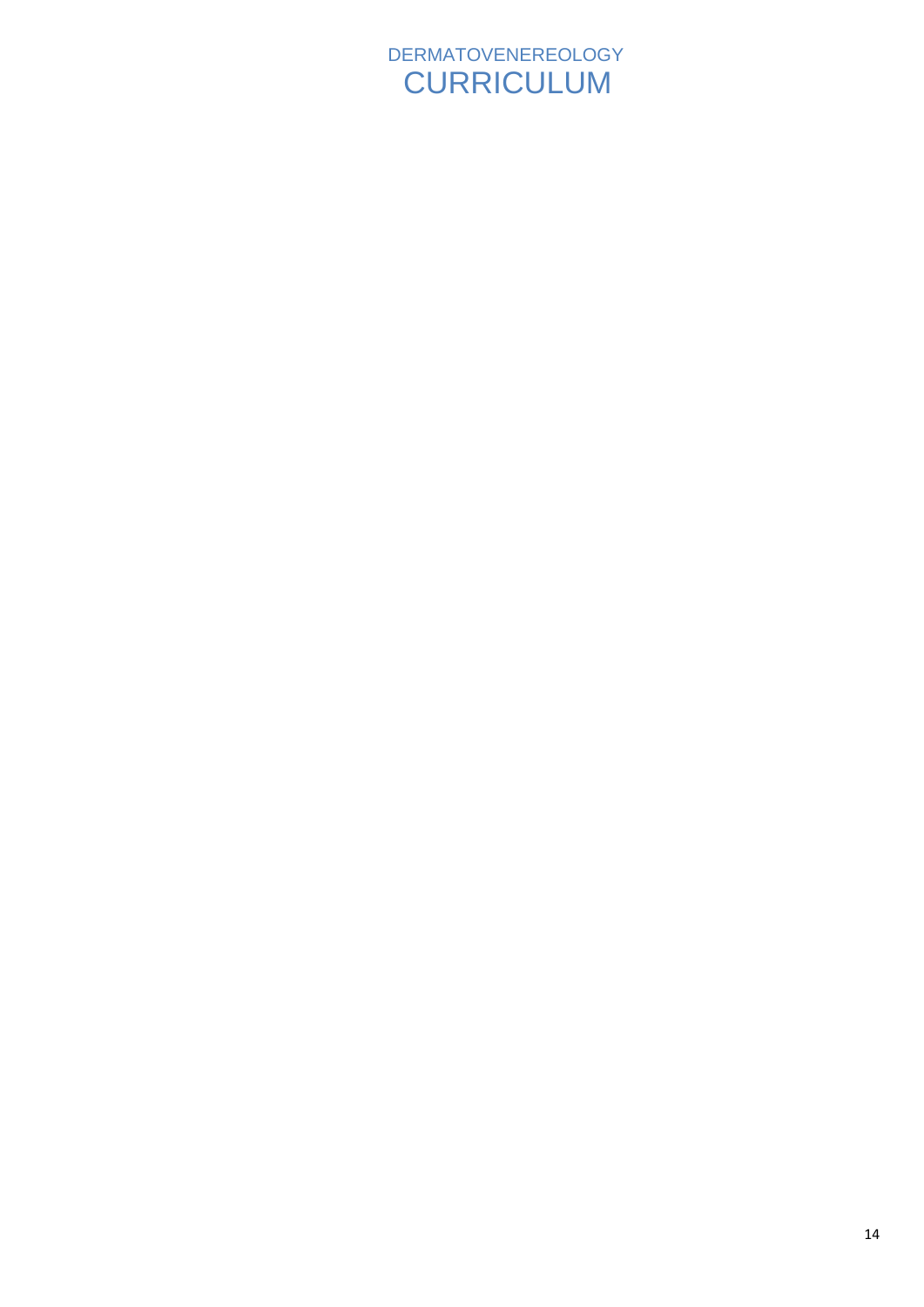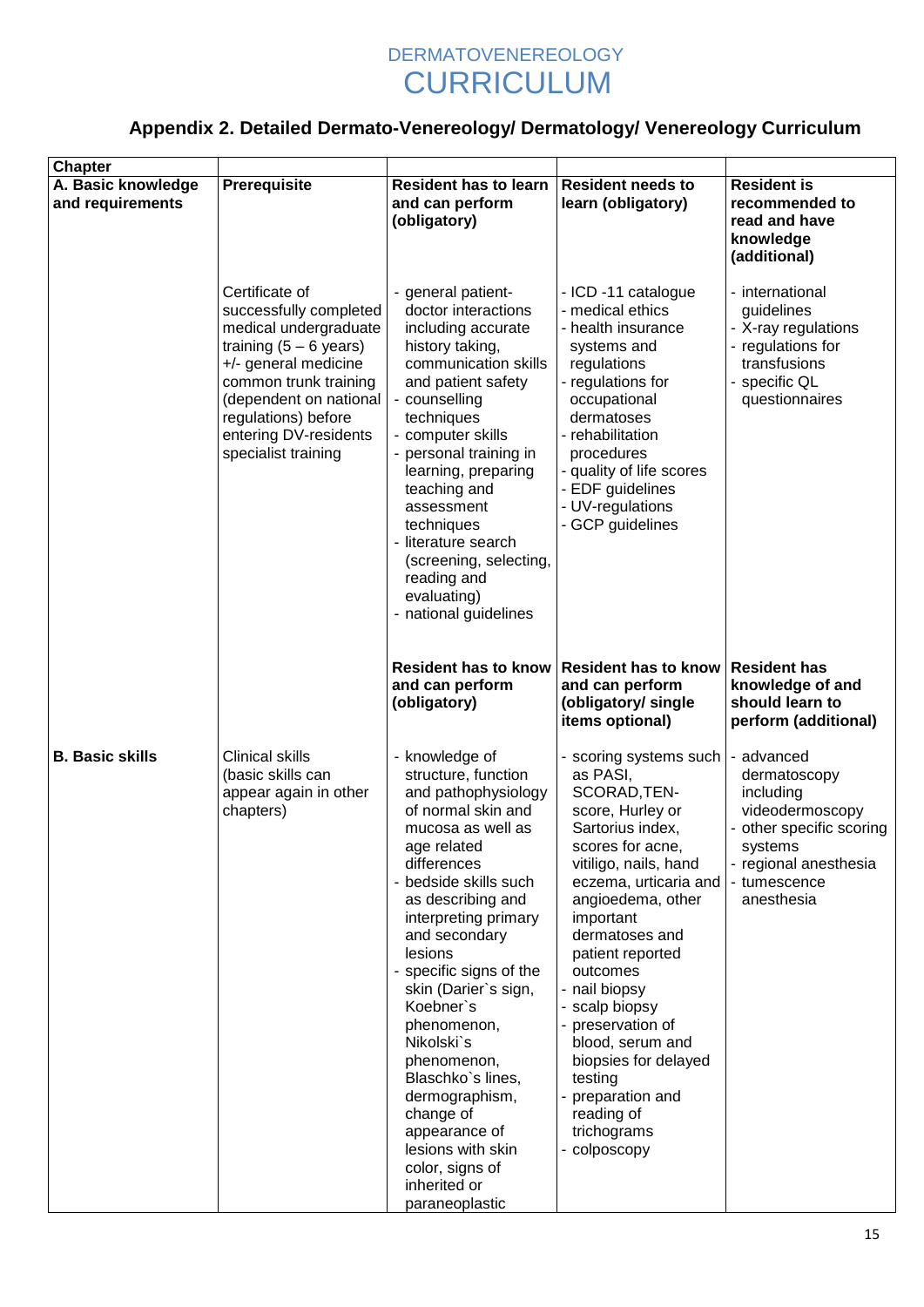## **Appendix 2. Detailed Dermato-Venereology/ Dermatology/ Venereology Curriculum**

| <b>Chapter</b>                         |                                                                                                                                                                                                                                                 |                                                                                                                                                                                                                                                                                                                                                                                                                                                                                                  |                                                                                                                                                                                                                                                                                                                                                                                                                                 |                                                                                                                                                          |
|----------------------------------------|-------------------------------------------------------------------------------------------------------------------------------------------------------------------------------------------------------------------------------------------------|--------------------------------------------------------------------------------------------------------------------------------------------------------------------------------------------------------------------------------------------------------------------------------------------------------------------------------------------------------------------------------------------------------------------------------------------------------------------------------------------------|---------------------------------------------------------------------------------------------------------------------------------------------------------------------------------------------------------------------------------------------------------------------------------------------------------------------------------------------------------------------------------------------------------------------------------|----------------------------------------------------------------------------------------------------------------------------------------------------------|
| A. Basic knowledge<br>and requirements | <b>Prerequisite</b>                                                                                                                                                                                                                             | <b>Resident has to learn</b><br>and can perform<br>(obligatory)                                                                                                                                                                                                                                                                                                                                                                                                                                  | <b>Resident needs to</b><br>learn (obligatory)                                                                                                                                                                                                                                                                                                                                                                                  | <b>Resident is</b><br>recommended to<br>read and have<br>knowledge<br>(additional)                                                                       |
|                                        | Certificate of<br>successfully completed<br>medical undergraduate<br>training $(5 - 6$ years)<br>+/- general medicine<br>common trunk training<br>(dependent on national<br>regulations) before<br>entering DV-residents<br>specialist training | general patient-<br>doctor interactions<br>including accurate<br>history taking,<br>communication skills<br>and patient safety<br>- counselling<br>techniques<br>- computer skills<br>- personal training in<br>learning, preparing<br>teaching and<br>assessment<br>techniques<br>- literature search<br>(screening, selecting,<br>reading and<br>evaluating)<br>- national guidelines                                                                                                          | - ICD -11 catalogue<br>- medical ethics<br>- health insurance<br>systems and<br>regulations<br>- regulations for<br>occupational<br>dermatoses<br>- rehabilitation<br>procedures<br>- quality of life scores<br>- EDF guidelines<br>- UV-regulations<br>- GCP guidelines                                                                                                                                                        | - international<br>guidelines<br>- X-ray regulations<br>- regulations for<br>transfusions<br>- specific QL<br>questionnaires                             |
|                                        |                                                                                                                                                                                                                                                 | <b>Resident has to know</b><br>and can perform<br>(obligatory)                                                                                                                                                                                                                                                                                                                                                                                                                                   | <b>Resident has to know</b><br>and can perform<br>(obligatory/single<br>items optional)                                                                                                                                                                                                                                                                                                                                         | <b>Resident has</b><br>knowledge of and<br>should learn to<br>perform (additional)                                                                       |
| <b>B. Basic skills</b>                 | <b>Clinical skills</b><br>(basic skills can<br>appear again in other<br>chapters)                                                                                                                                                               | - knowledge of<br>structure, function<br>and pathophysiology<br>of normal skin and<br>mucosa as well as<br>age related<br>differences<br>- bedside skills such<br>as describing and<br>interpreting primary<br>and secondary<br>lesions<br>specific signs of the<br>skin (Darier's sign,<br>Koebner's<br>phenomenon,<br>Nikolski`s<br>phenomenon,<br>Blaschko's lines,<br>dermographism,<br>change of<br>appearance of<br>lesions with skin<br>color, signs of<br>inherited or<br>paraneoplastic | - scoring systems such<br>as PASI,<br>SCORAD, TEN-<br>score, Hurley or<br>Sartorius index,<br>scores for acne.<br>vitiligo, nails, hand<br>eczema, urticaria and<br>angioedema, other<br>important<br>dermatoses and<br>patient reported<br>outcomes<br>nail biopsy<br>scalp biopsy<br>preservation of<br>blood, serum and<br>biopsies for delayed<br>testing<br>- preparation and<br>reading of<br>trichograms<br>- colposcopy | - advanced<br>dermatoscopy<br>including<br>videodermoscopy<br>- other specific scoring<br>systems<br>- regional anesthesia<br>- tumescence<br>anesthesia |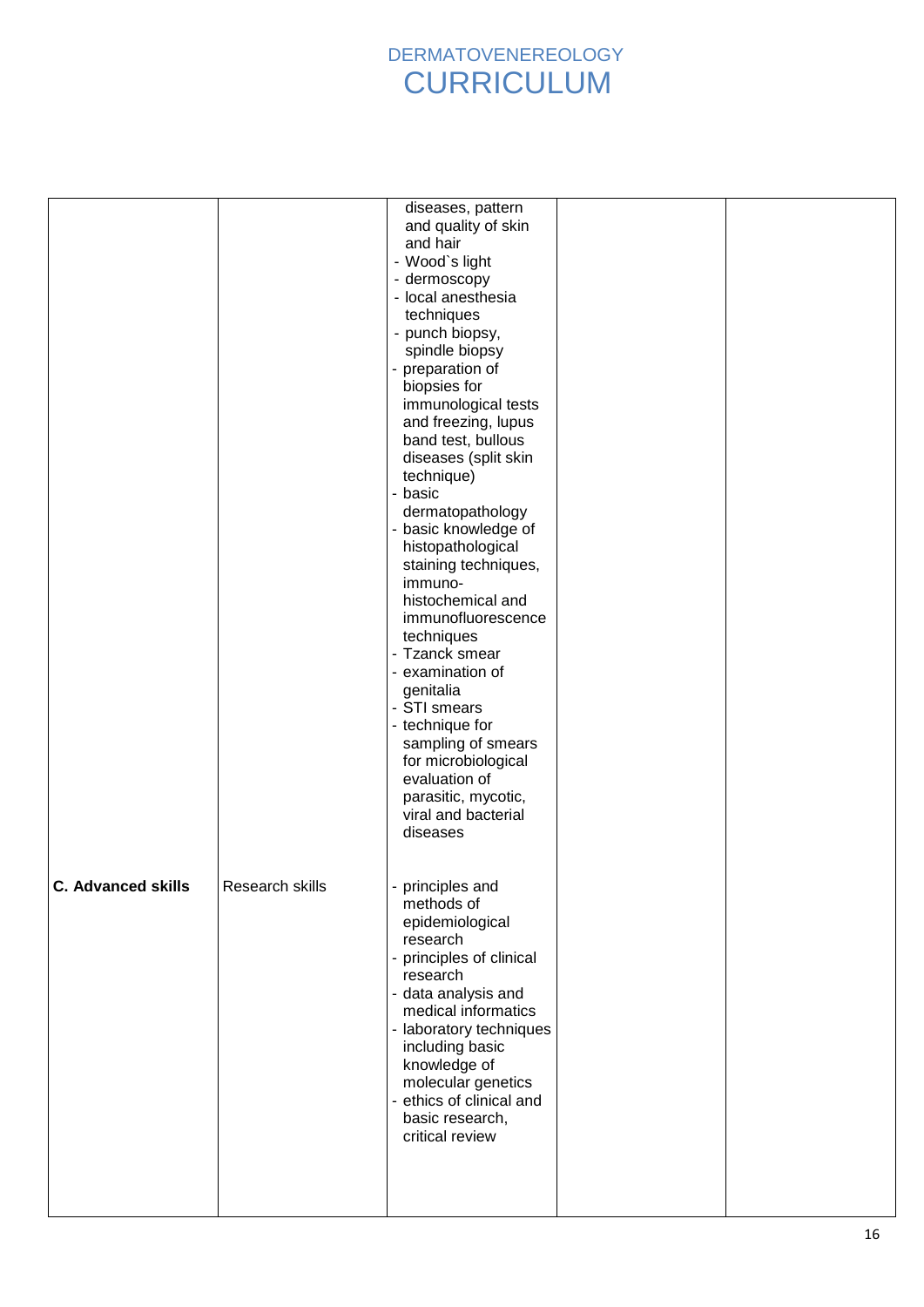|                           |                 | diseases, pattern<br>and quality of skin<br>and hair<br>- Wood's light<br>- dermoscopy<br>- local anesthesia<br>techniques<br>- punch biopsy,<br>spindle biopsy<br>preparation of<br>biopsies for<br>immunological tests<br>and freezing, lupus<br>band test, bullous<br>diseases (split skin<br>technique)<br>- basic<br>dermatopathology<br>- basic knowledge of<br>histopathological<br>staining techniques,<br>immuno-<br>histochemical and<br>immunofluorescence<br>techniques<br>- Tzanck smear<br>- examination of<br>genitalia<br>- STI smears<br>- technique for<br>sampling of smears<br>for microbiological<br>evaluation of<br>parasitic, mycotic, |  |
|---------------------------|-----------------|----------------------------------------------------------------------------------------------------------------------------------------------------------------------------------------------------------------------------------------------------------------------------------------------------------------------------------------------------------------------------------------------------------------------------------------------------------------------------------------------------------------------------------------------------------------------------------------------------------------------------------------------------------------|--|
| <b>C. Advanced skills</b> | Research skills | viral and bacterial<br>diseases<br>- principles and<br>methods of<br>epidemiological<br>research<br>principles of clinical<br>research<br>- data analysis and<br>medical informatics<br>- laboratory techniques<br>including basic<br>knowledge of<br>molecular genetics<br>- ethics of clinical and<br>basic research,<br>critical review                                                                                                                                                                                                                                                                                                                     |  |
|                           |                 |                                                                                                                                                                                                                                                                                                                                                                                                                                                                                                                                                                                                                                                                |  |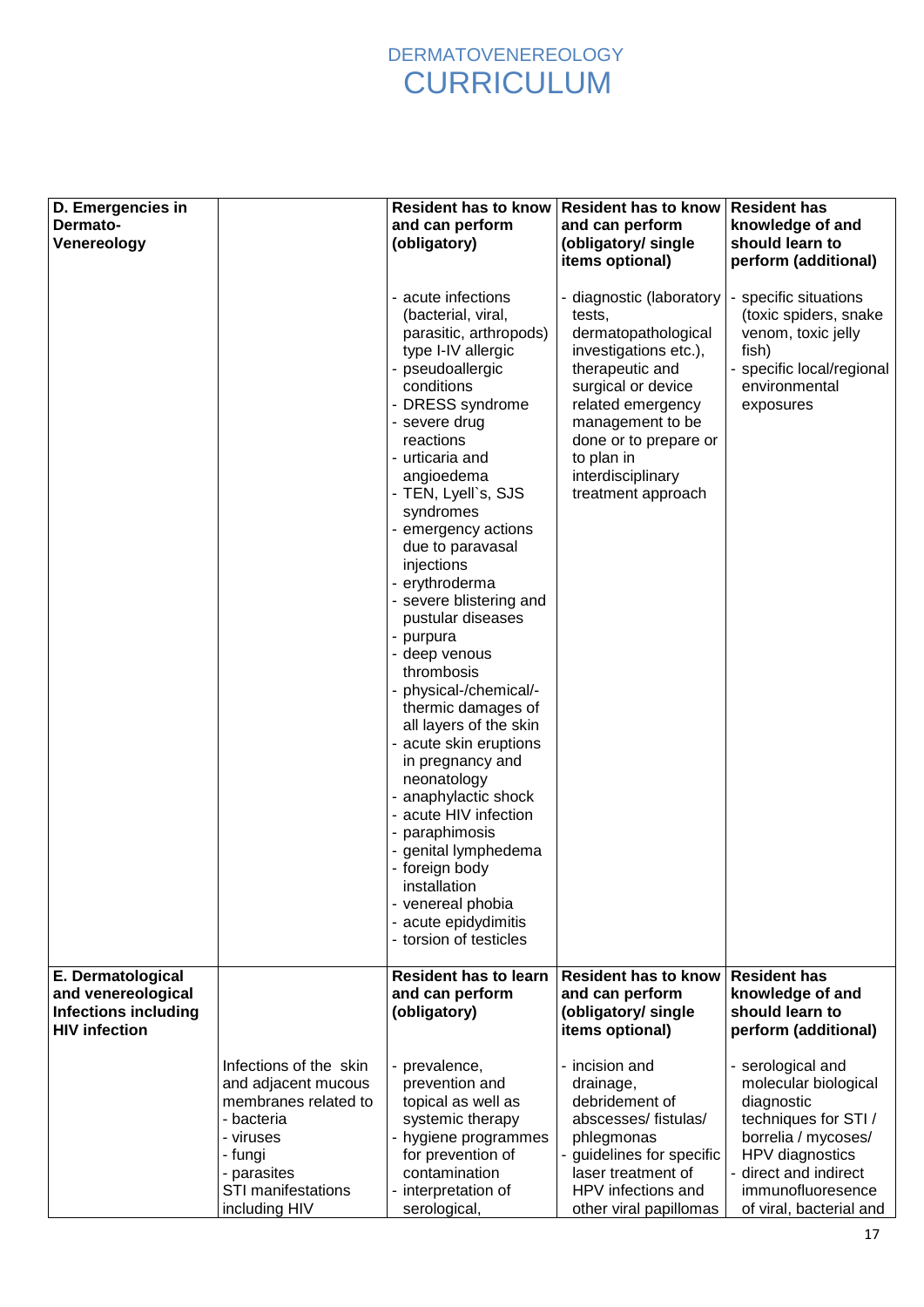| D. Emergencies in<br>Dermato-                                             |                                                                                                                                                                   | <b>Resident has to know</b><br>and can perform                                                                                                                                                                                                                                                                                                                                                                                                                                                                                                                                                                                                                                                                                                                | <b>Resident has to know</b><br>and can perform                                                                                                                                                                                                         | <b>Resident has</b><br>knowledge of and                                                                                                                                                            |
|---------------------------------------------------------------------------|-------------------------------------------------------------------------------------------------------------------------------------------------------------------|---------------------------------------------------------------------------------------------------------------------------------------------------------------------------------------------------------------------------------------------------------------------------------------------------------------------------------------------------------------------------------------------------------------------------------------------------------------------------------------------------------------------------------------------------------------------------------------------------------------------------------------------------------------------------------------------------------------------------------------------------------------|--------------------------------------------------------------------------------------------------------------------------------------------------------------------------------------------------------------------------------------------------------|----------------------------------------------------------------------------------------------------------------------------------------------------------------------------------------------------|
| Venereology                                                               |                                                                                                                                                                   | (obligatory)                                                                                                                                                                                                                                                                                                                                                                                                                                                                                                                                                                                                                                                                                                                                                  | (obligatory/single                                                                                                                                                                                                                                     | should learn to                                                                                                                                                                                    |
|                                                                           |                                                                                                                                                                   |                                                                                                                                                                                                                                                                                                                                                                                                                                                                                                                                                                                                                                                                                                                                                               | items optional)                                                                                                                                                                                                                                        | perform (additional)                                                                                                                                                                               |
|                                                                           |                                                                                                                                                                   | - acute infections<br>(bacterial, viral,<br>parasitic, arthropods)<br>type I-IV allergic<br>pseudoallergic<br>conditions<br>- DRESS syndrome<br>- severe drug<br>reactions<br>- urticaria and<br>angioedema<br>- TEN, Lyell`s, SJS<br>syndromes<br>- emergency actions<br>due to paravasal<br>injections<br>- erythroderma<br>- severe blistering and<br>pustular diseases<br>- purpura<br>- deep venous<br>thrombosis<br>physical-/chemical/-<br>thermic damages of<br>all layers of the skin<br>- acute skin eruptions<br>in pregnancy and<br>neonatology<br>anaphylactic shock<br>- acute HIV infection<br>- paraphimosis<br>- genital lymphedema<br>- foreign body<br>installation<br>- venereal phobia<br>- acute epidydimitis<br>- torsion of testicles | - diagnostic (laboratory<br>tests,<br>dermatopathological<br>investigations etc.),<br>therapeutic and<br>surgical or device<br>related emergency<br>management to be<br>done or to prepare or<br>to plan in<br>interdisciplinary<br>treatment approach | - specific situations<br>(toxic spiders, snake<br>venom, toxic jelly<br>fish)<br>- specific local/regional<br>environmental<br>exposures                                                           |
| E. Dermatological                                                         |                                                                                                                                                                   | <b>Resident has to learn</b>                                                                                                                                                                                                                                                                                                                                                                                                                                                                                                                                                                                                                                                                                                                                  | <b>Resident has to know</b>                                                                                                                                                                                                                            | <b>Resident has</b>                                                                                                                                                                                |
| and venereological<br><b>Infections including</b><br><b>HIV</b> infection |                                                                                                                                                                   | and can perform<br>(obligatory)                                                                                                                                                                                                                                                                                                                                                                                                                                                                                                                                                                                                                                                                                                                               | and can perform<br>(obligatory/single<br>items optional)                                                                                                                                                                                               | knowledge of and<br>should learn to<br>perform (additional)                                                                                                                                        |
|                                                                           | Infections of the skin<br>and adjacent mucous<br>membranes related to<br>- bacteria<br>- viruses<br>- fungi<br>- parasites<br>STI manifestations<br>including HIV | - prevalence,<br>prevention and<br>topical as well as<br>systemic therapy<br>- hygiene programmes<br>for prevention of<br>contamination<br>- interpretation of<br>serological,                                                                                                                                                                                                                                                                                                                                                                                                                                                                                                                                                                                | - incision and<br>drainage,<br>debridement of<br>abscesses/fistulas/<br>phlegmonas<br>- guidelines for specific<br>laser treatment of<br>HPV infections and<br>other viral papillomas                                                                  | - serological and<br>molecular biological<br>diagnostic<br>techniques for STI /<br>borrelia / mycoses/<br>HPV diagnostics<br>- direct and indirect<br>immunofluoresence<br>of viral, bacterial and |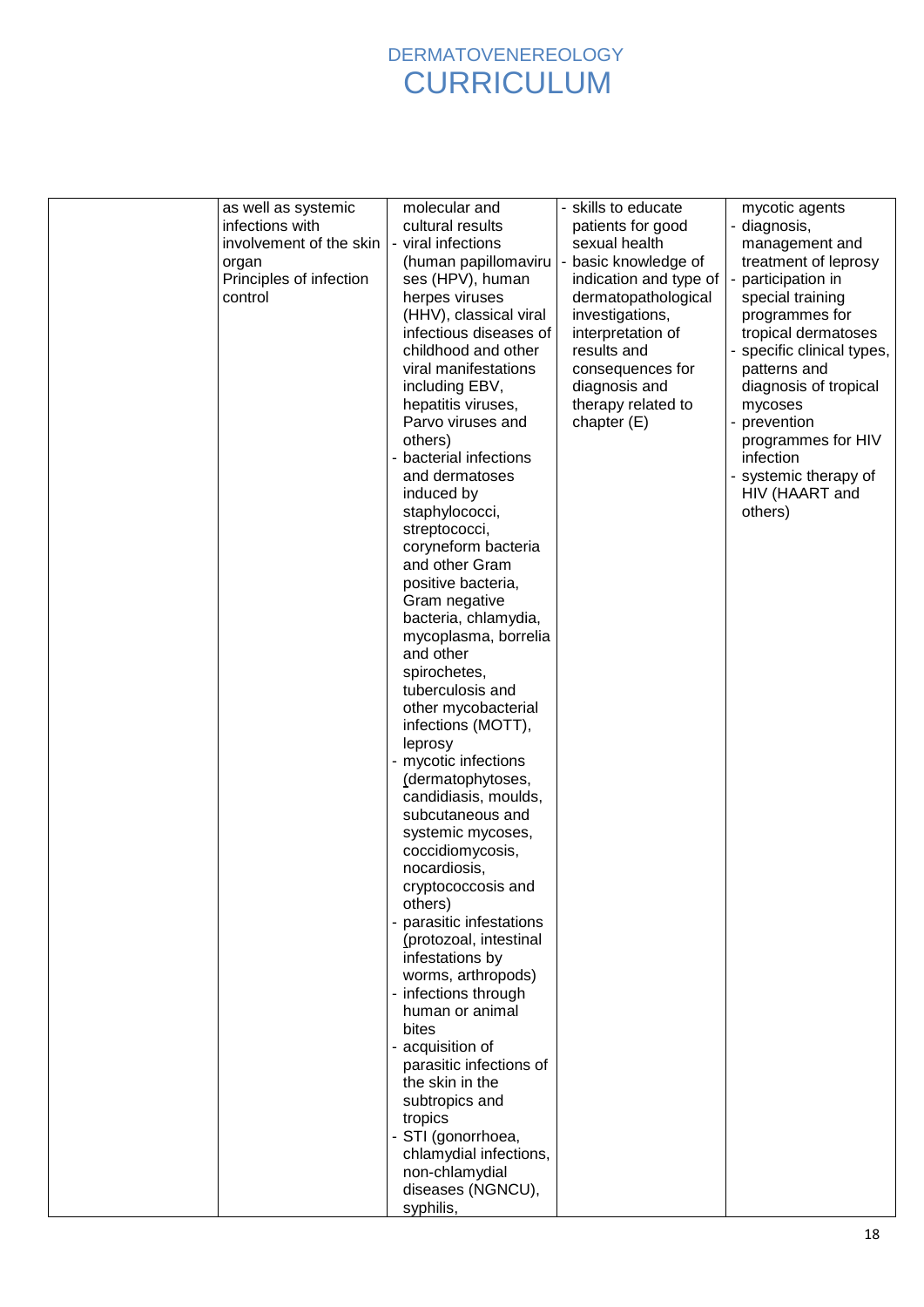| as well as systemic     | molecular and                         | - skills to educate                  | mycotic agents                           |
|-------------------------|---------------------------------------|--------------------------------------|------------------------------------------|
| infections with         | cultural results                      | patients for good                    | diagnosis,                               |
| involvement of the skin | - viral infections                    | sexual health                        | management and                           |
| organ                   | (human papillomaviru                  | basic knowledge of<br>$\blacksquare$ | treatment of leprosy                     |
| Principles of infection | ses (HPV), human                      | indication and type of               | participation in                         |
| control                 | herpes viruses                        | dermatopathological                  | special training                         |
|                         | (HHV), classical viral                | investigations,                      | programmes for                           |
|                         | infectious diseases of                | interpretation of                    | tropical dermatoses                      |
|                         | childhood and other                   |                                      |                                          |
|                         | viral manifestations                  | results and                          | specific clinical types,<br>patterns and |
|                         |                                       | consequences for                     |                                          |
|                         | including EBV,                        | diagnosis and                        | diagnosis of tropical                    |
|                         | hepatitis viruses,                    | therapy related to                   | mycoses                                  |
|                         | Parvo viruses and                     | chapter (E)                          | prevention                               |
|                         | others)                               |                                      | programmes for HIV                       |
|                         | bacterial infections                  |                                      | infection                                |
|                         | and dermatoses                        |                                      | systemic therapy of                      |
|                         | induced by                            |                                      | HIV (HAART and                           |
|                         | staphylococci,                        |                                      | others)                                  |
|                         | streptococci,                         |                                      |                                          |
|                         | coryneform bacteria<br>and other Gram |                                      |                                          |
|                         |                                       |                                      |                                          |
|                         | positive bacteria,                    |                                      |                                          |
|                         | Gram negative<br>bacteria, chlamydia, |                                      |                                          |
|                         | mycoplasma, borrelia                  |                                      |                                          |
|                         | and other                             |                                      |                                          |
|                         | spirochetes,                          |                                      |                                          |
|                         | tuberculosis and                      |                                      |                                          |
|                         | other mycobacterial                   |                                      |                                          |
|                         | infections (MOTT),                    |                                      |                                          |
|                         | leprosy                               |                                      |                                          |
|                         | - mycotic infections                  |                                      |                                          |
|                         | (dermatophytoses,                     |                                      |                                          |
|                         | candidiasis, moulds,                  |                                      |                                          |
|                         | subcutaneous and                      |                                      |                                          |
|                         | systemic mycoses,                     |                                      |                                          |
|                         | coccidiomycosis,                      |                                      |                                          |
|                         | nocardiosis,                          |                                      |                                          |
|                         | cryptococcosis and                    |                                      |                                          |
|                         | others)                               |                                      |                                          |
|                         | - parasitic infestations              |                                      |                                          |
|                         | (protozoal, intestinal                |                                      |                                          |
|                         | infestations by                       |                                      |                                          |
|                         | worms, arthropods)                    |                                      |                                          |
|                         | - infections through                  |                                      |                                          |
|                         | human or animal                       |                                      |                                          |
|                         | bites                                 |                                      |                                          |
|                         | - acquisition of                      |                                      |                                          |
|                         | parasitic infections of               |                                      |                                          |
|                         | the skin in the                       |                                      |                                          |
|                         | subtropics and                        |                                      |                                          |
|                         | tropics                               |                                      |                                          |
|                         | STI (gonorrhoea,                      |                                      |                                          |
|                         | chlamydial infections,                |                                      |                                          |
|                         | non-chlamydial                        |                                      |                                          |
|                         | diseases (NGNCU),                     |                                      |                                          |
|                         | syphilis,                             |                                      |                                          |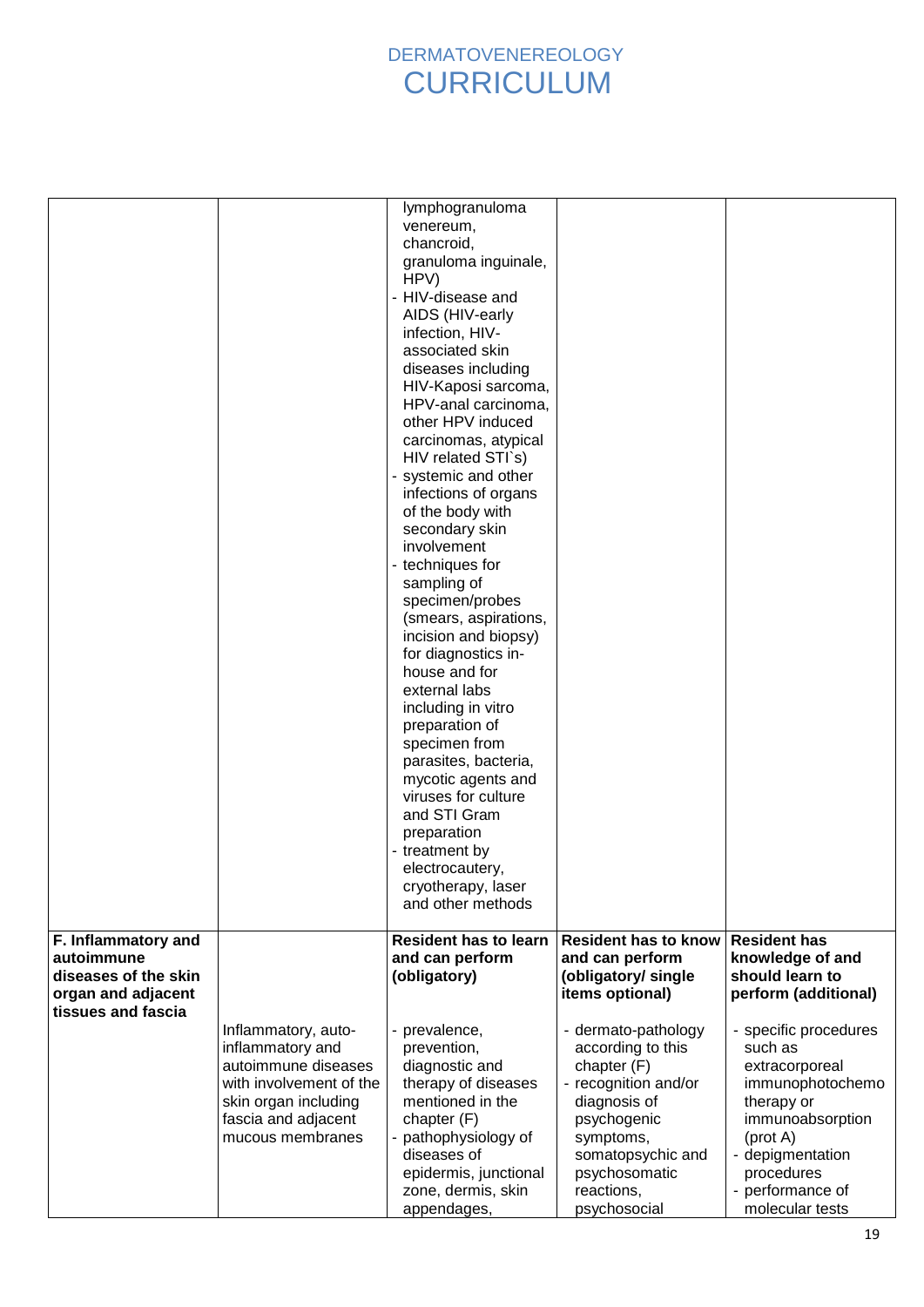|                                                                                                       |                                                                                                                                                              | lymphogranuloma<br>venereum,<br>chancroid,<br>granuloma inguinale,<br>HPV)<br>- HIV-disease and<br>AIDS (HIV-early<br>infection, HIV-<br>associated skin<br>diseases including<br>HIV-Kaposi sarcoma,<br>HPV-anal carcinoma,<br>other HPV induced<br>carcinomas, atypical<br>HIV related STI's)<br>- systemic and other<br>infections of organs<br>of the body with<br>secondary skin<br>involvement<br>- techniques for<br>sampling of<br>specimen/probes<br>(smears, aspirations,<br>incision and biopsy)<br>for diagnostics in-<br>house and for<br>external labs<br>including in vitro<br>preparation of<br>specimen from<br>parasites, bacteria,<br>mycotic agents and<br>viruses for culture<br>and STI Gram<br>preparation<br>- treatment by<br>electrocautery,<br>cryotherapy, laser<br>and other methods |                                                                                                                                                                                             |                                                                                                                                                                                               |
|-------------------------------------------------------------------------------------------------------|--------------------------------------------------------------------------------------------------------------------------------------------------------------|-------------------------------------------------------------------------------------------------------------------------------------------------------------------------------------------------------------------------------------------------------------------------------------------------------------------------------------------------------------------------------------------------------------------------------------------------------------------------------------------------------------------------------------------------------------------------------------------------------------------------------------------------------------------------------------------------------------------------------------------------------------------------------------------------------------------|---------------------------------------------------------------------------------------------------------------------------------------------------------------------------------------------|-----------------------------------------------------------------------------------------------------------------------------------------------------------------------------------------------|
| F. Inflammatory and<br>autoimmune<br>diseases of the skin<br>organ and adjacent<br>tissues and fascia |                                                                                                                                                              | <b>Resident has to learn</b><br>and can perform<br>(obligatory)                                                                                                                                                                                                                                                                                                                                                                                                                                                                                                                                                                                                                                                                                                                                                   | <b>Resident has to know</b><br>and can perform<br>(obligatory/single<br>items optional)                                                                                                     | <b>Resident has</b><br>knowledge of and<br>should learn to<br>perform (additional)                                                                                                            |
|                                                                                                       | Inflammatory, auto-<br>inflammatory and<br>autoimmune diseases<br>with involvement of the<br>skin organ including<br>fascia and adjacent<br>mucous membranes | - prevalence,<br>prevention,<br>diagnostic and<br>therapy of diseases<br>mentioned in the<br>chapter (F)<br>- pathophysiology of<br>diseases of<br>epidermis, junctional<br>zone, dermis, skin<br>appendages,                                                                                                                                                                                                                                                                                                                                                                                                                                                                                                                                                                                                     | dermato-pathology<br>according to this<br>chapter (F)<br>recognition and/or<br>diagnosis of<br>psychogenic<br>symptoms,<br>somatopsychic and<br>psychosomatic<br>reactions,<br>psychosocial | - specific procedures<br>such as<br>extracorporeal<br>immunophotochemo<br>therapy or<br>immunoabsorption<br>(prot A)<br>- depigmentation<br>procedures<br>- performance of<br>molecular tests |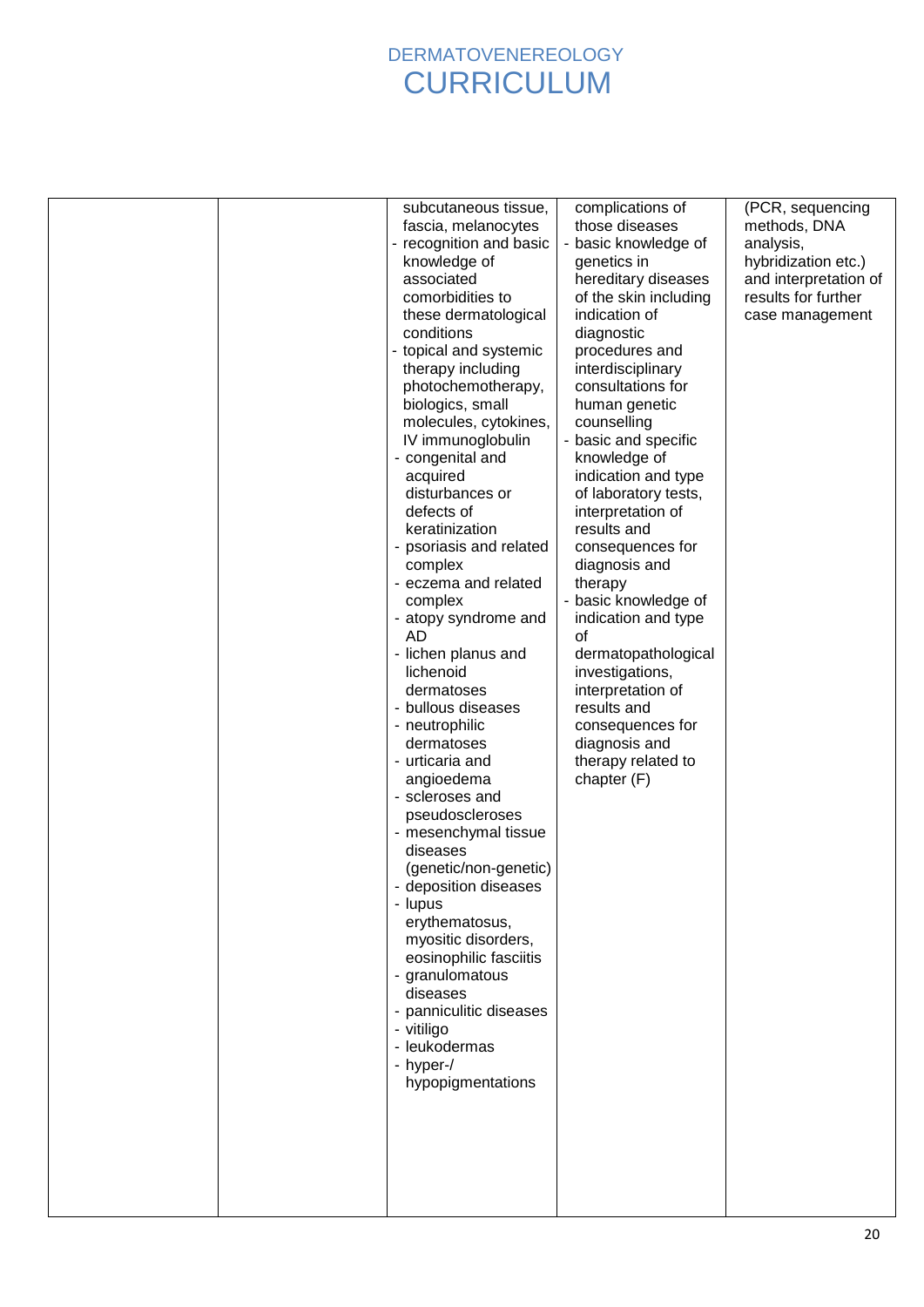|  |  | subcutaneous tissue,<br>fascia, melanocytes<br>- recognition and basic<br>knowledge of<br>associated<br>comorbidities to<br>these dermatological<br>conditions<br>- topical and systemic<br>therapy including<br>photochemotherapy,<br>biologics, small<br>molecules, cytokines,<br>IV immunoglobulin<br>- congenital and<br>acquired<br>disturbances or<br>defects of<br>keratinization<br>psoriasis and related<br>complex<br>- eczema and related<br>complex<br>- atopy syndrome and<br>AD<br>- lichen planus and<br>lichenoid<br>dermatoses<br>- bullous diseases<br>- neutrophilic<br>dermatoses<br>- urticaria and<br>angioedema<br>- scleroses and<br>pseudoscleroses<br>- mesenchymal tissue<br>diseases<br>(genetic/non-genetic)<br>- deposition diseases<br>- lupus<br>erythematosus,<br>myositic disorders,<br>eosinophilic fasciitis<br>- granulomatous<br>diseases<br>- panniculitic diseases<br>- vitiligo<br>- leukodermas<br>- hyper-/<br>hypopigmentations | complications of<br>those diseases<br>basic knowledge of<br>genetics in<br>hereditary diseases<br>of the skin including<br>indication of<br>diagnostic<br>procedures and<br>interdisciplinary<br>consultations for<br>human genetic<br>counselling<br>- basic and specific<br>knowledge of<br>indication and type<br>of laboratory tests,<br>interpretation of<br>results and<br>consequences for<br>diagnosis and<br>therapy<br>- basic knowledge of<br>indication and type<br>οf<br>dermatopathological<br>investigations,<br>interpretation of<br>results and<br>consequences for<br>diagnosis and<br>therapy related to<br>chapter $(F)$ | (PCR, sequencing<br>methods, DNA<br>analysis,<br>hybridization etc.)<br>and interpretation of<br>results for further<br>case management |
|--|--|-----------------------------------------------------------------------------------------------------------------------------------------------------------------------------------------------------------------------------------------------------------------------------------------------------------------------------------------------------------------------------------------------------------------------------------------------------------------------------------------------------------------------------------------------------------------------------------------------------------------------------------------------------------------------------------------------------------------------------------------------------------------------------------------------------------------------------------------------------------------------------------------------------------------------------------------------------------------------------|----------------------------------------------------------------------------------------------------------------------------------------------------------------------------------------------------------------------------------------------------------------------------------------------------------------------------------------------------------------------------------------------------------------------------------------------------------------------------------------------------------------------------------------------------------------------------------------------------------------------------------------------|-----------------------------------------------------------------------------------------------------------------------------------------|
|--|--|-----------------------------------------------------------------------------------------------------------------------------------------------------------------------------------------------------------------------------------------------------------------------------------------------------------------------------------------------------------------------------------------------------------------------------------------------------------------------------------------------------------------------------------------------------------------------------------------------------------------------------------------------------------------------------------------------------------------------------------------------------------------------------------------------------------------------------------------------------------------------------------------------------------------------------------------------------------------------------|----------------------------------------------------------------------------------------------------------------------------------------------------------------------------------------------------------------------------------------------------------------------------------------------------------------------------------------------------------------------------------------------------------------------------------------------------------------------------------------------------------------------------------------------------------------------------------------------------------------------------------------------|-----------------------------------------------------------------------------------------------------------------------------------------|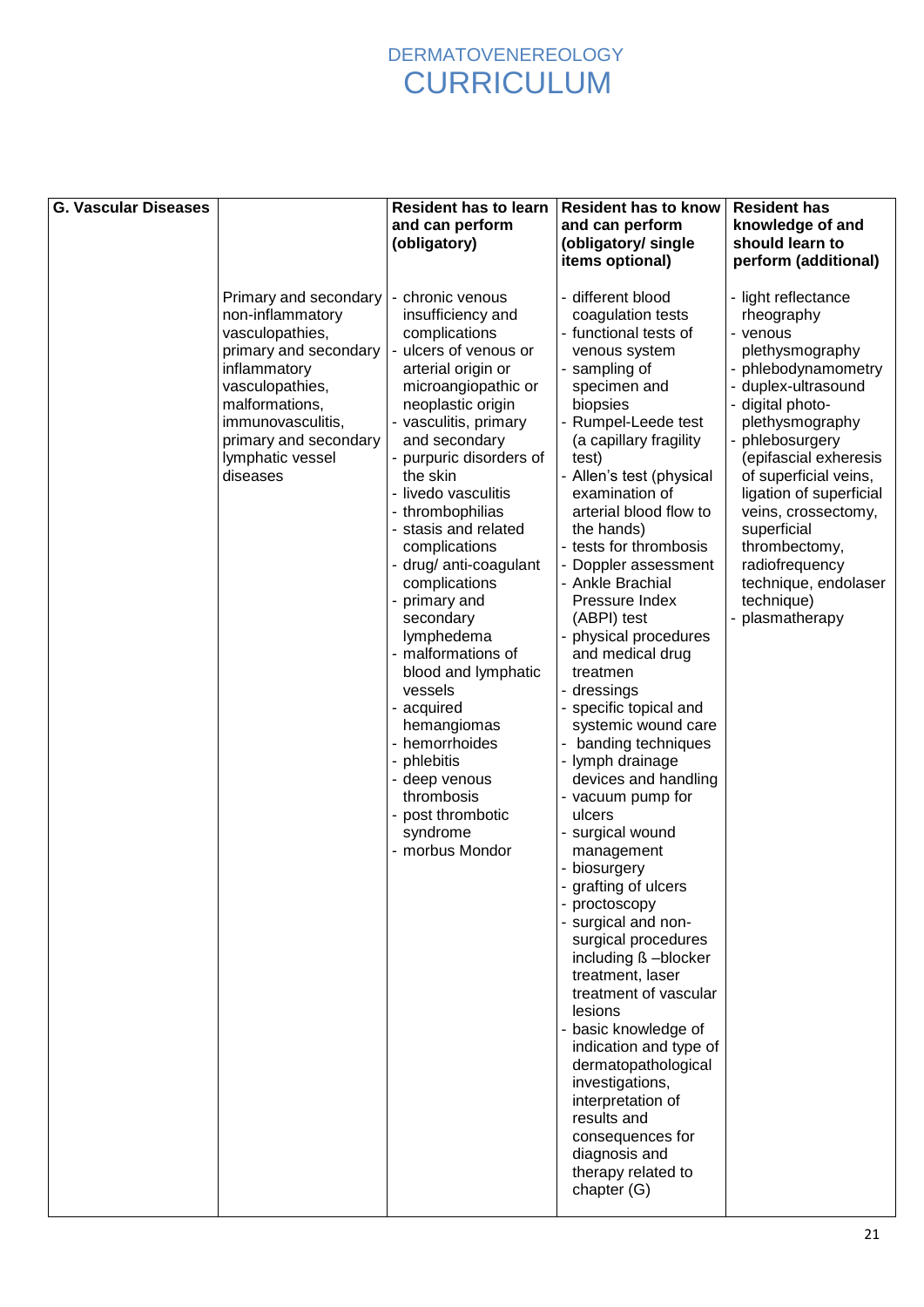| and can perform<br>knowledge of and<br>(obligatory/single<br>should learn to<br>(obligatory)<br>items optional)<br>perform (additional)<br>- different blood<br>Primary and secondary<br>chronic venous<br>- light reflectance<br>non-inflammatory<br>insufficiency and<br>coagulation tests<br>rheography<br>vasculopathies,<br>complications<br>- functional tests of<br>- venous<br>ulcers of venous or<br>primary and secondary<br>plethysmography<br>venous system<br>inflammatory<br>- phlebodynamometry<br>arterial origin or<br>- sampling of<br>vasculopathies,<br>microangiopathic or<br>specimen and<br>- duplex-ultrasound<br>malformations,<br>neoplastic origin<br>biopsies<br>- digital photo-<br>immunovasculitis,<br>- vasculitis, primary<br>- Rumpel-Leede test<br>plethysmography<br>primary and secondary<br>and secondary<br>(a capillary fragility<br>- phlebosurgery<br>lymphatic vessel<br>- purpuric disorders of<br>test)<br>(epifascial exheresis<br>the skin<br>- Allen's test (physical<br>of superficial veins,<br>diseases<br>- livedo vasculitis<br>ligation of superficial<br>examination of<br>- thrombophilias<br>arterial blood flow to<br>veins, crossectomy,<br>stasis and related<br>the hands)<br>superficial<br>thrombectomy,<br>complications<br>- tests for thrombosis<br>radiofrequency<br>drug/ anti-coagulant<br>Doppler assessment<br>- Ankle Brachial<br>technique, endolaser<br>complications<br>Pressure Index<br>technique)<br>primary and<br>secondary<br>(ABPI) test<br>- plasmatherapy<br>lymphedema<br>physical procedures<br>- malformations of<br>and medical drug<br>blood and lymphatic<br>treatmen<br>vessels<br>- dressings<br>- acquired<br>specific topical and<br>systemic wound care<br>hemangiomas<br>- hemorrhoides<br>banding techniques<br>phlebitis<br>- lymph drainage<br>devices and handling<br>deep venous<br>thrombosis<br>- vacuum pump for<br>post thrombotic<br>ulcers<br>syndrome<br>- surgical wound<br>- morbus Mondor<br>management<br>- biosurgery<br>- grafting of ulcers<br>proctoscopy<br>- surgical and non-<br>surgical procedures<br>including ß -blocker<br>treatment, laser<br>treatment of vascular<br>lesions<br>- basic knowledge of<br>indication and type of<br>dermatopathological<br>investigations, | <b>G. Vascular Diseases</b> | <b>Resident has to learn</b> | <b>Resident has to know</b> | <b>Resident has</b> |
|---------------------------------------------------------------------------------------------------------------------------------------------------------------------------------------------------------------------------------------------------------------------------------------------------------------------------------------------------------------------------------------------------------------------------------------------------------------------------------------------------------------------------------------------------------------------------------------------------------------------------------------------------------------------------------------------------------------------------------------------------------------------------------------------------------------------------------------------------------------------------------------------------------------------------------------------------------------------------------------------------------------------------------------------------------------------------------------------------------------------------------------------------------------------------------------------------------------------------------------------------------------------------------------------------------------------------------------------------------------------------------------------------------------------------------------------------------------------------------------------------------------------------------------------------------------------------------------------------------------------------------------------------------------------------------------------------------------------------------------------------------------------------------------------------------------------------------------------------------------------------------------------------------------------------------------------------------------------------------------------------------------------------------------------------------------------------------------------------------------------------------------------------------------------------------------------------------------------------------------------------------------------------------------------------------|-----------------------------|------------------------------|-----------------------------|---------------------|
|                                                                                                                                                                                                                                                                                                                                                                                                                                                                                                                                                                                                                                                                                                                                                                                                                                                                                                                                                                                                                                                                                                                                                                                                                                                                                                                                                                                                                                                                                                                                                                                                                                                                                                                                                                                                                                                                                                                                                                                                                                                                                                                                                                                                                                                                                                         |                             | and can perform              |                             |                     |
|                                                                                                                                                                                                                                                                                                                                                                                                                                                                                                                                                                                                                                                                                                                                                                                                                                                                                                                                                                                                                                                                                                                                                                                                                                                                                                                                                                                                                                                                                                                                                                                                                                                                                                                                                                                                                                                                                                                                                                                                                                                                                                                                                                                                                                                                                                         |                             |                              |                             |                     |
|                                                                                                                                                                                                                                                                                                                                                                                                                                                                                                                                                                                                                                                                                                                                                                                                                                                                                                                                                                                                                                                                                                                                                                                                                                                                                                                                                                                                                                                                                                                                                                                                                                                                                                                                                                                                                                                                                                                                                                                                                                                                                                                                                                                                                                                                                                         |                             |                              |                             |                     |
| results and<br>consequences for<br>diagnosis and<br>therapy related to<br>chapter $(G)$                                                                                                                                                                                                                                                                                                                                                                                                                                                                                                                                                                                                                                                                                                                                                                                                                                                                                                                                                                                                                                                                                                                                                                                                                                                                                                                                                                                                                                                                                                                                                                                                                                                                                                                                                                                                                                                                                                                                                                                                                                                                                                                                                                                                                 |                             |                              | interpretation of           |                     |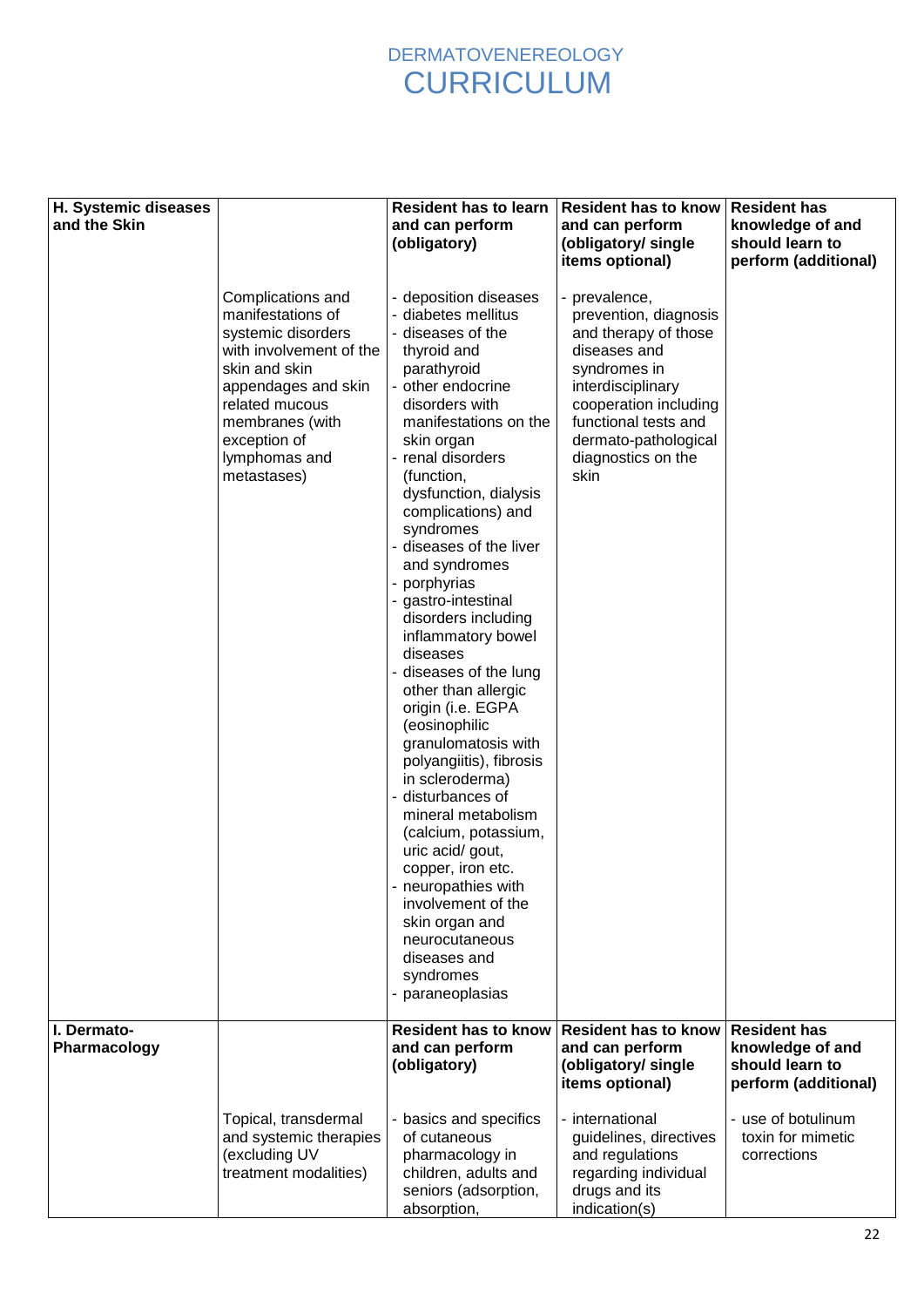| H. Systemic diseases        |                                                                                                                                                                                                                      | <b>Resident has to learn</b>                                                                                                                                                                                                                                                                                                                                                                                                                                                                                                                                                                                                                                                                                                                                                                                           | <b>Resident has to know</b>                                                                                                                                                                                              | <b>Resident has</b>                                                                |
|-----------------------------|----------------------------------------------------------------------------------------------------------------------------------------------------------------------------------------------------------------------|------------------------------------------------------------------------------------------------------------------------------------------------------------------------------------------------------------------------------------------------------------------------------------------------------------------------------------------------------------------------------------------------------------------------------------------------------------------------------------------------------------------------------------------------------------------------------------------------------------------------------------------------------------------------------------------------------------------------------------------------------------------------------------------------------------------------|--------------------------------------------------------------------------------------------------------------------------------------------------------------------------------------------------------------------------|------------------------------------------------------------------------------------|
| and the Skin                |                                                                                                                                                                                                                      | and can perform<br>(obligatory)                                                                                                                                                                                                                                                                                                                                                                                                                                                                                                                                                                                                                                                                                                                                                                                        | and can perform<br>(obligatory/single<br>items optional)                                                                                                                                                                 | knowledge of and<br>should learn to<br>perform (additional)                        |
|                             | Complications and<br>manifestations of<br>systemic disorders<br>with involvement of the<br>skin and skin<br>appendages and skin<br>related mucous<br>membranes (with<br>exception of<br>lymphomas and<br>metastases) | - deposition diseases<br>diabetes mellitus<br>- diseases of the<br>thyroid and<br>parathyroid<br>- other endocrine<br>disorders with<br>manifestations on the<br>skin organ<br>- renal disorders<br>(function,<br>dysfunction, dialysis<br>complications) and<br>syndromes<br>diseases of the liver<br>and syndromes<br>porphyrias<br>gastro-intestinal<br>disorders including<br>inflammatory bowel<br>diseases<br>- diseases of the lung<br>other than allergic<br>origin (i.e. EGPA<br>(eosinophilic<br>granulomatosis with<br>polyangiitis), fibrosis<br>in scleroderma)<br>disturbances of<br>mineral metabolism<br>(calcium, potassium,<br>uric acid/ gout,<br>copper, iron etc.<br>- neuropathies with<br>involvement of the<br>skin organ and<br>neurocutaneous<br>diseases and<br>syndromes<br>paraneoplasias | prevalence,<br>prevention, diagnosis<br>and therapy of those<br>diseases and<br>syndromes in<br>interdisciplinary<br>cooperation including<br>functional tests and<br>dermato-pathological<br>diagnostics on the<br>skin |                                                                                    |
| I. Dermato-<br>Pharmacology |                                                                                                                                                                                                                      | <b>Resident has to know</b><br>and can perform<br>(obligatory)                                                                                                                                                                                                                                                                                                                                                                                                                                                                                                                                                                                                                                                                                                                                                         | <b>Resident has to know</b><br>and can perform<br>(obligatory/single<br>items optional)                                                                                                                                  | <b>Resident has</b><br>knowledge of and<br>should learn to<br>perform (additional) |
|                             | Topical, transdermal<br>and systemic therapies<br>(excluding UV<br>treatment modalities)                                                                                                                             | - basics and specifics<br>of cutaneous<br>pharmacology in<br>children, adults and<br>seniors (adsorption,<br>absorption,                                                                                                                                                                                                                                                                                                                                                                                                                                                                                                                                                                                                                                                                                               | - international<br>guidelines, directives<br>and regulations<br>regarding individual<br>drugs and its<br>indication(s)                                                                                                   | - use of botulinum<br>toxin for mimetic<br>corrections                             |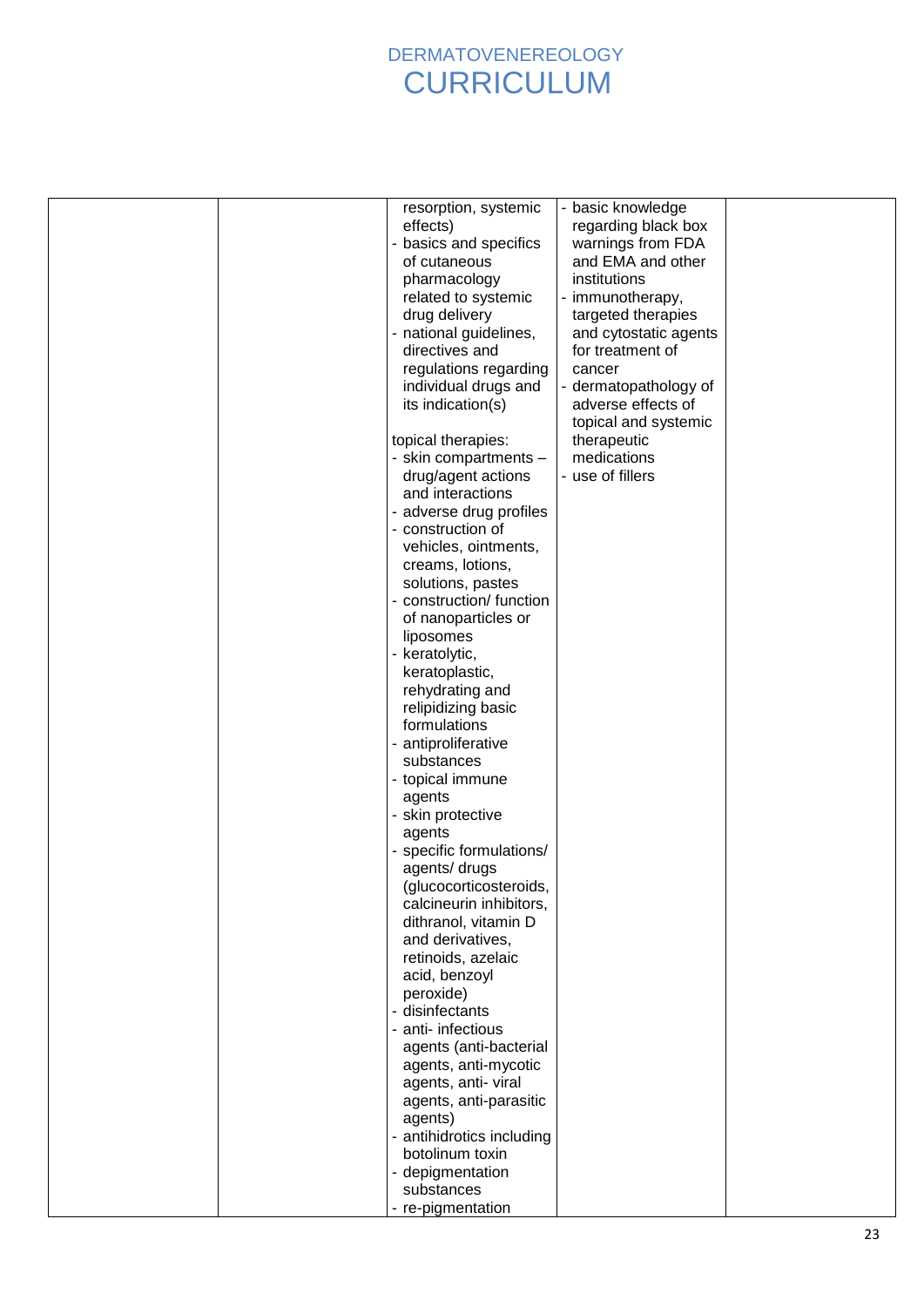|  | resorption, systemic     | basic knowledge       |  |
|--|--------------------------|-----------------------|--|
|  | effects)                 | regarding black box   |  |
|  | basics and specifics     | warnings from FDA     |  |
|  | of cutaneous             | and EMA and other     |  |
|  | pharmacology             | institutions          |  |
|  | related to systemic      | - immunotherapy,      |  |
|  | drug delivery            | targeted therapies    |  |
|  | national guidelines,     | and cytostatic agents |  |
|  | directives and           | for treatment of      |  |
|  | regulations regarding    | cancer                |  |
|  | individual drugs and     | - dermatopathology of |  |
|  | its indication(s)        | adverse effects of    |  |
|  |                          | topical and systemic  |  |
|  | topical therapies:       | therapeutic           |  |
|  | - skin compartments -    | medications           |  |
|  | drug/agent actions       | - use of fillers      |  |
|  | and interactions         |                       |  |
|  | - adverse drug profiles  |                       |  |
|  | - construction of        |                       |  |
|  | vehicles, ointments,     |                       |  |
|  | creams, lotions,         |                       |  |
|  | solutions, pastes        |                       |  |
|  | construction/ function   |                       |  |
|  | of nanoparticles or      |                       |  |
|  | liposomes                |                       |  |
|  | - keratolytic,           |                       |  |
|  | keratoplastic,           |                       |  |
|  | rehydrating and          |                       |  |
|  | relipidizing basic       |                       |  |
|  | formulations             |                       |  |
|  | - antiproliferative      |                       |  |
|  | substances               |                       |  |
|  | - topical immune         |                       |  |
|  | agents                   |                       |  |
|  | skin protective          |                       |  |
|  | agents                   |                       |  |
|  | - specific formulations/ |                       |  |
|  | agents/ drugs            |                       |  |
|  | (glucocorticosteroids,   |                       |  |
|  | calcineurin inhibitors,  |                       |  |
|  | dithranol, vitamin D     |                       |  |
|  | and derivatives,         |                       |  |
|  | retinoids, azelaic       |                       |  |
|  | acid, benzoyl            |                       |  |
|  | peroxide)                |                       |  |
|  | disinfectants            |                       |  |
|  | anti- infectious         |                       |  |
|  | agents (anti-bacterial   |                       |  |
|  | agents, anti-mycotic     |                       |  |
|  | agents, anti-viral       |                       |  |
|  | agents, anti-parasitic   |                       |  |
|  | agents)                  |                       |  |
|  | antihidrotics including  |                       |  |
|  | botolinum toxin          |                       |  |
|  | - depigmentation         |                       |  |
|  | substances               |                       |  |
|  | - re-pigmentation        |                       |  |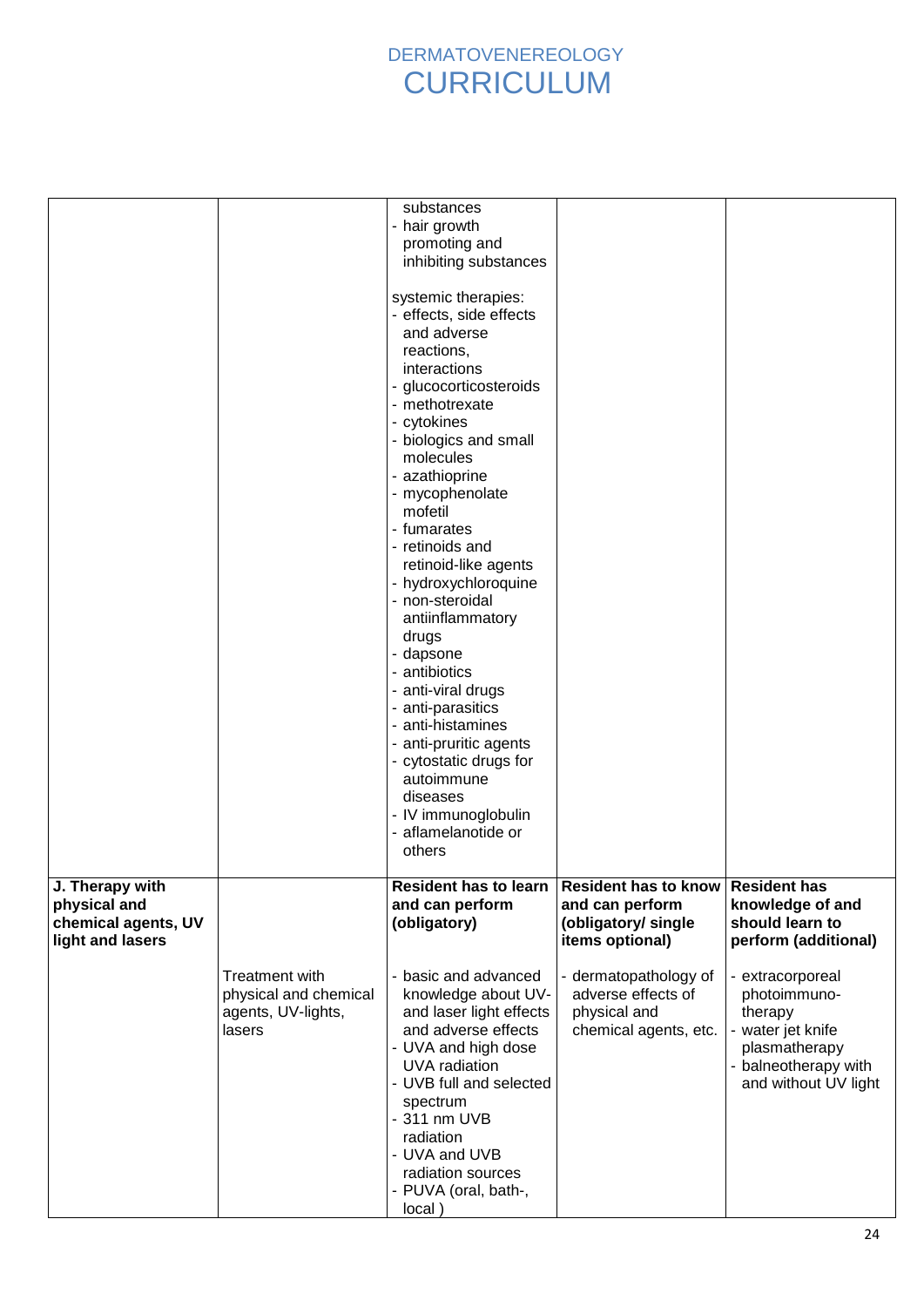|                     |                              | substances                                     |                                                         |                                    |
|---------------------|------------------------------|------------------------------------------------|---------------------------------------------------------|------------------------------------|
|                     |                              | - hair growth                                  |                                                         |                                    |
|                     |                              | promoting and                                  |                                                         |                                    |
|                     |                              | inhibiting substances                          |                                                         |                                    |
|                     |                              |                                                |                                                         |                                    |
|                     |                              | systemic therapies:                            |                                                         |                                    |
|                     |                              | effects, side effects                          |                                                         |                                    |
|                     |                              | and adverse                                    |                                                         |                                    |
|                     |                              | reactions,                                     |                                                         |                                    |
|                     |                              | interactions                                   |                                                         |                                    |
|                     |                              | glucocorticosteroids                           |                                                         |                                    |
|                     |                              | - methotrexate                                 |                                                         |                                    |
|                     |                              | - cytokines                                    |                                                         |                                    |
|                     |                              | - biologics and small                          |                                                         |                                    |
|                     |                              | molecules                                      |                                                         |                                    |
|                     |                              | - azathioprine                                 |                                                         |                                    |
|                     |                              | - mycophenolate                                |                                                         |                                    |
|                     |                              | mofetil                                        |                                                         |                                    |
|                     |                              | - fumarates                                    |                                                         |                                    |
|                     |                              | - retinoids and                                |                                                         |                                    |
|                     |                              | retinoid-like agents                           |                                                         |                                    |
|                     |                              | - hydroxychloroquine                           |                                                         |                                    |
|                     |                              | - non-steroidal                                |                                                         |                                    |
|                     |                              | antiinflammatory                               |                                                         |                                    |
|                     |                              | drugs                                          |                                                         |                                    |
|                     |                              | - dapsone                                      |                                                         |                                    |
|                     |                              | - antibiotics                                  |                                                         |                                    |
|                     |                              | - anti-viral drugs                             |                                                         |                                    |
|                     |                              | - anti-parasitics                              |                                                         |                                    |
|                     |                              | - anti-histamines                              |                                                         |                                    |
|                     |                              | - anti-pruritic agents                         |                                                         |                                    |
|                     |                              | - cytostatic drugs for                         |                                                         |                                    |
|                     |                              | autoimmune                                     |                                                         |                                    |
|                     |                              | diseases                                       |                                                         |                                    |
|                     |                              | - IV immunoglobulin                            |                                                         |                                    |
|                     |                              | - aflamelanotide or                            |                                                         |                                    |
|                     |                              | others                                         |                                                         |                                    |
|                     |                              |                                                |                                                         |                                    |
| J. Therapy with     |                              |                                                | Resident has to learn Resident has to know Resident has |                                    |
| physical and        |                              | and can perform                                | and can perform                                         | knowledge of and                   |
| chemical agents, UV |                              | (obligatory)                                   | (obligatory/single                                      | should learn to                    |
| light and lasers    |                              |                                                | items optional)                                         | perform (additional)               |
|                     |                              |                                                |                                                         |                                    |
|                     | <b>Treatment with</b>        | - basic and advanced                           | - dermatopathology of                                   | - extracorporeal                   |
|                     | physical and chemical        | knowledge about UV-                            | adverse effects of                                      | photoimmuno-                       |
|                     | agents, UV-lights,<br>lasers | and laser light effects<br>and adverse effects | physical and                                            | therapy                            |
|                     |                              | - UVA and high dose                            | chemical agents, etc.                                   | - water jet knife<br>plasmatherapy |
|                     |                              | <b>UVA</b> radiation                           |                                                         | - balneotherapy with               |
|                     |                              | - UVB full and selected                        |                                                         | and without UV light               |
|                     |                              | spectrum                                       |                                                         |                                    |
|                     |                              | - 311 nm UVB                                   |                                                         |                                    |
|                     |                              | radiation                                      |                                                         |                                    |
|                     |                              | - UVA and UVB                                  |                                                         |                                    |
|                     |                              | radiation sources                              |                                                         |                                    |
|                     |                              | - PUVA (oral, bath-,                           |                                                         |                                    |
|                     |                              | local)                                         |                                                         |                                    |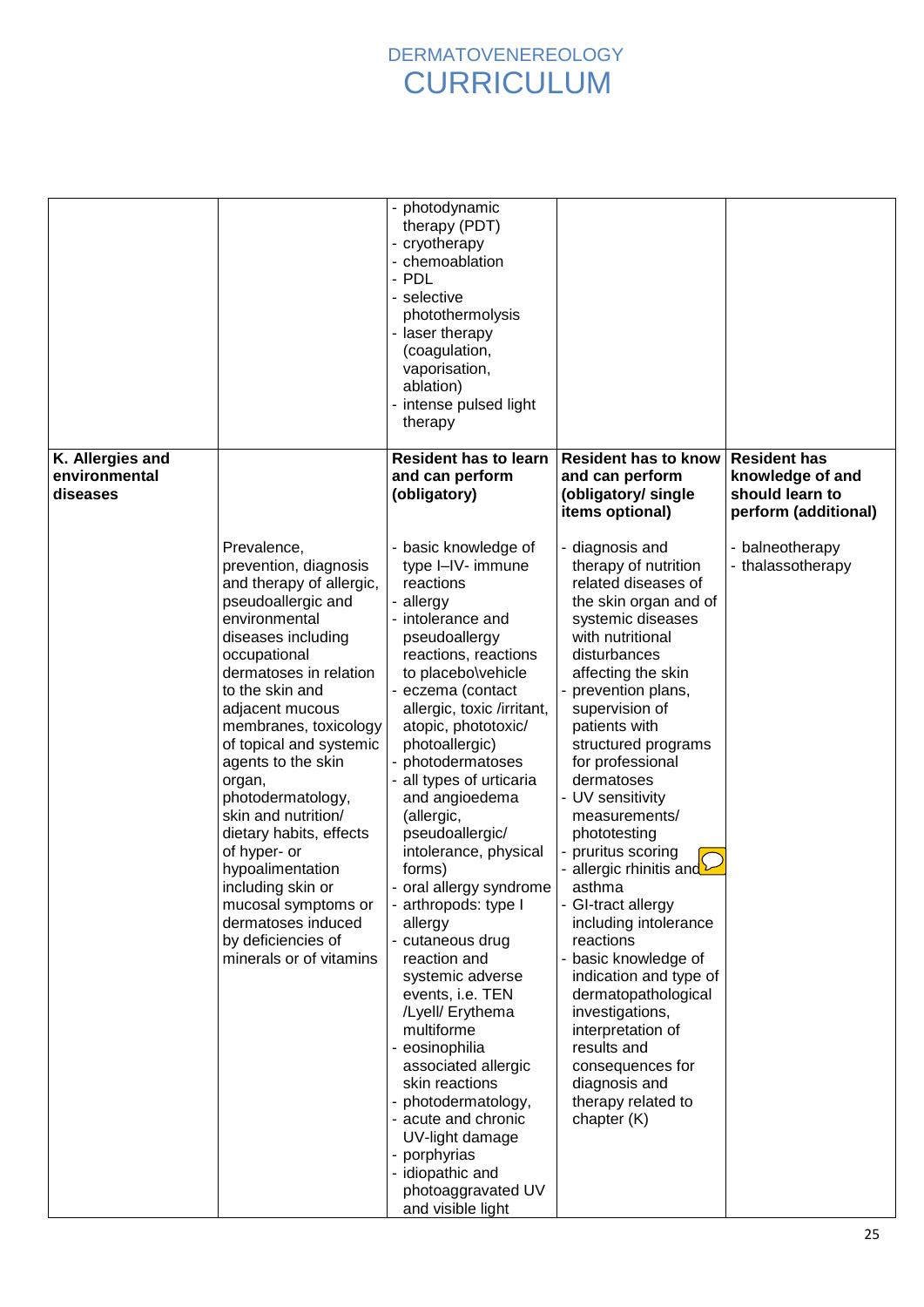|                                               |                                                                                                                                                                                                                                                                                                                                                                                                                                                                                                                                 | photodynamic<br>therapy (PDT)<br>- cryotherapy<br>- chemoablation<br>- PDL<br>- selective<br>photothermolysis<br>- laser therapy<br>(coagulation,<br>vaporisation,<br>ablation)<br>intense pulsed light<br>therapy                                                                                                                                                                                                                                                                                                                                                                                                                                                                                                                                                    |                                                                                                                                                                                                                                                                                                                                                                                                                                                                                                                                                                                                                                                                                    |                                                                                    |
|-----------------------------------------------|---------------------------------------------------------------------------------------------------------------------------------------------------------------------------------------------------------------------------------------------------------------------------------------------------------------------------------------------------------------------------------------------------------------------------------------------------------------------------------------------------------------------------------|-----------------------------------------------------------------------------------------------------------------------------------------------------------------------------------------------------------------------------------------------------------------------------------------------------------------------------------------------------------------------------------------------------------------------------------------------------------------------------------------------------------------------------------------------------------------------------------------------------------------------------------------------------------------------------------------------------------------------------------------------------------------------|------------------------------------------------------------------------------------------------------------------------------------------------------------------------------------------------------------------------------------------------------------------------------------------------------------------------------------------------------------------------------------------------------------------------------------------------------------------------------------------------------------------------------------------------------------------------------------------------------------------------------------------------------------------------------------|------------------------------------------------------------------------------------|
| K. Allergies and<br>environmental<br>diseases |                                                                                                                                                                                                                                                                                                                                                                                                                                                                                                                                 | <b>Resident has to learn</b><br>and can perform<br>(obligatory)                                                                                                                                                                                                                                                                                                                                                                                                                                                                                                                                                                                                                                                                                                       | <b>Resident has to know</b><br>and can perform<br>(obligatory/single<br>items optional)                                                                                                                                                                                                                                                                                                                                                                                                                                                                                                                                                                                            | <b>Resident has</b><br>knowledge of and<br>should learn to<br>perform (additional) |
|                                               | Prevalence,<br>prevention, diagnosis<br>and therapy of allergic,<br>pseudoallergic and<br>environmental<br>diseases including<br>occupational<br>dermatoses in relation<br>to the skin and<br>adjacent mucous<br>membranes, toxicology<br>of topical and systemic<br>agents to the skin<br>organ,<br>photodermatology,<br>skin and nutrition/<br>dietary habits, effects<br>of hyper- or<br>hypoalimentation<br>including skin or<br>mucosal symptoms or<br>dermatoses induced<br>by deficiencies of<br>minerals or of vitamins | - basic knowledge of<br>type I-IV- immune<br>reactions<br>allergy<br>intolerance and<br>pseudoallergy<br>reactions, reactions<br>to placebolvehicle<br>- eczema (contact<br>allergic, toxic /irritant,<br>atopic, phototoxic/<br>photoallergic)<br>photodermatoses<br>all types of urticaria<br>and angioedema<br>(allergic,<br>pseudoallergic/<br>intolerance, physical<br>forms)<br>- oral allergy syndrome<br>- arthropods: type I<br>allergy<br>- cutaneous drug<br>reaction and<br>systemic adverse<br>events, i.e. TEN<br>/Lyell/ Erythema<br>multiforme<br>eosinophilia<br>associated allergic<br>skin reactions<br>photodermatology,<br>- acute and chronic<br>UV-light damage<br>- porphyrias<br>- idiopathic and<br>photoaggravated UV<br>and visible light | - diagnosis and<br>therapy of nutrition<br>related diseases of<br>the skin organ and of<br>systemic diseases<br>with nutritional<br>disturbances<br>affecting the skin<br>prevention plans,<br>supervision of<br>patients with<br>structured programs<br>for professional<br>dermatoses<br>- UV sensitivity<br>measurements/<br>phototesting<br>pruritus scoring<br>- allergic rhinitis and $\angle$<br>asthma<br>- GI-tract allergy<br>including intolerance<br>reactions<br>basic knowledge of<br>indication and type of<br>dermatopathological<br>investigations,<br>interpretation of<br>results and<br>consequences for<br>diagnosis and<br>therapy related to<br>chapter (K) | - balneotherapy<br>- thalassotherapy                                               |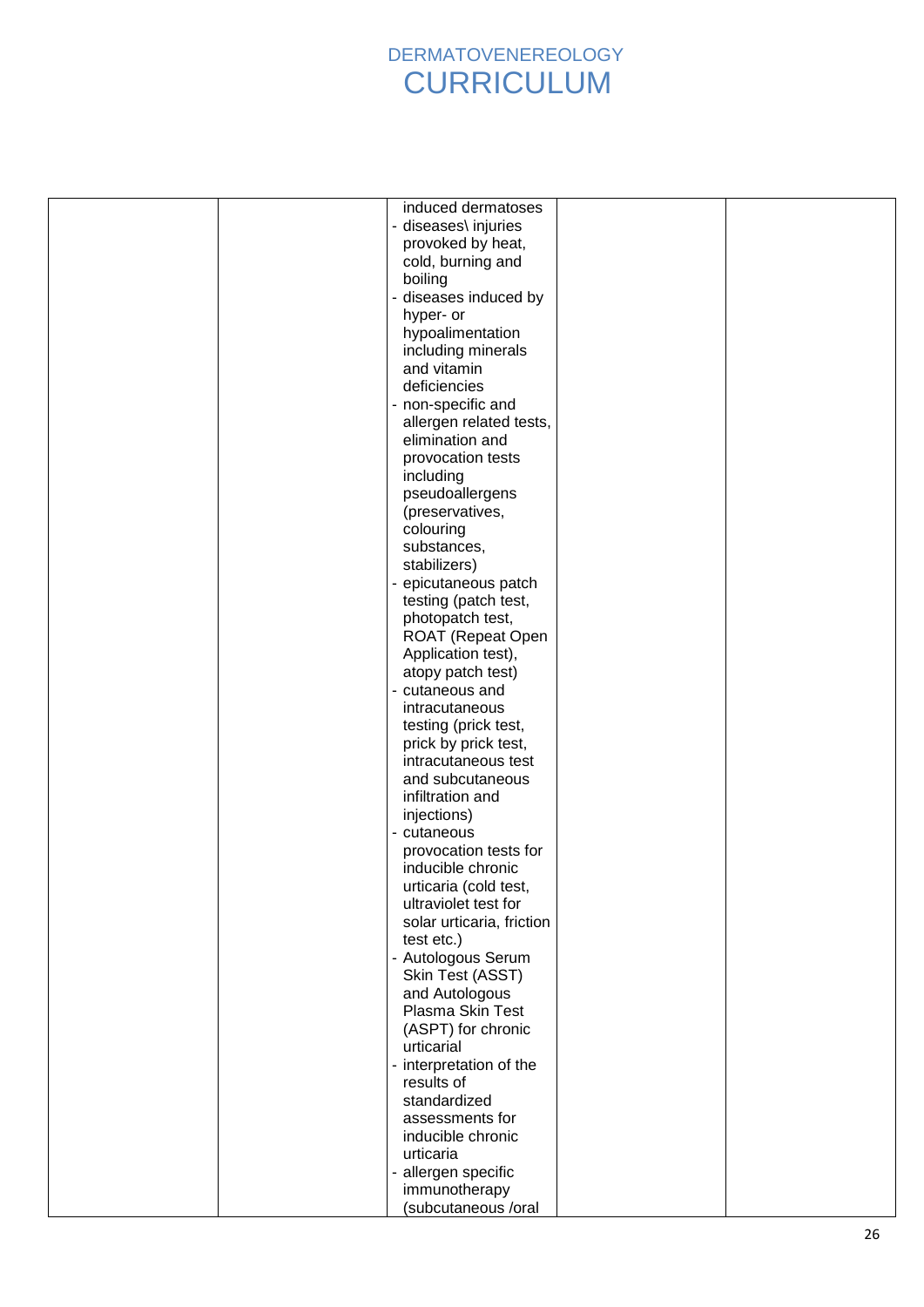|  | induced dermatoses        |  |
|--|---------------------------|--|
|  | - diseases\ injuries      |  |
|  | provoked by heat,         |  |
|  | cold, burning and         |  |
|  | boiling                   |  |
|  | - diseases induced by     |  |
|  | hyper- or                 |  |
|  | hypoalimentation          |  |
|  | including minerals        |  |
|  | and vitamin               |  |
|  | deficiencies              |  |
|  | - non-specific and        |  |
|  | allergen related tests,   |  |
|  | elimination and           |  |
|  | provocation tests         |  |
|  | including                 |  |
|  | pseudoallergens           |  |
|  | (preservatives,           |  |
|  |                           |  |
|  | colouring<br>substances,  |  |
|  |                           |  |
|  | stabilizers)              |  |
|  | - epicutaneous patch      |  |
|  | testing (patch test,      |  |
|  | photopatch test,          |  |
|  | ROAT (Repeat Open         |  |
|  | Application test),        |  |
|  | atopy patch test)         |  |
|  | - cutaneous and           |  |
|  | intracutaneous            |  |
|  | testing (prick test,      |  |
|  | prick by prick test,      |  |
|  | intracutaneous test       |  |
|  | and subcutaneous          |  |
|  | infiltration and          |  |
|  | injections)               |  |
|  | - cutaneous               |  |
|  | provocation tests for     |  |
|  | inducible chronic         |  |
|  | urticaria (cold test,     |  |
|  | ultraviolet test for      |  |
|  | solar urticaria, friction |  |
|  | test etc.)                |  |
|  | - Autologous Serum        |  |
|  | Skin Test (ASST)          |  |
|  | and Autologous            |  |
|  | Plasma Skin Test          |  |
|  | (ASPT) for chronic        |  |
|  | urticarial                |  |
|  | - interpretation of the   |  |
|  | results of                |  |
|  | standardized              |  |
|  | assessments for           |  |
|  | inducible chronic         |  |
|  | urticaria                 |  |
|  | - allergen specific       |  |
|  | immunotherapy             |  |
|  | (subcutaneous /oral       |  |
|  |                           |  |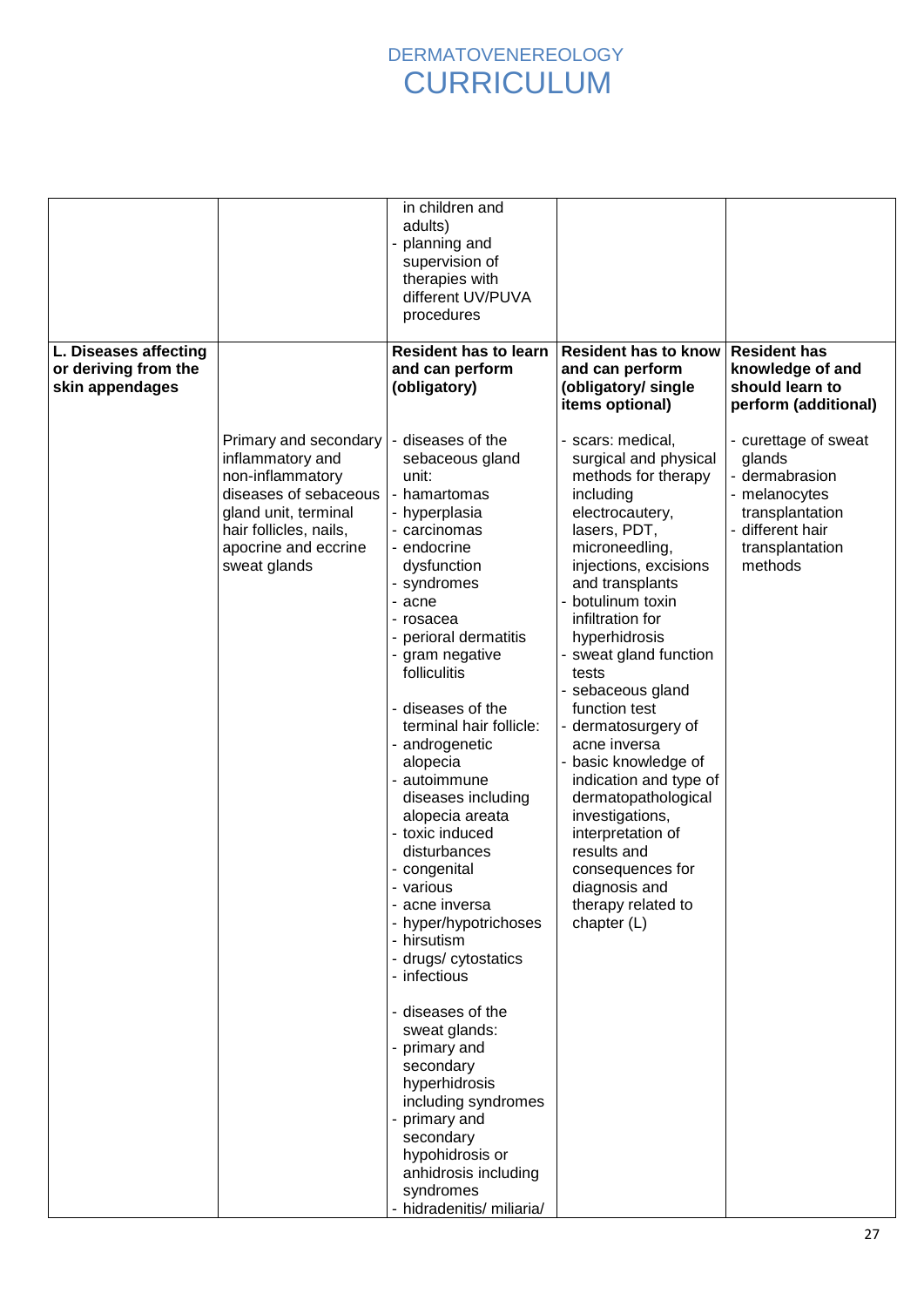| L. Diseases affecting<br>or deriving from the<br>skin appendages |                                                                                                                                                                                  | in children and<br>adults)<br>planning and<br>supervision of<br>therapies with<br>different UV/PUVA<br>procedures<br><b>Resident has to learn</b><br>and can perform<br>(obligatory)                                                                                                                                                                                                                                                                                                                                                                                                                                                                                                                                                                  | <b>Resident has to know</b><br>and can perform<br>(obligatory/single<br>items optional)                                                                                                                                                                                                                                                                                                                                                                                                                                                                               | <b>Resident has</b><br>knowledge of and<br>should learn to<br>perform (additional)                                                     |
|------------------------------------------------------------------|----------------------------------------------------------------------------------------------------------------------------------------------------------------------------------|-------------------------------------------------------------------------------------------------------------------------------------------------------------------------------------------------------------------------------------------------------------------------------------------------------------------------------------------------------------------------------------------------------------------------------------------------------------------------------------------------------------------------------------------------------------------------------------------------------------------------------------------------------------------------------------------------------------------------------------------------------|-----------------------------------------------------------------------------------------------------------------------------------------------------------------------------------------------------------------------------------------------------------------------------------------------------------------------------------------------------------------------------------------------------------------------------------------------------------------------------------------------------------------------------------------------------------------------|----------------------------------------------------------------------------------------------------------------------------------------|
|                                                                  | Primary and secondary<br>inflammatory and<br>non-inflammatory<br>diseases of sebaceous<br>gland unit, terminal<br>hair follicles, nails,<br>apocrine and eccrine<br>sweat glands | diseases of the<br>sebaceous gland<br>unit:<br>- hamartomas<br>- hyperplasia<br>- carcinomas<br>- endocrine<br>dysfunction<br>- syndromes<br>- acne<br>- rosacea<br>- perioral dermatitis<br>- gram negative<br>folliculitis<br>diseases of the<br>terminal hair follicle:<br>androgenetic<br>alopecia<br>autoimmune<br>diseases including<br>alopecia areata<br>- toxic induced<br>disturbances<br>- congenital<br>- various<br>- acne inversa<br>- hyper/hypotrichoses<br>- hirsutism<br>drugs/cytostatics<br>- infectious<br>- diseases of the<br>sweat glands:<br>primary and<br>secondary<br>hyperhidrosis<br>including syndromes<br>primary and<br>secondary<br>hypohidrosis or<br>anhidrosis including<br>syndromes<br>hidradenitis/ miliaria/ | - scars: medical,<br>surgical and physical<br>methods for therapy<br>including<br>electrocautery,<br>lasers, PDT,<br>microneedling,<br>injections, excisions<br>and transplants<br>- botulinum toxin<br>infiltration for<br>hyperhidrosis<br>- sweat gland function<br>tests<br>- sebaceous gland<br>function test<br>- dermatosurgery of<br>acne inversa<br>- basic knowledge of<br>indication and type of<br>dermatopathological<br>investigations,<br>interpretation of<br>results and<br>consequences for<br>diagnosis and<br>therapy related to<br>chapter $(L)$ | - curettage of sweat<br>glands<br>- dermabrasion<br>- melanocytes<br>transplantation<br>- different hair<br>transplantation<br>methods |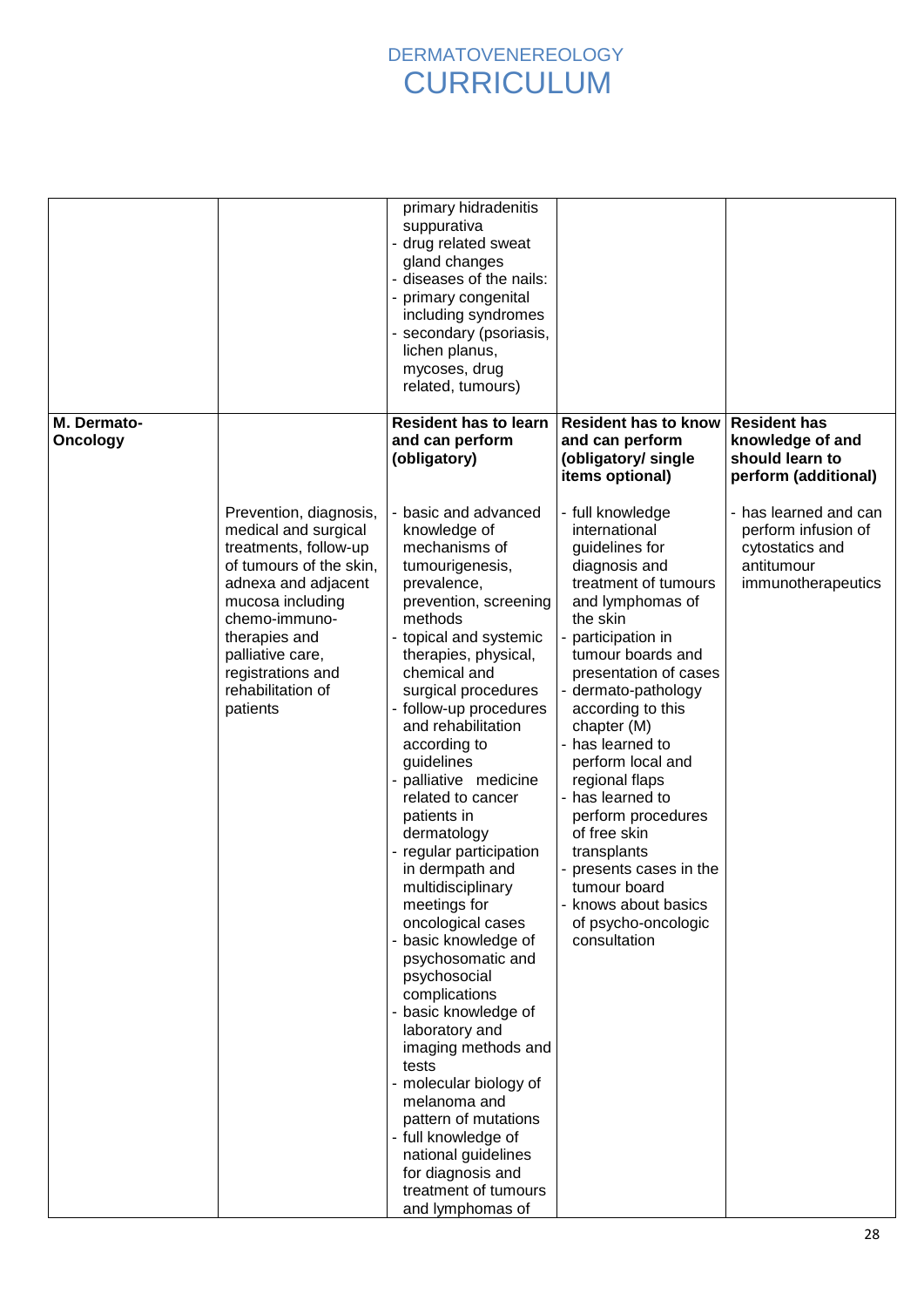|                                |                                                                                                                                                                                                                                                           | primary hidradenitis<br>suppurativa<br>- drug related sweat<br>gland changes<br>diseases of the nails:<br>primary congenital<br>including syndromes<br>secondary (psoriasis,<br>lichen planus,<br>mycoses, drug<br>related, tumours)                                                                                                                                                                                                                                                                                                                                                                                                                                                                                                                                                                                                           |                                                                                                                                                                                                                                                                                                                                                                                                                                                                                                                                                                                                    |                                                                                                                                                                                           |
|--------------------------------|-----------------------------------------------------------------------------------------------------------------------------------------------------------------------------------------------------------------------------------------------------------|------------------------------------------------------------------------------------------------------------------------------------------------------------------------------------------------------------------------------------------------------------------------------------------------------------------------------------------------------------------------------------------------------------------------------------------------------------------------------------------------------------------------------------------------------------------------------------------------------------------------------------------------------------------------------------------------------------------------------------------------------------------------------------------------------------------------------------------------|----------------------------------------------------------------------------------------------------------------------------------------------------------------------------------------------------------------------------------------------------------------------------------------------------------------------------------------------------------------------------------------------------------------------------------------------------------------------------------------------------------------------------------------------------------------------------------------------------|-------------------------------------------------------------------------------------------------------------------------------------------------------------------------------------------|
| M. Dermato-<br><b>Oncology</b> | Prevention, diagnosis,<br>medical and surgical<br>treatments, follow-up<br>of tumours of the skin,<br>adnexa and adjacent<br>mucosa including<br>chemo-immuno-<br>therapies and<br>palliative care,<br>registrations and<br>rehabilitation of<br>patients | <b>Resident has to learn</b><br>and can perform<br>(obligatory)<br>- basic and advanced<br>knowledge of<br>mechanisms of<br>tumourigenesis,<br>prevalence,<br>prevention, screening<br>methods<br>- topical and systemic<br>therapies, physical,<br>chemical and<br>surgical procedures<br>- follow-up procedures<br>and rehabilitation<br>according to<br>guidelines<br>palliative medicine<br>related to cancer<br>patients in<br>dermatology<br>- regular participation<br>in dermpath and<br>multidisciplinary<br>meetings for<br>oncological cases<br>basic knowledge of<br>psychosomatic and<br>psychosocial<br>complications<br>basic knowledge of<br>laboratory and<br>imaging methods and<br>tests<br>molecular biology of<br>melanoma and<br>pattern of mutations<br>- full knowledge of<br>national guidelines<br>for diagnosis and | <b>Resident has to know</b><br>and can perform<br>(obligatory/single<br>items optional)<br>- full knowledge<br>international<br>guidelines for<br>diagnosis and<br>treatment of tumours<br>and lymphomas of<br>the skin<br>participation in<br>tumour boards and<br>presentation of cases<br>- dermato-pathology<br>according to this<br>chapter (M)<br>- has learned to<br>perform local and<br>regional flaps<br>- has learned to<br>perform procedures<br>of free skin<br>transplants<br>- presents cases in the<br>tumour board<br>- knows about basics<br>of psycho-oncologic<br>consultation | <b>Resident has</b><br>knowledge of and<br>should learn to<br>perform (additional)<br>- has learned and can<br>perform infusion of<br>cytostatics and<br>antitumour<br>immunotherapeutics |
|                                |                                                                                                                                                                                                                                                           | treatment of tumours<br>and lymphomas of                                                                                                                                                                                                                                                                                                                                                                                                                                                                                                                                                                                                                                                                                                                                                                                                       |                                                                                                                                                                                                                                                                                                                                                                                                                                                                                                                                                                                                    |                                                                                                                                                                                           |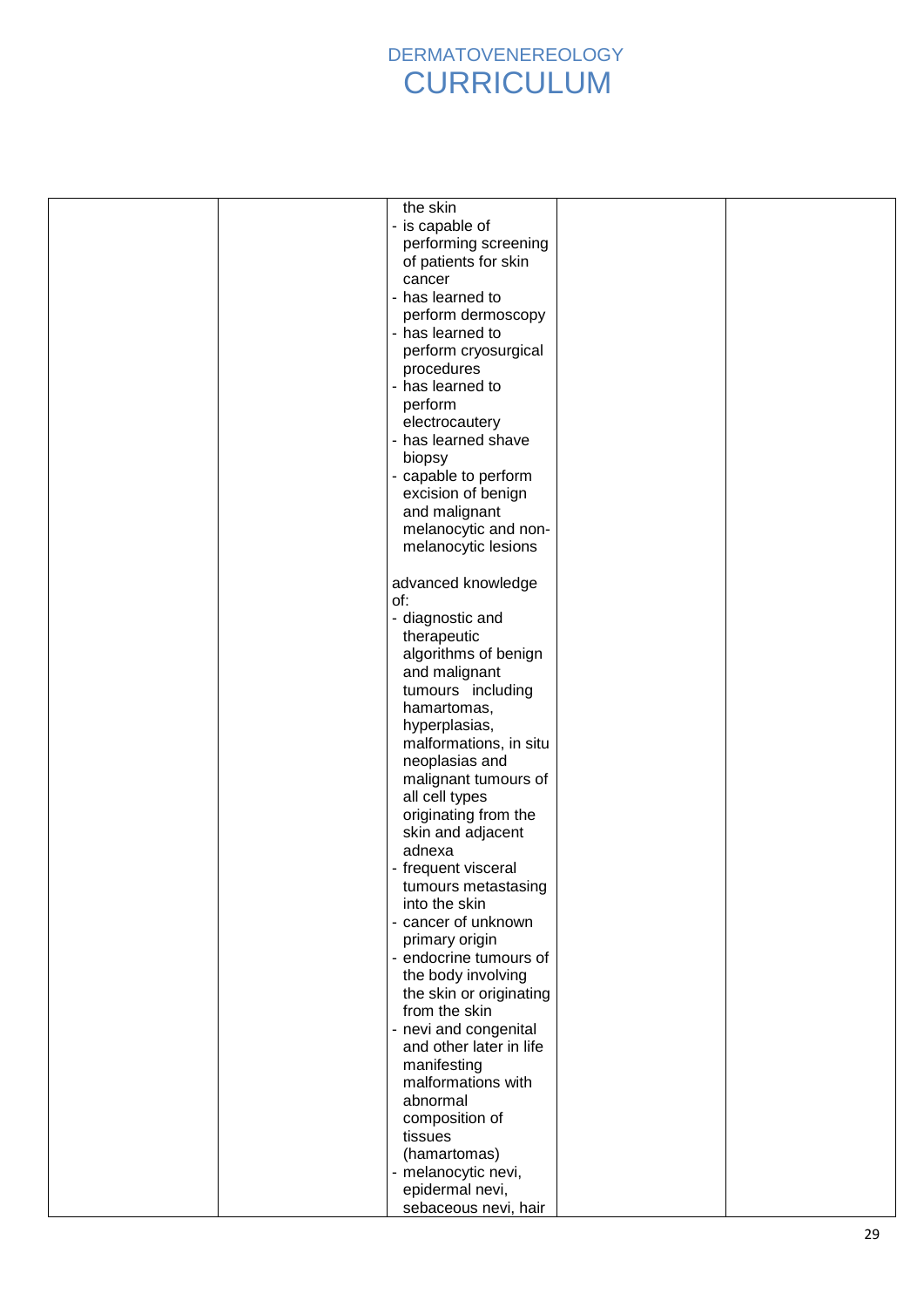|  | the skin                |  |
|--|-------------------------|--|
|  | - is capable of         |  |
|  | performing screening    |  |
|  | of patients for skin    |  |
|  | cancer                  |  |
|  | - has learned to        |  |
|  | perform dermoscopy      |  |
|  |                         |  |
|  | - has learned to        |  |
|  | perform cryosurgical    |  |
|  | procedures              |  |
|  | - has learned to        |  |
|  | perform                 |  |
|  | electrocautery          |  |
|  | - has learned shave     |  |
|  |                         |  |
|  | biopsy                  |  |
|  | - capable to perform    |  |
|  | excision of benign      |  |
|  | and malignant           |  |
|  | melanocytic and non-    |  |
|  | melanocytic lesions     |  |
|  |                         |  |
|  |                         |  |
|  | advanced knowledge      |  |
|  | of:                     |  |
|  | - diagnostic and        |  |
|  | therapeutic             |  |
|  | algorithms of benign    |  |
|  | and malignant           |  |
|  | tumours including       |  |
|  |                         |  |
|  | hamartomas,             |  |
|  | hyperplasias,           |  |
|  | malformations, in situ  |  |
|  | neoplasias and          |  |
|  | malignant tumours of    |  |
|  | all cell types          |  |
|  | originating from the    |  |
|  | skin and adjacent       |  |
|  |                         |  |
|  | adnexa                  |  |
|  | - frequent visceral     |  |
|  | tumours metastasing     |  |
|  | into the skin           |  |
|  | - cancer of unknown     |  |
|  | primary origin          |  |
|  | - endocrine tumours of  |  |
|  | the body involving      |  |
|  | the skin or originating |  |
|  |                         |  |
|  | from the skin           |  |
|  | - nevi and congenital   |  |
|  | and other later in life |  |
|  | manifesting             |  |
|  | malformations with      |  |
|  | abnormal                |  |
|  | composition of          |  |
|  | tissues                 |  |
|  |                         |  |
|  | (hamartomas)            |  |
|  | - melanocytic nevi,     |  |
|  | epidermal nevi,         |  |
|  | sebaceous nevi, hair    |  |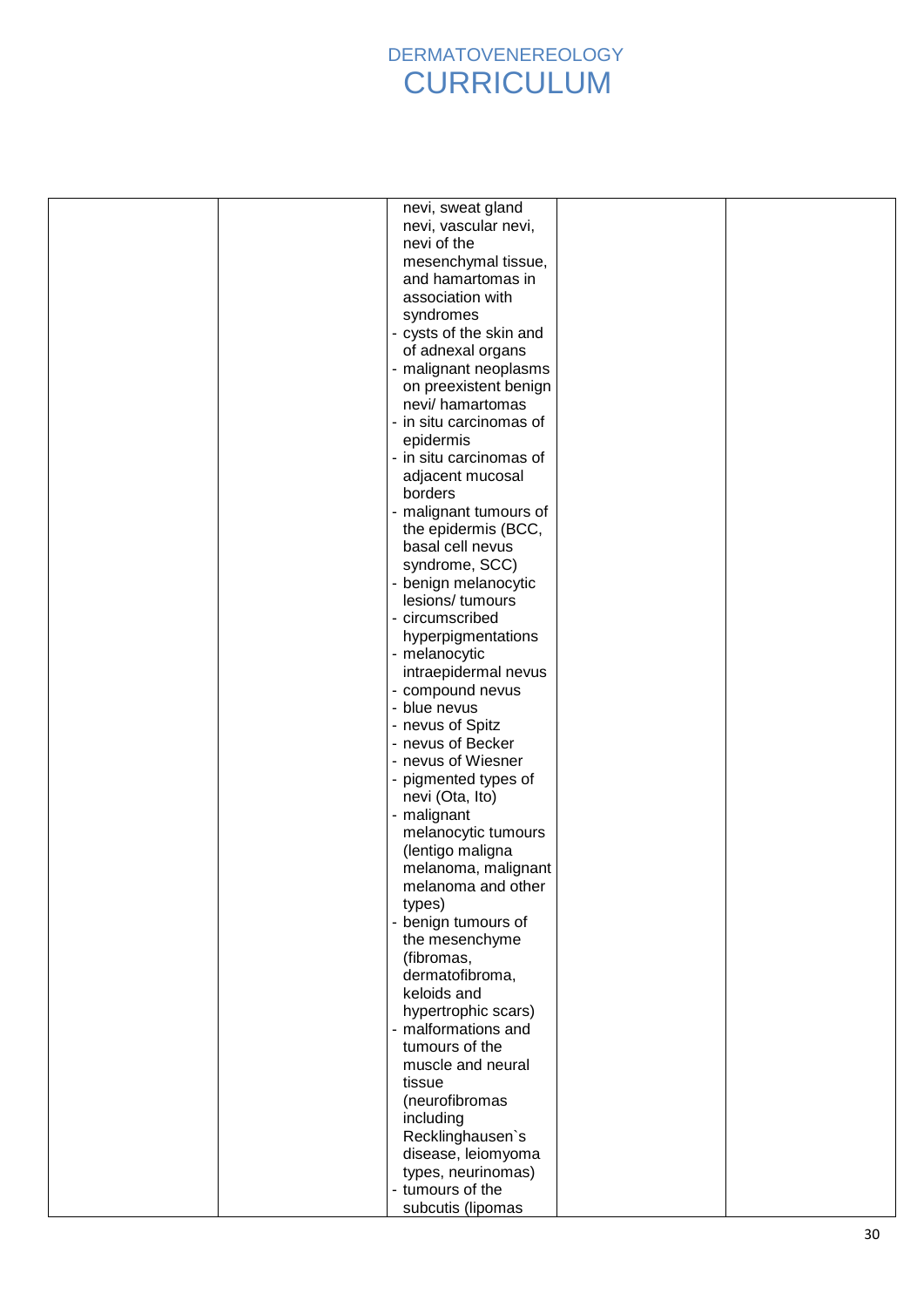|  | nevi, sweat gland           |  |
|--|-----------------------------|--|
|  | nevi, vascular nevi,        |  |
|  | nevi of the                 |  |
|  | mesenchymal tissue,         |  |
|  | and hamartomas in           |  |
|  | association with            |  |
|  | syndromes                   |  |
|  | - cysts of the skin and     |  |
|  | of adnexal organs           |  |
|  | - malignant neoplasms       |  |
|  | on preexistent benign       |  |
|  | nevi/ hamartomas            |  |
|  | - in situ carcinomas of     |  |
|  | epidermis                   |  |
|  | - in situ carcinomas of     |  |
|  |                             |  |
|  | adjacent mucosal<br>borders |  |
|  |                             |  |
|  | - malignant tumours of      |  |
|  | the epidermis (BCC,         |  |
|  | basal cell nevus            |  |
|  | syndrome, SCC)              |  |
|  | - benign melanocytic        |  |
|  | lesions/tumours             |  |
|  | - circumscribed             |  |
|  | hyperpigmentations          |  |
|  | - melanocytic               |  |
|  | intraepidermal nevus        |  |
|  | - compound nevus            |  |
|  | - blue nevus                |  |
|  | - nevus of Spitz            |  |
|  | - nevus of Becker           |  |
|  | - nevus of Wiesner          |  |
|  | - pigmented types of        |  |
|  | nevi (Ota, Ito)             |  |
|  | - malignant                 |  |
|  | melanocytic tumours         |  |
|  | (lentigo maligna            |  |
|  | melanoma, malignant         |  |
|  | melanoma and other          |  |
|  | types)                      |  |
|  | - benign tumours of         |  |
|  | the mesenchyme              |  |
|  | (fibromas,                  |  |
|  | dermatofibroma,             |  |
|  | keloids and                 |  |
|  | hypertrophic scars)         |  |
|  | - malformations and         |  |
|  | tumours of the              |  |
|  | muscle and neural           |  |
|  |                             |  |
|  | tissue                      |  |
|  | (neurofibromas              |  |
|  | including                   |  |
|  | Recklinghausen's            |  |
|  | disease, leiomyoma          |  |
|  | types, neurinomas)          |  |
|  | - tumours of the            |  |
|  | subcutis (lipomas           |  |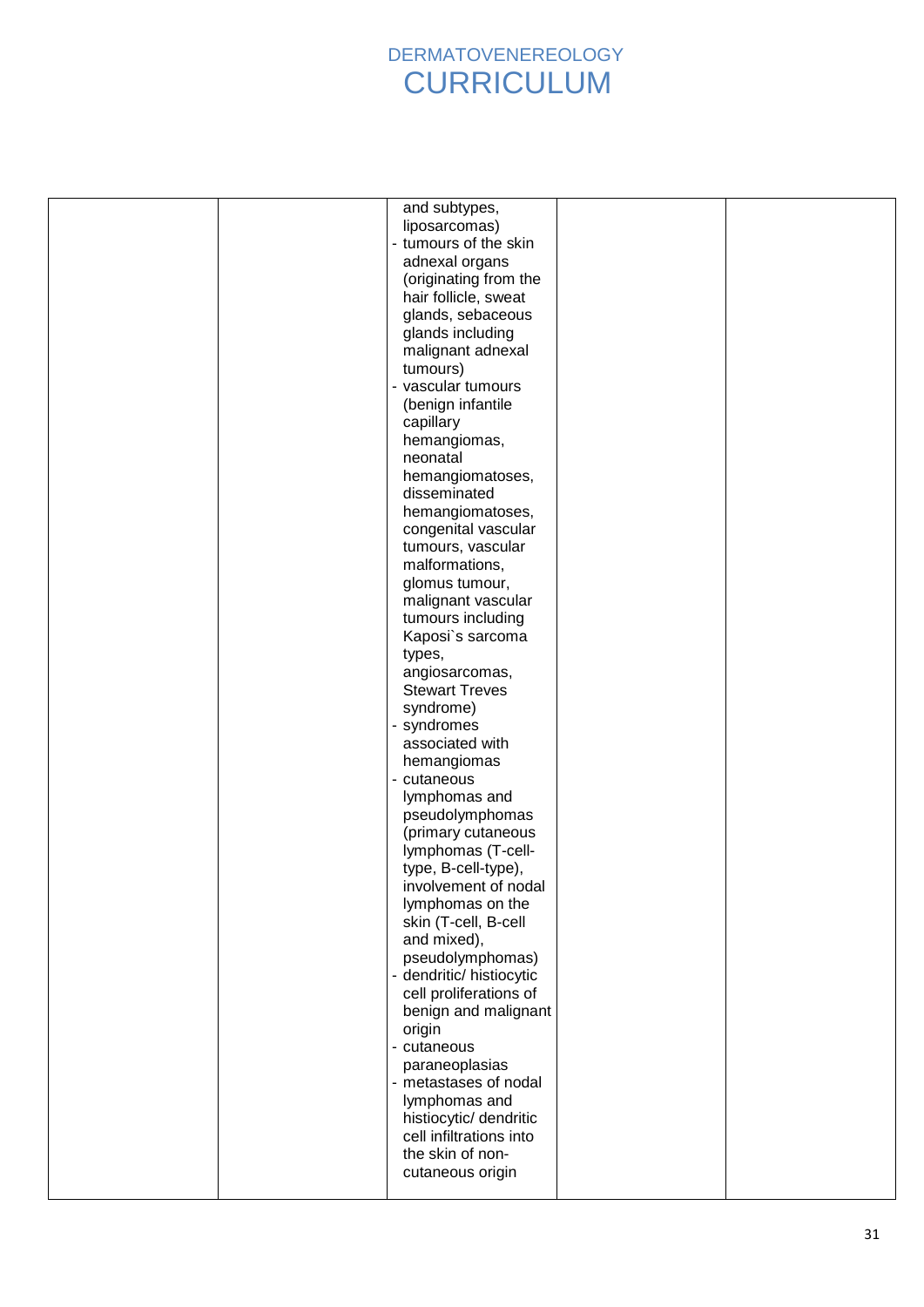|  | and subtypes,           |  |
|--|-------------------------|--|
|  | liposarcomas)           |  |
|  | - tumours of the skin   |  |
|  | adnexal organs          |  |
|  | (originating from the   |  |
|  | hair follicle, sweat    |  |
|  |                         |  |
|  | glands, sebaceous       |  |
|  | glands including        |  |
|  | malignant adnexal       |  |
|  | tumours)                |  |
|  | - vascular tumours      |  |
|  | (benign infantile       |  |
|  | capillary               |  |
|  | hemangiomas,            |  |
|  | neonatal                |  |
|  | hemangiomatoses,        |  |
|  | disseminated            |  |
|  | hemangiomatoses,        |  |
|  | congenital vascular     |  |
|  | tumours, vascular       |  |
|  | malformations,          |  |
|  |                         |  |
|  | glomus tumour,          |  |
|  | malignant vascular      |  |
|  | tumours including       |  |
|  | Kaposi's sarcoma        |  |
|  | types,                  |  |
|  | angiosarcomas,          |  |
|  | <b>Stewart Treves</b>   |  |
|  | syndrome)               |  |
|  | - syndromes             |  |
|  | associated with         |  |
|  | hemangiomas             |  |
|  | - cutaneous             |  |
|  | lymphomas and           |  |
|  | pseudolymphomas         |  |
|  | (primary cutaneous      |  |
|  | lymphomas (T-cell-      |  |
|  | type, B-cell-type),     |  |
|  | involvement of nodal    |  |
|  | lymphomas on the        |  |
|  |                         |  |
|  | skin (T-cell, B-cell    |  |
|  | and mixed),             |  |
|  | pseudolymphomas)        |  |
|  | dendritic/ histiocytic  |  |
|  | cell proliferations of  |  |
|  | benign and malignant    |  |
|  | origin                  |  |
|  | - cutaneous             |  |
|  | paraneoplasias          |  |
|  | - metastases of nodal   |  |
|  | lymphomas and           |  |
|  | histiocytic/ dendritic  |  |
|  | cell infiltrations into |  |
|  | the skin of non-        |  |
|  | cutaneous origin        |  |
|  |                         |  |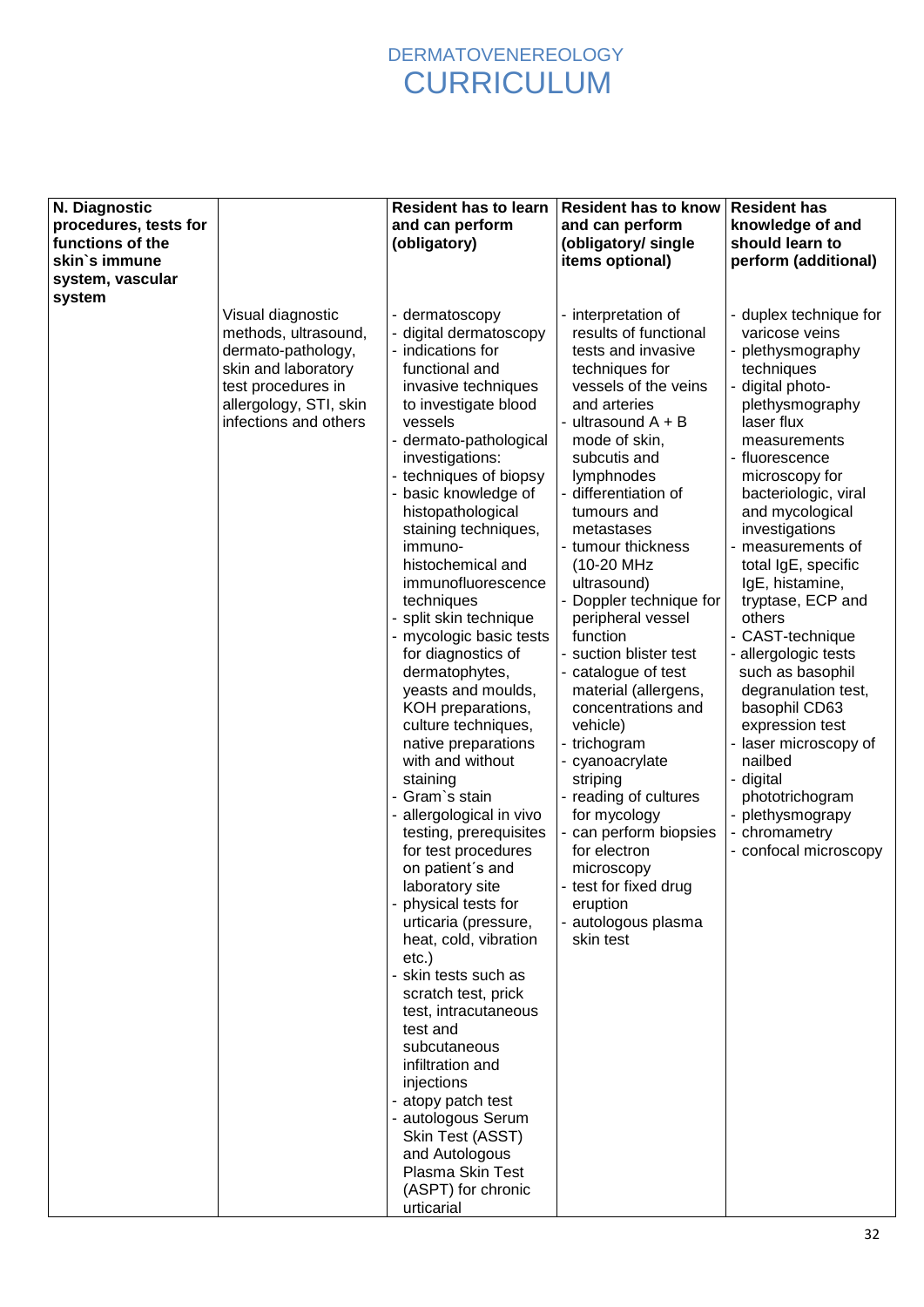| N. Diagnostic<br>procedures, tests for<br>functions of the<br>skin's immune<br>system, vascular<br>system |                                                                                                                                                                 | <b>Resident has to learn</b><br>and can perform<br>(obligatory)                                                                                                                                                                                                                                                                                                                                                                                                                                                                                                                                                                                                                                                                                                                                                                                                                                                                                                                                                                                               | <b>Resident has to know</b><br>and can perform<br>(obligatory/single<br>items optional)                                                                                                                                                                                                                                                                                                                                                                                                                                                                                                                                                                                                       | <b>Resident has</b><br>knowledge of and<br>should learn to<br>perform (additional)                                                                                                                                                                                                                                                                                                                                                                                                                                                                                                                       |
|-----------------------------------------------------------------------------------------------------------|-----------------------------------------------------------------------------------------------------------------------------------------------------------------|---------------------------------------------------------------------------------------------------------------------------------------------------------------------------------------------------------------------------------------------------------------------------------------------------------------------------------------------------------------------------------------------------------------------------------------------------------------------------------------------------------------------------------------------------------------------------------------------------------------------------------------------------------------------------------------------------------------------------------------------------------------------------------------------------------------------------------------------------------------------------------------------------------------------------------------------------------------------------------------------------------------------------------------------------------------|-----------------------------------------------------------------------------------------------------------------------------------------------------------------------------------------------------------------------------------------------------------------------------------------------------------------------------------------------------------------------------------------------------------------------------------------------------------------------------------------------------------------------------------------------------------------------------------------------------------------------------------------------------------------------------------------------|----------------------------------------------------------------------------------------------------------------------------------------------------------------------------------------------------------------------------------------------------------------------------------------------------------------------------------------------------------------------------------------------------------------------------------------------------------------------------------------------------------------------------------------------------------------------------------------------------------|
|                                                                                                           | Visual diagnostic<br>methods, ultrasound,<br>dermato-pathology,<br>skin and laboratory<br>test procedures in<br>allergology, STI, skin<br>infections and others | dermatoscopy<br>digital dermatoscopy<br>indications for<br>functional and<br>invasive techniques<br>to investigate blood<br>vessels<br>dermato-pathological<br>investigations:<br>techniques of biopsy<br>basic knowledge of<br>histopathological<br>staining techniques,<br>immuno-<br>histochemical and<br>immunofluorescence<br>techniques<br>split skin technique<br>mycologic basic tests<br>for diagnostics of<br>dermatophytes,<br>yeasts and moulds,<br>KOH preparations,<br>culture techniques,<br>native preparations<br>with and without<br>staining<br>Gram's stain<br>allergological in vivo<br>testing, prerequisites<br>for test procedures<br>on patient's and<br>laboratory site<br>physical tests for<br>urticaria (pressure,<br>heat, cold, vibration<br>$etc.$ )<br>skin tests such as<br>scratch test, prick<br>test, intracutaneous<br>test and<br>subcutaneous<br>infiltration and<br>injections<br>atopy patch test<br>autologous Serum<br>Skin Test (ASST)<br>and Autologous<br>Plasma Skin Test<br>(ASPT) for chronic<br>urticarial | interpretation of<br>results of functional<br>tests and invasive<br>techniques for<br>vessels of the veins<br>and arteries<br>- ultrasound A + B<br>mode of skin,<br>subcutis and<br>lymphnodes<br>- differentiation of<br>tumours and<br>metastases<br>- tumour thickness<br>(10-20 MHz<br>ultrasound)<br>Doppler technique for<br>peripheral vessel<br>function<br>- suction blister test<br>catalogue of test<br>material (allergens,<br>concentrations and<br>vehicle)<br>trichogram<br>- cyanoacrylate<br>striping<br>- reading of cultures<br>for mycology<br>can perform biopsies<br>for electron<br>microscopy<br>test for fixed drug<br>eruption<br>- autologous plasma<br>skin test | - duplex technique for<br>varicose veins<br>plethysmography<br>techniques<br>- digital photo-<br>plethysmography<br>laser flux<br>measurements<br>- fluorescence<br>microscopy for<br>bacteriologic, viral<br>and mycological<br>investigations<br>- measurements of<br>total IgE, specific<br>IgE, histamine,<br>tryptase, ECP and<br>others<br>- CAST-technique<br>- allergologic tests<br>such as basophil<br>degranulation test,<br>basophil CD63<br>expression test<br>- laser microscopy of<br>nailbed<br>- digital<br>phototrichogram<br>- plethysmograpy<br>chromametry<br>- confocal microscopy |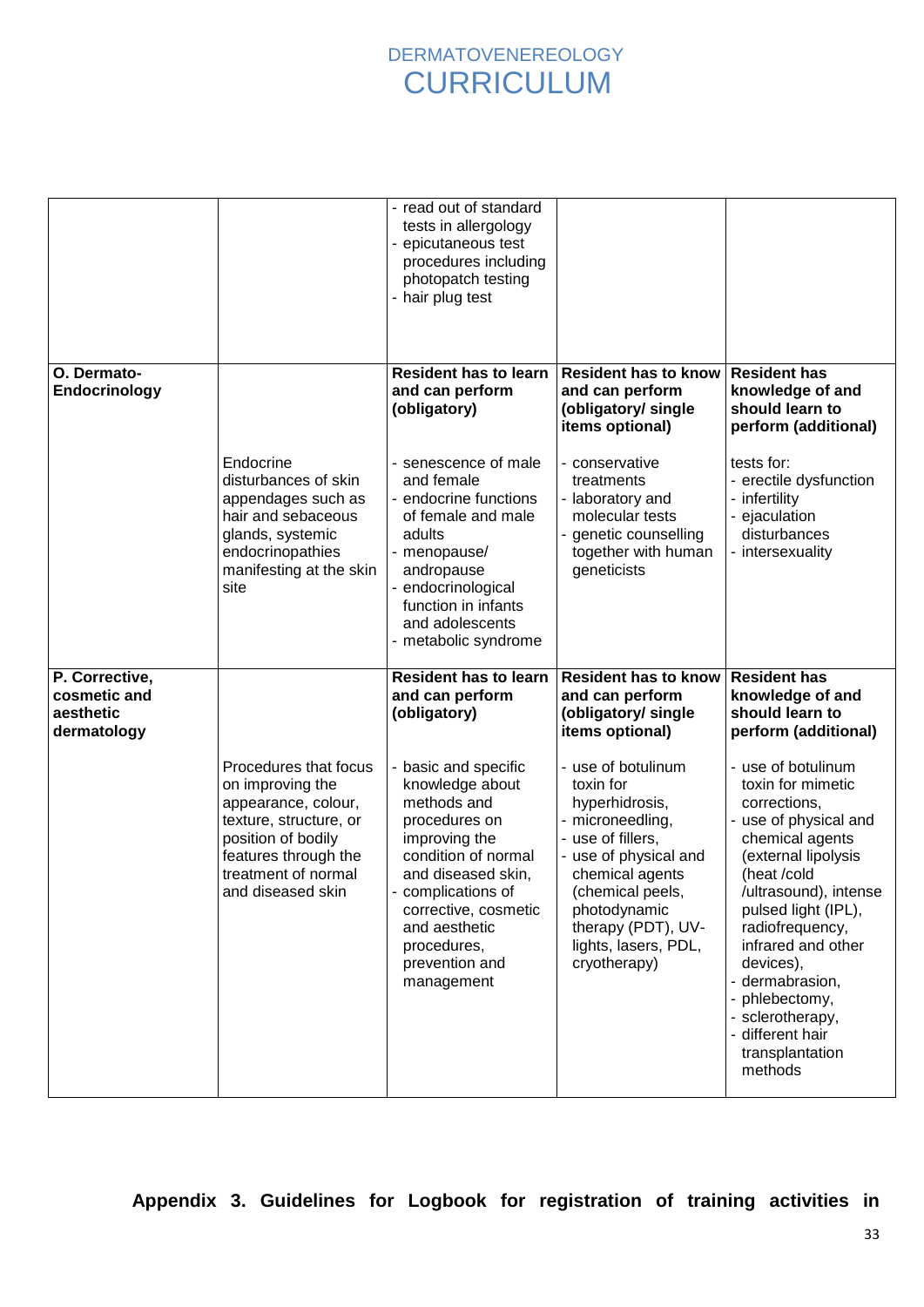|                                                            |                                                                                                                                                                                      | - read out of standard<br>tests in allergology<br>- epicutaneous test<br>procedures including<br>photopatch testing<br>- hair plug test                                                                                                             |                                                                                                                                                                                                                                          |                                                                                                                                                                                                                                                                                                                                                            |
|------------------------------------------------------------|--------------------------------------------------------------------------------------------------------------------------------------------------------------------------------------|-----------------------------------------------------------------------------------------------------------------------------------------------------------------------------------------------------------------------------------------------------|------------------------------------------------------------------------------------------------------------------------------------------------------------------------------------------------------------------------------------------|------------------------------------------------------------------------------------------------------------------------------------------------------------------------------------------------------------------------------------------------------------------------------------------------------------------------------------------------------------|
| O. Dermato-<br>Endocrinology                               |                                                                                                                                                                                      | <b>Resident has to learn</b><br>and can perform<br>(obligatory)                                                                                                                                                                                     | <b>Resident has to know</b><br>and can perform<br>(obligatory/single<br>items optional)                                                                                                                                                  | <b>Resident has</b><br>knowledge of and<br>should learn to<br>perform (additional)                                                                                                                                                                                                                                                                         |
|                                                            | Endocrine<br>disturbances of skin<br>appendages such as<br>hair and sebaceous<br>glands, systemic<br>endocrinopathies<br>manifesting at the skin<br>site                             | senescence of male<br>and female<br>- endocrine functions<br>of female and male<br>adults<br>- menopause/<br>andropause<br>- endocrinological<br>function in infants<br>and adolescents<br>- metabolic syndrome                                     | - conservative<br>treatments<br>- laboratory and<br>molecular tests<br>- genetic counselling<br>together with human<br>geneticists                                                                                                       | tests for:<br>- erectile dysfunction<br>- infertility<br>- ejaculation<br>disturbances<br>- intersexuality                                                                                                                                                                                                                                                 |
| P. Corrective,<br>cosmetic and<br>aesthetic<br>dermatology |                                                                                                                                                                                      | <b>Resident has to learn</b><br>and can perform<br>(obligatory)                                                                                                                                                                                     | <b>Resident has to know</b><br>and can perform<br>(obligatory/single<br>items optional)                                                                                                                                                  | <b>Resident has</b><br>knowledge of and<br>should learn to<br>perform (additional)                                                                                                                                                                                                                                                                         |
|                                                            | Procedures that focus<br>on improving the<br>appearance, colour,<br>texture, structure, or<br>position of bodily<br>features through the<br>treatment of normal<br>and diseased skin | - basic and specific<br>knowledge about<br>methods and<br>procedures on<br>improving the<br>condition of normal<br>and diseased skin,<br>- complications of<br>corrective, cosmetic<br>and aesthetic<br>procedures,<br>prevention and<br>management | - use of botulinum<br>toxin for<br>hyperhidrosis,<br>- microneedling,<br>- use of fillers,<br>- use of physical and<br>chemical agents<br>(chemical peels,<br>photodynamic<br>therapy (PDT), UV-<br>lights, lasers, PDL,<br>cryotherapy) | - use of botulinum<br>toxin for mimetic<br>corrections,<br>- use of physical and<br>chemical agents<br>(external lipolysis<br>(heat /cold<br>/ultrasound), intense<br>pulsed light (IPL),<br>radiofrequency,<br>infrared and other<br>devices),<br>- dermabrasion,<br>- phlebectomy,<br>- sclerotherapy,<br>- different hair<br>transplantation<br>methods |

**Appendix 3. Guidelines for Logbook for registration of training activities in**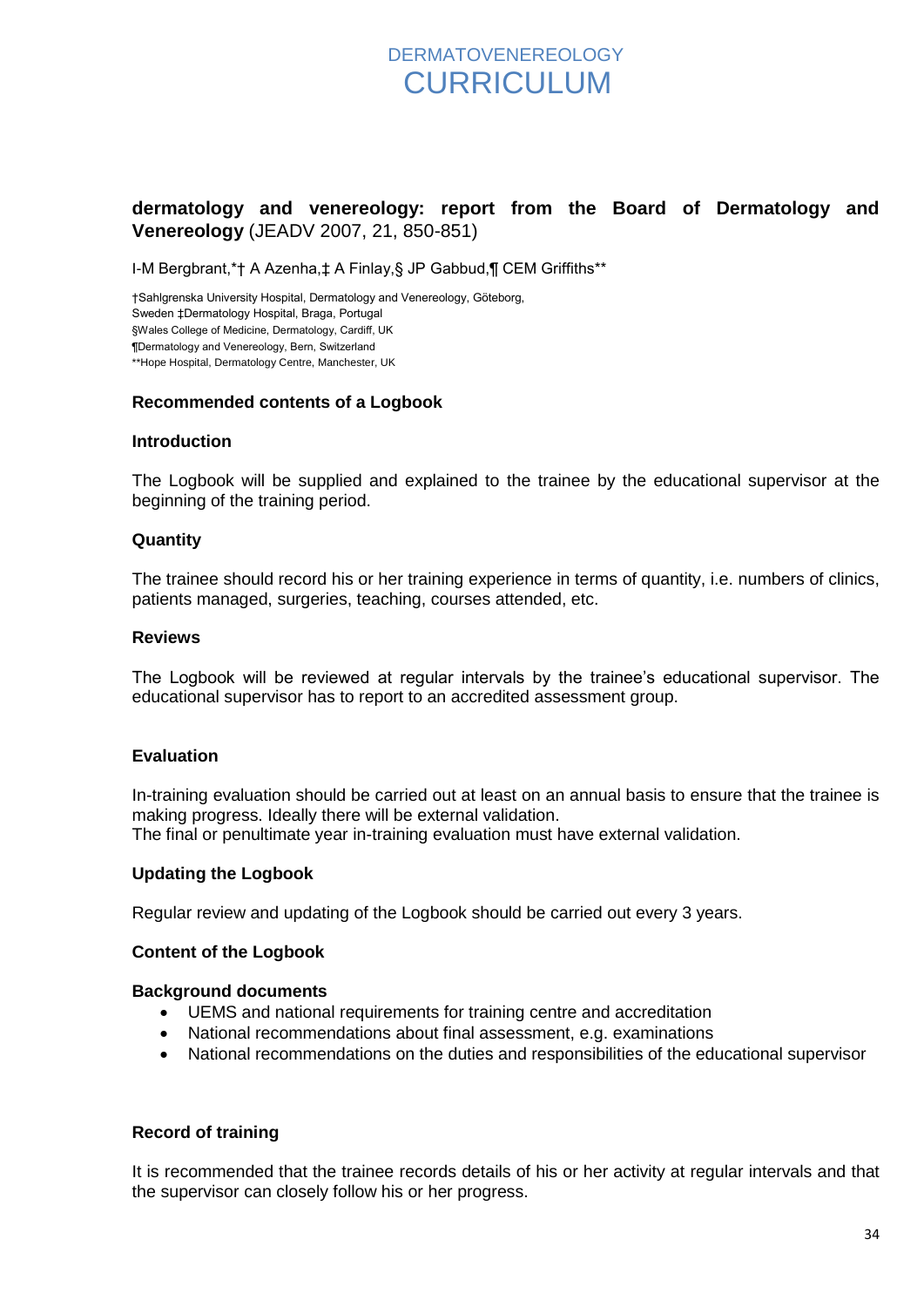### **dermatology and venereology: report from the Board of Dermatology and Venereology** (JEADV 2007, 21, 850-851)

I-M Bergbrant,\*† A Azenha,‡ A Finlay,§ JP Gabbud,¶ CEM Griffiths\*\*

†Sahlgrenska University Hospital, Dermatology and Venereology, Göteborg, Sweden ‡Dermatology Hospital, Braga, Portugal §Wales College of Medicine, Dermatology, Cardiff, UK ¶Dermatology and Venereology, Bern, Switzerland \*\*Hope Hospital, Dermatology Centre, Manchester, UK

#### **Recommended contents of a Logbook**

#### **Introduction**

The Logbook will be supplied and explained to the trainee by the educational supervisor at the beginning of the training period.

#### **Quantity**

The trainee should record his or her training experience in terms of quantity, i.e. numbers of clinics, patients managed, surgeries, teaching, courses attended, etc.

#### **Reviews**

The Logbook will be reviewed at regular intervals by the trainee's educational supervisor. The educational supervisor has to report to an accredited assessment group.

#### **Evaluation**

In-training evaluation should be carried out at least on an annual basis to ensure that the trainee is making progress. Ideally there will be external validation.

The final or penultimate year in-training evaluation must have external validation.

#### **Updating the Logbook**

Regular review and updating of the Logbook should be carried out every 3 years.

#### **Content of the Logbook**

#### **Background documents**

- UEMS and national requirements for training centre and accreditation
- National recommendations about final assessment, e.g. examinations
- National recommendations on the duties and responsibilities of the educational supervisor

#### **Record of training**

It is recommended that the trainee records details of his or her activity at regular intervals and that the supervisor can closely follow his or her progress.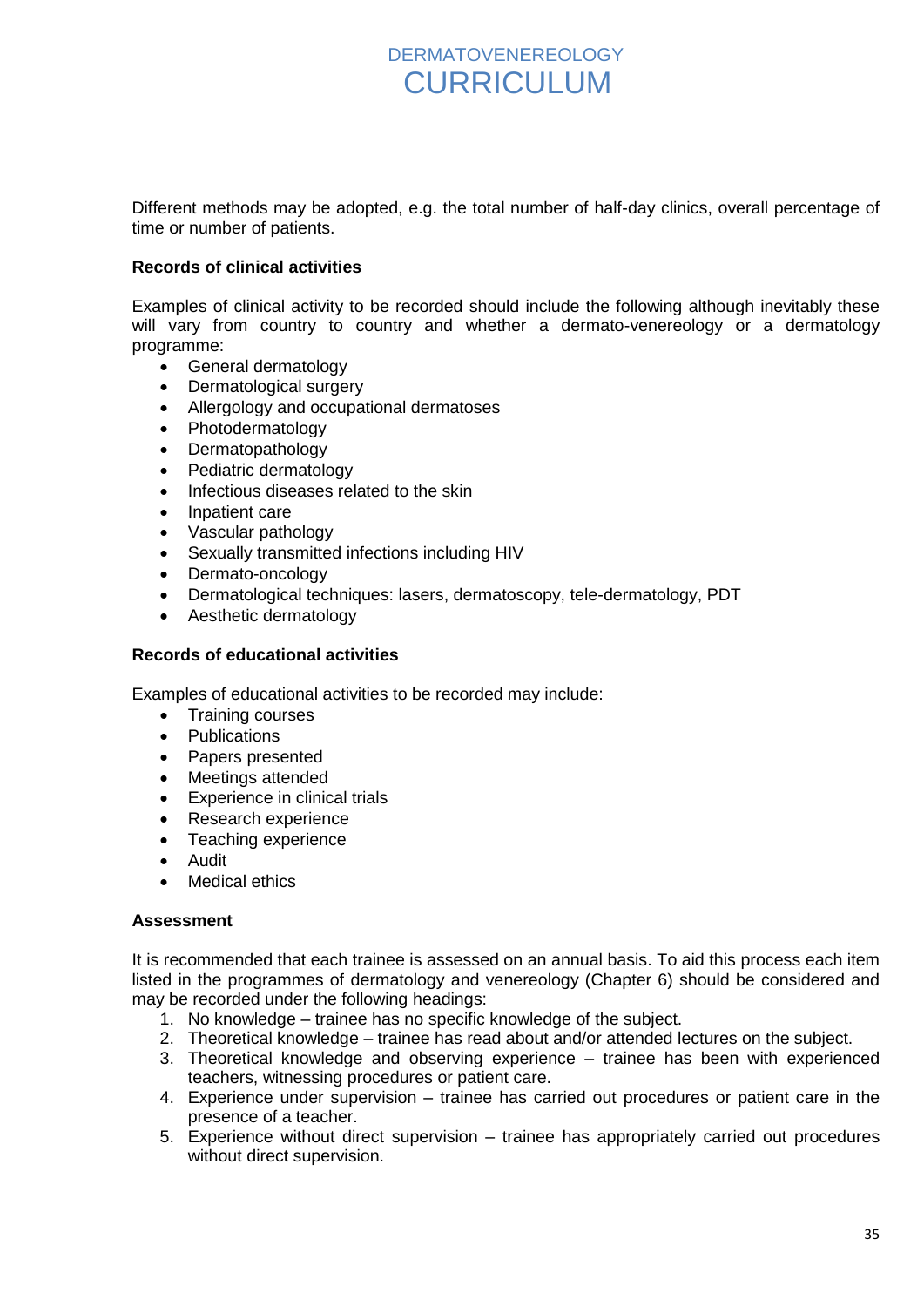Different methods may be adopted, e.g. the total number of half-day clinics, overall percentage of time or number of patients.

### **Records of clinical activities**

Examples of clinical activity to be recorded should include the following although inevitably these will vary from country to country and whether a dermato-venereology or a dermatology programme:

- General dermatology
- Dermatological surgery
- Allergology and occupational dermatoses
- Photodermatology
- Dermatopathology
- Pediatric dermatology
- Infectious diseases related to the skin
- Inpatient care
- Vascular pathology
- Sexually transmitted infections including HIV
- Dermato-oncology
- Dermatological techniques: lasers, dermatoscopy, tele-dermatology, PDT
- Aesthetic dermatology

#### **Records of educational activities**

Examples of educational activities to be recorded may include:

- Training courses
- Publications
- Papers presented
- Meetings attended
- Experience in clinical trials
- Research experience
- Teaching experience
- Audit
- Medical ethics

#### **Assessment**

It is recommended that each trainee is assessed on an annual basis. To aid this process each item listed in the programmes of dermatology and venereology (Chapter 6) should be considered and may be recorded under the following headings:

- 1. No knowledge trainee has no specific knowledge of the subject.
- 2. Theoretical knowledge trainee has read about and/or attended lectures on the subject.
- 3. Theoretical knowledge and observing experience trainee has been with experienced teachers, witnessing procedures or patient care.
- 4. Experience under supervision trainee has carried out procedures or patient care in the presence of a teacher.
- 5. Experience without direct supervision trainee has appropriately carried out procedures without direct supervision.